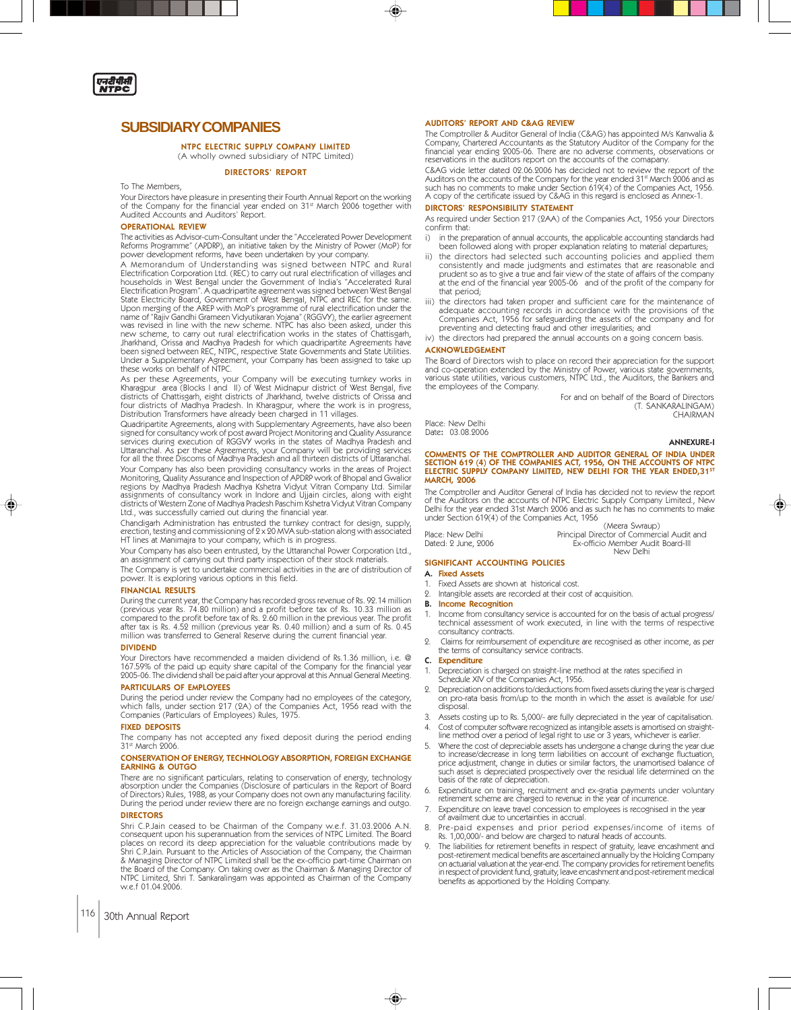

## **SUBSIDIARY COMPANIES**

NTPC ELECTRIC SUPPLY COMPANY LIMITED (A wholly owned subsidiary of NTPC Limited)

#### DIRECTORS' REPORT

To The Members,

Your Directors have pleasure in presenting their Fourth Annual Report on the working<br>of the Company for the financial year ended on 31st March 2006 together with Audited Accounts and Auditors' Report.

#### OPERATIONAL REVIEW

The activities as Advisor-cum-Consultant under the "Accelerated Power Development Reforms Programme" (APDRP), an initiative taken by the Ministry of Power (MoP) for power development reforms, have been undertaken by your company.

A Memorandum of Understanding was signed between NTPC and Rural Electrification Corporation Ltd. (REC) to carry out rural electrification of villages and households in West Bengal under the Government of India's "Accelerated Rural<br>Electrification Program". A quadripartite agreement was signed between West Bengal<br>State Electricity Board, Government of West Bengal, NTPC and R was revised in line with the new scheme. NTPC has also been asked, under this new scheme, to carry out rural electrification works in the states of Chattisgarh, Jharkhand, Orissa and Madhya Pradesh for which quadripartite Agreements have been signed between REC, NTPC, respective State Governments and State Utilities. Under a Supplementary Agreement, your Company has been assigned to take up these works on behalf of NTPC.

As per these Agreements, your Company will be executing turnkey works in Kharagpur area (Blocks I and II) of West Midnapur district of West Bengal, five districts of Chattisgarh, eight districts of Jharkhand, twelve districts of Orissa and<br>four districts of Madhya Pradesh. In Kharagpur, where the work is in progress,<br>Distribution Transformers have already been charged in 1

Quadripartite Agreements, along with Supplementary Agreements, have also been signed for consultancy work of post award Project Monitoring and Quality Assurance services during execution of RGGVY works in the states of Madhya Pradesh and Uttaranchal. As per these Agreements, your Company will be providing services for all the three Discoms of Madhya Pradesh and all thirteen districts of Uttaranchal. Your Company has also been providing consultancy works in the areas of Project<br>Monitoring, Quality Assurance and Inspection of APDRP work of Bhopal and Gwalior<br>regions by Madhya Pradesh Madhya Kshetra Vidyut Vitran Company

Chandigarh Administration has entrusted the turnkey contract for design, supply erection, testing and commissioning of 2 x 20 MVA sub-station along with associated HT lines at Manimajra to your company, which is in progress.

Your Company has also been entrusted, by the Uttaranchal Power Corporation Ltd., an assignment of carrying out third party inspection of their stock materials. The Company is yet to undertake commercial activities in the are of distribution of power. It is exploring various options in this field.

#### FINANCIAL RESULTS

During the current year, the Company has recorded gross revenue of Rs. 92.14 million (previous year Rs. 74.80 million) and a profit before tax of Rs. 10.33 million as compared to the profit before tax of Rs. 2.60 million in the previous year. The profit after tax is Rs. 4.52 million (previous year Rs. 0.40 million) and a sum of Rs. 0.45 million was transferred to General Reserve during the current financial year.

#### DIVIDEND

Your Directors have recommended a maiden dividend of Rs.1.36 million, i.e. @ 167.59% of the paid up equity share capital of the Company for the financial year 2005-06. The dividend shall be paid after your approval at this Annual General Meeting.

#### PARTICULARS OF EMPLOYEES

During the period under review the Company had no employees of the category, which falls, under section 217 (2A) of the Companies Act, 1956 read with the Companies (Particulars of Employees) Rules, 1975.

#### FIXED DEPOSITS

The company has not accepted any fixed deposit during the period ending<br>31st March 2006.

#### CONSERVATION OF ENERGY, TECHNOLOGY ABSORPTION, FOREIGN EXCHANGE EARNING & OUTGO

There are no significant particulars, relating to conservation of energy, technology absorption under the Companies (Disclosure of particulars in the Report of Board<br>of Directors) Rules, 1988, as your Company does not own any manufacturing facility.<br>During the period under review there are no foreign excha

### DIRECTORS

Shri C.P.Jain ceased to be Chairman of the Company w.e.f. 31.03.2006 A.N. consequent upon his superannuation from the services of NTPC Limited. The Board places on record its deep appreciation for the valuable contributions made by<br>Shri C.P.Jain. Pursuant to the Articles of Association of the Company, the Chairman<br>& Managing Director of NTPC Limited shall be the ex-officio NTPC Limited, Shri T. Sankaralingam was appointed as Chairman of the Company w.e.f 01.04.2006.

#### AUDITORS' REPORT AND C&AG REVIEW

The Comptroller & Auditor General of India (C&AG) has appointed M/s Kanwalia &<br>Company, Chartered Accountants as the Statutory Auditor of the Company for the<br>financial year ending 2005-06. There are no adverse comments, ob reservations in the auditors report on the accounts of the comapany.

C&AG vide letter dated 02.06.2006 has decided not to review the report of the Auditors on the accounts of the Company for the year ended 31st March 2006 and as<br>such has no comments to make under Section 619(4) of the Companies Act, 1956. A copy of the certificate issued by C&AG in this regard is enclosed as Annex-1.

#### DIRCTORS' RESPONSIBILITY STATEMENT

As required under Section 217 (2AA) of the Companies Act, 1956 your Directors confirm that:

- i) in the preparation of annual accounts, the applicable accounting standards had been followed along with proper explanation relating to material departures;
- ii) the directors had selected such accounting policies and applied them consistently and made judgments and estimates that are reasonable and<br>prudent so as to give a true and fair view of the state of affairs of the company<br>at the end of the financial year 2005-06 and of the profit of the co that period;
- iii) the directors had taken proper and sufficient care for the maintenance of adequate accounting records in accordance with the provisions of the Companies Act, 1956 for safeguarding the assets of the company and for preventing and detecting fraud and other irregularities; and
- iv) the directors had prepared the annual accounts on a going concern basis. ACKNOWLEDGEMENT

The Board of Directors wish to place on record their appreciation for the support and co-operation extended by the Ministry of Power, various state governments, various state utilities, various customers, NTPC Ltd., the Auditors, the Bankers and the employees of the Company.

For and on behalf of the Board of Directors (T. SANKARALINGAM) CHAIRMAN

Place: New Delhi Date: 03.08.2006

#### ANNEXURE-I

# COMMENTS OF THE COMPTROLLER AND AUDITOR GENERAL OF INDIA UNDER<br>SECTION 619 (4) OF THE COMPANIES ACT, 1956, ON THE ACCOUNTS OF NTPC<br>ELECTRIC SUPPLY COMPANY LIMITED, NEW DELHI FOR THE YEAR ENDED,31<sup>st</sup> MARCH, 2006

The Comptroller and Auditor General of India has decided not to review the report of the Auditors on the accounts of NTPC Electric Supply Company Limited., New Delhi for the year ended 31st March 2006 and as such he has no comments to make under Section 619(4) of the Companies Act, 1956  $(1 + \epsilon)$  Swarp Swraup)

|                     | (IVICCIA SYVIAUD)                          |
|---------------------|--------------------------------------------|
| Place: New Delhi    | Principal Director of Commercial Audit and |
| Dated: 2 June, 2006 | Ex-officio Member Audit Board-III          |
|                     | New Delhi                                  |

### SIGNIFICANT ACCOUNTING POLICIES

- A. Fixed Assets
- 1. Fixed Assets are shown at historical cost.<br>9. Intangible assets are recorded at their cost. 2. Intangible assets are recorded at their cost of acquisition.
- 
- B. Income Recognition
- 1. Income from consultancy service is accounted for on the basis of actual progress/ technical assessment of work executed, in line with the terms of respective consultancy contracts.
- 2. Claims for reimbursement of expenditure are recognised as other income, as per the terms of consultancy service contracts.
- C. Expenditure

◈

- 1. Depreciation is charged on straight-line method at the rates specified in Schedule XIV of the Companies Act, 1956.
- 2. Depreciation on additions to/deductions from fixed assets during the year is charged on pro-rata basis from/up to the month in which the asset is available for use/ disposal
- Assets costing up to Rs. 5,000/- are fully depreciated in the year of capitalisation.
- 4. Cost of computer software recognized as intangible assets is amortised on straightline method over a period of legal right to use or 3 years, whichever is earlier.
- 5. Where the cost of depreciable assets has undergone a change during the year due<br>to increase/decrease in long term liabilities on account of exchange fluctuation,<br>price adjustment, change in duties or similar factors, th such asset is depreciated prospectively over the residual life determined on the basis of the rate of depreciation.
- 6. Expenditure on training, recruitment and ex-gratia payments under voluntary retirement scheme are charged to revenue in the year of incurrence.
- 7. Expenditure on leave travel concession to employees is recognised in the year of availment due to uncertainties in accrual.
- Pre-paid expenses and prior period expenses/income of items of Rs. 1,00,000/- and below are charged to natural heads of accounts.
- 9. The liabilities for retirement benefits in respect of gratuity, leave encashment and post-retirement medical benefits are ascertained annually by the Holding Company on actuarial valuation at the year-end. The company provides for retirement benefits in respect of provident fund, gratuity, leave encashment and post-retirement medical benefits as apportioned by the Holding Company.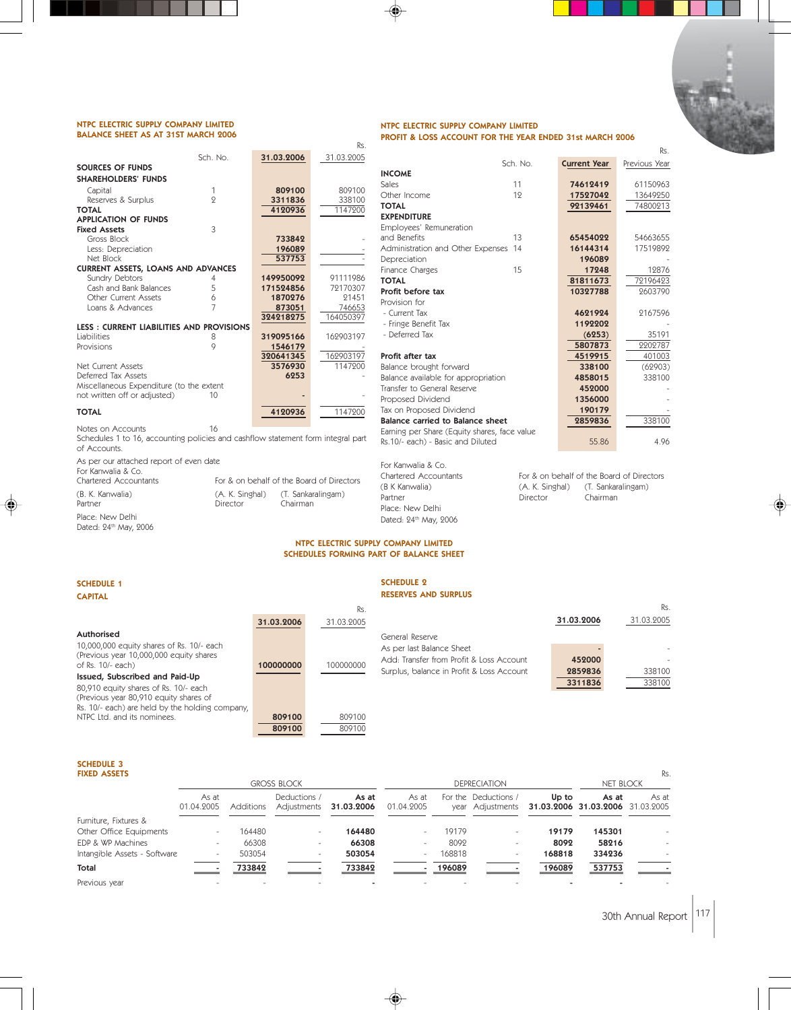#### NTPC ELECTRIC SUPPLY COMPANY LIMITED BALANCE SHEET AS AT 31ST MARCH 2006

#### Sch. No. **31.03.2006** 31.03.2005 SOURCES OF FUNDS SHAREHOLDERS' FUNDS Capital 1 809100 809100 Reserves & Surplus 2 2 3311836 338100 **TOTAL 1147200** APPLICATION OF FUNDS Fixed Assets 3 Gross Block **733842**<br>
Less: Depreciation **196089** Less: Depreciation 196089<br>Net Block 196089 - 196089<br>19608 - 19753 Net Block CURRENT ASSETS, LOANS AND ADVANCES Sundry Debtors<br>
Cash and Bank Balances<br>
19170307 5 171524856 72170307 Cash and Bank Balances Other Current Assets 6 1870276 21451 Loans & Advances 7 873051 746653 324218275 164050397 **LESS : CURRENT LIABILITIES AND PROVISIONS**<br>Liabilities 8 Liabilities 8 319095166 162903197<br>Provisions 9 1546179 1546 1546179<br>20641345 - 162903197  $\frac{320641345}{3576930}$   $\frac{162903197}{1147900}$ Net Current Assets 3576930<br>Deferred Tax Assets 6253 Deferred Tax Assets Miscellaneous Expenditure (to the extent not written off or adjusted) and the 10 TOTAL 1147200

Notes on Accounts 16 Schedules 1 to 16, accounting policies and cashflow statement form integral part of Accounts.

As per our attached report of even date

| For Kanwalia & Co.<br>Chartered Accountants           |                             | For & on behalf of the Board of Directors |
|-------------------------------------------------------|-----------------------------|-------------------------------------------|
| (B. K. Kanwalia)<br>Partner                           | (A. K. Singhal)<br>Director | (T. Sankaralingam)<br>Chairman            |
| Place: New Delhi<br>Dated: 24 <sup>th</sup> May, 2006 |                             |                                           |

#### Sales 11 **74612419** 61150963<br>Other Income 12 **17527042** 13649250 Other Income 12 17527042 13649250<br>199139461 13649250<br>174800213 92139461 EXPENDITURE Employees' Remuneration and Benefits 13 65454022 54663655 Administration and Other Expenses 14 16144314 17519892<br>- 196089 196089 Depreciation 196089 -<br>
Finance Charges 15 17248 12876 Finance Charges 15 17248 12876<br>
1987 12976423 12974423 81811673 **Profit before tax 10327788** 2603790 Provision for - Current Tax **1621924** 2167596<br>- Fringe Benefit Tax **1192202** - Fringe Benefit Tax **1192202** - 2014 - 2015 1192202 - 2016 1192202 - 2016 12:31 12:31 12:31 12:31 12:31 12:31 12:31 12:31 12:31 12:31 12:31 12:31 12:31 12:31 12:31 12:31 12:31 13:31 13:31 13:31 13:31 13:31 13:31 13:31 13: - Deferred Tax 5807873 2202787 Profit after tax and the set of the set of the set of the set of the set of the set of the set of the set of the set of the set of the set of the set of the set of the set of the set of the set of the set of the set of the Balance brought forward **338100** (62903)<br>Balance available for appropriation **4858015** 338100

Balance available for appropriation **4858015**<br>Transfer to General Reserve **459000** Transfer to General Reserve Proposed Dividend Balance carried to Balance sheet Earning per Share (Equity shares, fac

For Kanwalia & Co. Partner **Director** Chairman Place: New Delhi Dated: 24<sup>th</sup> May, 2006

Chartered Accountants For & on behalf of the Board of Directors (B K Kanwalia) (A. K. Singhal) (T. Sankaralingam)

Rs.

## NTPC ELECTRIC SUPPLY COMPANY LIMITED SCHEDULES FORMING PART OF BALANCE SHEET

Rs.

INCOME

# SCHEDULE 1

CAPITAL

#### SCHEDULE 2 RESERVES AND SURPLUS

| Rs.                                                                                                           |         |            |
|---------------------------------------------------------------------------------------------------------------|---------|------------|
| 31.03.2006<br>31.03.2005<br>31.03.2006                                                                        |         | 31.03.2005 |
| Authorised<br>General Reserve                                                                                 |         |            |
| 10,000,000 equity shares of Rs. 10/- each<br>As per last Balance Sheet                                        |         |            |
| (Previous year 10,000,000 equity shares<br>Add: Transfer from Profit & Loss Account<br>100000000<br>100000000 | 452000  |            |
| of Rs. 10/- each)<br>Surplus, balance in Profit & Loss Account                                                | 2859836 | 338100     |
| Issued, Subscribed and Paid-Up                                                                                | 3311836 | 338100     |
| 80,910 equity shares of Rs. 10/- each                                                                         |         |            |
| (Previous year 80,910 equity shares of                                                                        |         |            |
| Rs. 10/- each) are held by the holding company,                                                               |         |            |
| NTPC Ltd. and its nominees.<br>809100<br>809100                                                               |         |            |
| 809100<br>809100                                                                                              |         |            |

# SCHEDULE 3<br>FIXED ASSETS

| <b>FIXED ASSETS</b>          |                     |           |                             |                     |                     |        |                                          |        |                                           | Rs.   |
|------------------------------|---------------------|-----------|-----------------------------|---------------------|---------------------|--------|------------------------------------------|--------|-------------------------------------------|-------|
|                              |                     |           | <b>GROSS BLOCK</b>          |                     |                     |        | <b>DEPRECIATION</b>                      |        | <b>NET BLOCK</b>                          |       |
|                              | As at<br>01.04.2005 | Additions | Deductions /<br>Adjustments | As at<br>31.03.2006 | As at<br>01.04.2005 |        | For the Deductions /<br>year Adjustments | Up to  | As at<br>31.03.2006 31.03.2006 31.03.2005 | As at |
| Furniture, Fixtures &        |                     |           |                             |                     |                     |        |                                          |        |                                           |       |
| Other Office Equipments      |                     | 164480    | $\overline{\phantom{a}}$    | 164480              |                     | 19179  | $\overline{a}$                           | 19179  | 145301                                    |       |
| EDP & WP Machines            |                     | 66308     | $\overline{\phantom{a}}$    | 66308               |                     | 8092   | $\overline{\phantom{a}}$                 | 8092   | 58216                                     |       |
| Intangible Assets - Software |                     | 503054    | $\overline{\phantom{a}}$    | 503054              | Ξ.                  | 168818 | -                                        | 168818 | 334236                                    |       |
| Total                        |                     | 733842    |                             | 733842              |                     | 196089 |                                          | 196089 | 537753                                    |       |
| Previous year                |                     |           |                             |                     |                     |        |                                          |        |                                           |       |

#### NTPC ELECTRIC SUPPLY COMPANY LIMITED PROFIT & LOSS ACCOUNT FOR THE YEAR ENDED 31st MARCH 2006

| Proposed Dividend                                                                 | 1356000 |        |
|-----------------------------------------------------------------------------------|---------|--------|
| Tax on Proposed Dividend                                                          | 190179  |        |
| Balance carried to Balance sheet                                                  | 2859836 | 338100 |
| Earning per Share (Equity shares, face value<br>Rs.10/- each) - Basic and Diluted | 55.86   | 4.96   |
| For Kanwalia & Co.                                                                |         |        |

Sch. No. **Current Year** Previous Year

Rs.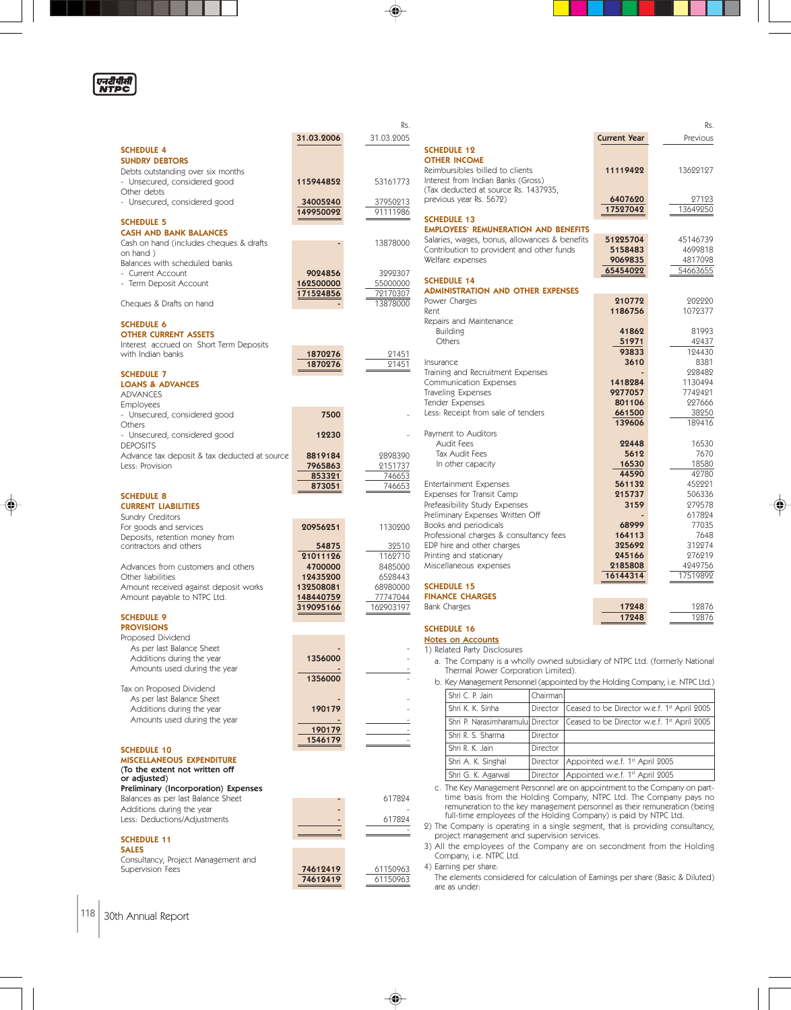

◈

|                                                                   |                       | Rs.                 |                                                              |
|-------------------------------------------------------------------|-----------------------|---------------------|--------------------------------------------------------------|
|                                                                   | 31.03.2006            | 31.03.2005          |                                                              |
| <b>SCHEDULE 4</b>                                                 |                       |                     | <b>SCHEDULE 12</b>                                           |
| <b>SUNDRY DEBTORS</b>                                             |                       |                     | <b>OTHER INCOME</b><br>Reimbursibles billed to clie          |
| Debts outstanding over six months<br>- Unsecured, considered good | 115944852             | 53161773            | Interest from Indian Banks (                                 |
| Other debts                                                       |                       |                     | (Tax deducted at source Rs.                                  |
| - Unsecured, considered good                                      | 34005240              | 37950213            | previous year Rs. 5672)                                      |
|                                                                   | 149950092             | 91111986            |                                                              |
| <b>SCHEDULE 5</b>                                                 |                       |                     | <b>SCHEDULE 13</b><br><b>EMPLOYEES' REMUNERATION</b>         |
| <b>CASH AND BANK BALANCES</b>                                     |                       |                     | Salaries, wages, bonus, allo                                 |
| Cash on hand (includes cheques & drafts<br>on hand)               |                       | 13878000            | Contribution to provident a                                  |
| Balances with scheduled banks                                     |                       |                     | Welfare expenses                                             |
| - Current Account                                                 | 9024856               | 3292307             |                                                              |
| - Term Deposit Account                                            | 162500000             | 55000000            | <b>SCHEDULE 14</b>                                           |
|                                                                   | 171524856             | 72170307            | <b>ADMINISTRATION AND OT</b><br>Power Charges                |
| Cheques & Drafts on hand                                          |                       | 13878000            | Rent                                                         |
| <b>SCHEDULE 6</b>                                                 |                       |                     | Repairs and Maintenance                                      |
| <b>OTHER CURRENT ASSETS</b>                                       |                       |                     | <b>Building</b>                                              |
| Interest accrued on Short Term Deposits                           |                       |                     | Others                                                       |
| with Indian banks                                                 | 1870276               | 21451               |                                                              |
|                                                                   | 1870276               | 21451               | Insurance<br>Training and Recruitment Ex                     |
| <b>SCHEDULE 7</b><br><b>LOANS &amp; ADVANCES</b>                  |                       |                     | Communication Expenses                                       |
| <b>ADVANCES</b>                                                   |                       |                     | Traveling Expenses                                           |
| <b>Employees</b>                                                  |                       |                     | Tender Expenses                                              |
| - Unsecured, considered good                                      | 7500                  |                     | Less: Receipt from sale of to                                |
| Others                                                            |                       |                     |                                                              |
| - Unsecured, considered good                                      | 12230                 |                     | Payment to Auditors<br><b>Audit Fees</b>                     |
| <b>DEPOSITS</b><br>Advance tax deposit & tax deducted at source   | 8819184               | 2898390             | <b>Tax Audit Fees</b>                                        |
| Less: Provision                                                   | 7965863               | 2151737             | In other capacity                                            |
|                                                                   | 853321                | 746653              |                                                              |
|                                                                   | 873051                | 746653              | Entertainment Expenses                                       |
| <b>SCHEDULE 8</b>                                                 |                       |                     | Expenses for Transit Camp                                    |
| <b>CURRENT LIABILITIES</b>                                        |                       |                     | Prefeasibility Study Expense<br>Preliminary Expenses Writter |
| Sundry Creditors<br>For goods and services                        | 20956251              | 1130200             | Books and periodicals                                        |
| Deposits, retention money from                                    |                       |                     | Professional charges & cons                                  |
| contractors and others                                            | 54875                 | 32510               | EDP hire and other charges                                   |
|                                                                   | 21011126              | 1162710             | Printing and stationary                                      |
| Advances from customers and others<br>Other liabilities           | 4700000               | 8485000             | Miscellaneous expenses                                       |
| Amount received against deposit works                             | 12435200<br>132508081 | 6528443<br>68980000 | <b>SCHEDULE 15</b>                                           |
| Amount payable to NTPC Ltd.                                       | 148440759             | 77747044            | <b>FINANCE CHARGES</b>                                       |
|                                                                   | 319095166             | 162903197           | Bank Charges                                                 |
| <b>SCHEDULE 9</b>                                                 |                       |                     |                                                              |
| <b>PROVISIONS</b>                                                 |                       |                     | <b>SCHEDULE 16</b>                                           |
| Proposed Dividend<br>As per last Balance Sheet                    |                       |                     | <b>Notes on Accounts</b><br>1) Related Party Disclosures     |
| Additions during the year                                         | 1356000               |                     | a. The Company is a wh                                       |
| Amounts used during the year                                      |                       |                     | Thermal Power Corpo                                          |
|                                                                   | 1356000               |                     | b. Key Management Perso                                      |
| Tax on Proposed Dividend                                          |                       |                     | Shri C. P. Jain                                              |
| As per last Balance Sheet<br>Additions during the year            | 190179                |                     | Shri K. K. Sinha                                             |
| Amounts used during the year                                      |                       |                     | Shri P. Narasimharamu                                        |
|                                                                   | 190179                |                     |                                                              |
|                                                                   | 1546179               |                     | Shri R. S. Sharma                                            |
| <b>SCHEDULE 10</b>                                                |                       |                     | Shri R. K. Jain                                              |
| <b>MISCELLANEOUS EXPENDITURE</b>                                  |                       |                     | Shri A. K. Singhal                                           |
| (To the extent not written off<br>or adjusted)                    |                       |                     | Shri G. K. Agarwal                                           |
| Preliminary (Incorporation) Expenses                              |                       |                     | c. The Key Management I                                      |
| Balances as per last Balance Sheet                                |                       | 617824              | time basis from the I                                        |
| Additions during the year                                         |                       |                     | remuneration to the ke<br>full-time employees o              |
| Less: Deductions/Adjustments                                      |                       | 617824              | 2) The Company is operatir                                   |
| <b>SCHEDULE 11</b>                                                |                       |                     | project management and                                       |
| <b>SALES</b>                                                      |                       |                     | 3) All the employees of tl                                   |
| Consultancy, Project Management and                               |                       |                     | Company, i.e. NTPC Ltd.                                      |
| Supervision Fees                                                  | 74612419              | 61150963            | 4) Earning per share:                                        |
|                                                                   | 74612419              | 61150963            | The elements considered<br>are as under:                     |
|                                                                   |                       |                     |                                                              |

|                                                                                              |                     | Rs.      |
|----------------------------------------------------------------------------------------------|---------------------|----------|
|                                                                                              | <b>Current Year</b> | Previous |
| <b>SCHEDULE 12</b>                                                                           |                     |          |
| <b>OTHER INCOME</b>                                                                          |                     |          |
| Reimbursibles billed to clients                                                              | 11119422            | 13699197 |
| Interest from Indian Banks (Gross)                                                           |                     |          |
| (Tax deducted at source Rs. 1437935,                                                         |                     |          |
| previous year Rs. 5672)                                                                      | 6407620             | 27123    |
|                                                                                              | 17527042            | 13649250 |
| <b>SCHEDULE 13</b>                                                                           |                     |          |
| <b>EMPLOYEES' REMUNERATION AND BENEFITS</b><br>Salaries, wages, bonus, allowances & benefits | 51225704            | 45146739 |
| Contribution to provident and other funds                                                    | 5158483             | 4699818  |
| Welfare expenses                                                                             | 9069835             | 4817098  |
|                                                                                              | 65454022            | 54663655 |
| <b>SCHEDULE 14</b>                                                                           |                     |          |
| <b>ADMINISTRATION AND OTHER EXPENSES</b>                                                     |                     |          |
| Power Charges                                                                                | 210772              | 202220   |
| Rent                                                                                         | 1186756             | 1072377  |
| Repairs and Maintenance                                                                      |                     |          |
| <b>Building</b>                                                                              | 41862               | 81993    |
| Others                                                                                       | 51971               | 42437    |
|                                                                                              | 93833               | 194430   |
| Insurance                                                                                    | 3610                | 8381     |
| Training and Recruitment Expenses                                                            |                     | 998489   |
| Communication Expenses                                                                       | 1418284             | 1130494  |
| Traveling Expenses                                                                           | 9277057             | 7742421  |
| Tender Expenses                                                                              | 801106              | 997666   |
| Less: Receipt from sale of tenders                                                           | 661500              | 38250    |
|                                                                                              | 139606              | 189416   |
| Payment to Auditors<br>Audit Fees                                                            |                     | 16530    |
|                                                                                              | 22448               | 7670     |
| <b>Tax Audit Fees</b><br>In other capacity                                                   | 5612<br>16530       | 18580    |
|                                                                                              | 44590               | 42780    |
| <b>Entertainment Expenses</b>                                                                | 561132              | 452221   |
| Expenses for Transit Camp                                                                    | 215737              | 506336   |
| Prefeasibility Study Expenses                                                                | 3159                | 279578   |
| Preliminary Expenses Written Off                                                             |                     | 617824   |
| Books and periodicals                                                                        | 68999               | 77035    |
| Professional charges & consultancy fees                                                      | 164113              | 7648     |
| EDP hire and other charges                                                                   | 325692              | 319974   |
| Printing and stationary                                                                      | 245166              | 276219   |
| Miscellaneous expenses                                                                       | 2185808             | 4249756  |
|                                                                                              | 16144314            | 17519892 |
| <b>SCHEDULE 15</b>                                                                           |                     |          |
| <b>FINANCE CHARGES</b>                                                                       |                     |          |
| <b>Bank Charges</b>                                                                          | 17248               | 12876    |
|                                                                                              | 17248               | 12876    |
| <b>SCHEDULE 16</b>                                                                           |                     |          |

♠

♦

a. The Company is a wholly owned subsidiary of NTPC Ltd. (formerly National Thermal Power Corporation Limited).

lanagement Personnel (appointed by the Holding Company, i.e. NTPC Ltd.)

| Shri C. P. Jain                   | Chairman        |                                             |
|-----------------------------------|-----------------|---------------------------------------------|
| Shri K. K. Sinha                  | <b>Director</b> | Ceased to be Director w.e.f. 1st April 2005 |
| Shri P. Narasimharamulul Director |                 | Ceased to be Director w.e.f. 1st April 2005 |
| Shri R. S. Sharma                 | Director        |                                             |
| Shri R. K. Jain                   | Director        |                                             |
| Shri A. K. Singhal                | Director        | Appointed w.e.f. 1st April 2005             |
| Shri G. K. Agarwal                | Director        | Appointed w.e.f. 1st April 2005             |

c. The Key Management Personnel are on appointment to the Company on part-<br>time basis from the Holding Company, NTPC Ltd. The Company pays no<br>remuneration to the key management personnel as their remuneration (being<br>full-t

2) The Company is operating in a single segment, that is providing consultancy, project management and supervision services.

3) All the employees of the Company are on secondment from the Holding Company, i.e. NTPC Ltd.

 $\Rightarrow$ 

nents considered for calculation of Earnings per share (Basic & Diluted) nder: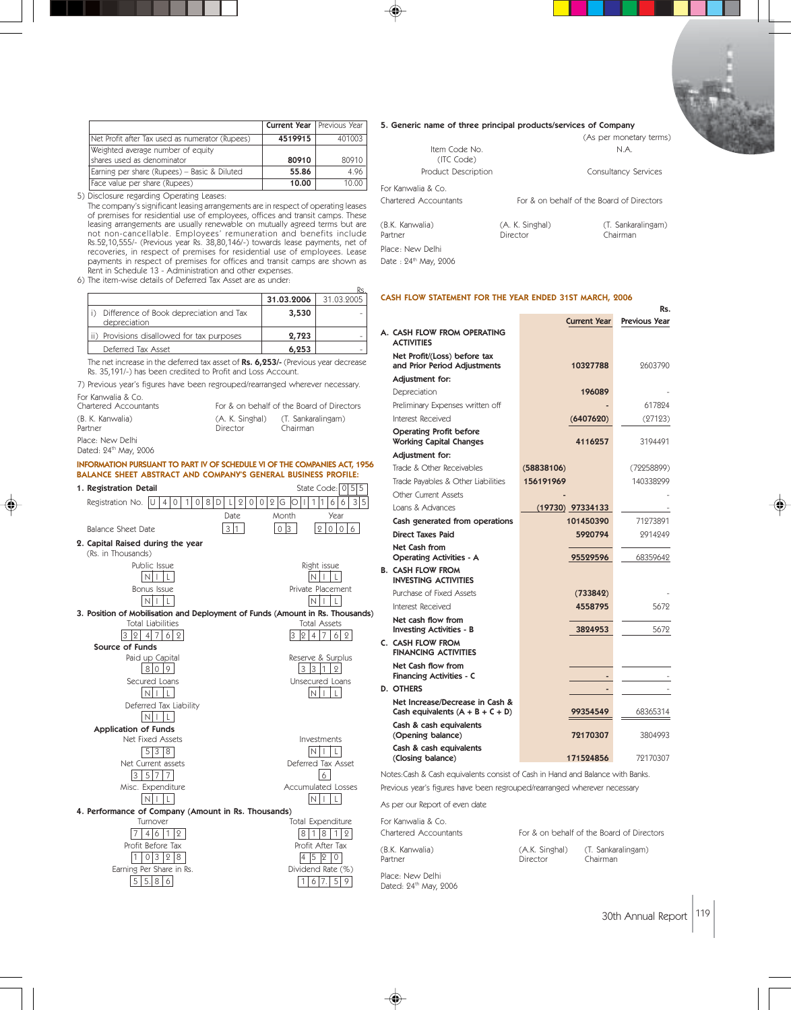|                                                                  | <b>Current Year</b> Previous Year |        |
|------------------------------------------------------------------|-----------------------------------|--------|
| Net Profit after Tax used as numerator (Rupees)                  | 4519915                           | 401003 |
| Weighted average number of equity<br>Ishares used as denominator | 80910                             | 80910  |
| Earning per share (Rupees) - Basic & Diluted                     | 55.86                             | 4.96   |
| Face value per share (Rupees)                                    | 10.00                             | 10.00  |

5) Disclosure regarding Operating Leases: The company's significant leasing arrangements are in respect of operating leases of premises for residential use of employees, offices and transit camps. These leasing arrangements are usually renewable on mutually agreed terms but are<br>not non-cancellable. Employees' remuneration and benefits include<br>Rs.52,10,555/- (Previous year Rs. 38,80,146/-) towards lease payments, net of<br>re payments in respect of premises for offices and transit camps are shown as Rent in Schedule 13 - Administration and other expenses.

6) The item-wise details of Deferred Tax Asset are as under:

|                                                         | 31.03.2006 | 31.03.2005 |
|---------------------------------------------------------|------------|------------|
| Difference of Book depreciation and Tax<br>depreciation | 3,530      |            |
| Provisions disallowed for tax purposes                  | 2,723      |            |
| Deferred Tax Asset                                      | 6.253      |            |

Rs.

Date:  $24^{\text{th}}$  May, 2006

The net increase in the deferred tax asset of Rs. 6,253/- (Previous year decrease Rs. 35,191/-) has been credited to Profit and Loss Account.

7) Previous year's figures have been regrouped/rearranged wherever necessary. For Kanwalia & Co.

| Chartered Accountants                                 |                             | For & on behalf of the Board of Directors |
|-------------------------------------------------------|-----------------------------|-------------------------------------------|
| (B. K. Kanwalia)<br>Partner                           | (A. K. Singhal)<br>Director | (T. Sankaralingam)<br>Chairman            |
| Place: New Delhi<br>Dated: 24 <sup>th</sup> May, 2006 |                             |                                           |

### INFORMATION PURSUANT TO PART IV OF SCHEDULE VI OF THE COMPANIES ACT, 1956 BALANCE SHEET ABSTRACT AND COMPANY'S GENERAL BUSINESS PROFILE:

| 1. Registration Detail                                 | State Code: $ 0 5 5$                                                          |
|--------------------------------------------------------|-------------------------------------------------------------------------------|
| Registration No.<br>$\Omega$<br>$\mathbf{1}$<br>4<br>0 | 3 5<br>8<br>2<br>2 G<br>D<br>$\circ$<br>$\circ$<br>1<br>1<br>6<br>Ο<br>6      |
|                                                        | Date.<br>Month<br>Year                                                        |
| Balance Sheet Date                                     | 3 1<br>0 <sup>3</sup><br>$\mathbf{Q}$<br>$\circ$<br>$\mathbf 0$<br>6          |
| 2. Capital Raised during the year                      |                                                                               |
| (Rs. in Thousands)                                     |                                                                               |
| Public Issue                                           | Right issue                                                                   |
| NH.                                                    |                                                                               |
| Bonus Issue                                            | Private Placement                                                             |
| NI I                                                   | N I I                                                                         |
|                                                        | 3. Position of Mobilisation and Deployment of Funds (Amount in Rs. Thousands) |
| <b>Total Liabilities</b>                               | <b>Total Assets</b>                                                           |
| 4 7 <br>$6 2 $<br>$\mathcal{Q}$                        | 7<br>$\overline{4}$<br>$\circ$<br>6 2<br>lЗ                                   |
| Source of Funds                                        |                                                                               |
| Paid up Capital                                        | Reserve & Surplus                                                             |
| $\circ$<br>810                                         | 3<br>I1<br>3<br>$\overline{2}$                                                |
| Secured Loans                                          | Unsecured Loans                                                               |
| NH                                                     | N I I                                                                         |
| Deferred Tax Liability                                 |                                                                               |
| N                                                      |                                                                               |
| <b>Application of Funds</b>                            |                                                                               |
| Net Fixed Assets                                       | Investments                                                                   |
| 5 3<br> 8                                              | In I i<br>L                                                                   |
| Net Current assets                                     | Deferred Tax Asset                                                            |
| 3<br>5 7 7                                             | 6                                                                             |
| Misc. Expenditure                                      | <b>Accumulated Losses</b>                                                     |
|                                                        | N<br>LΙ                                                                       |
| 4. Performance of Company (Amount in Rs. Thousands)    |                                                                               |
| Turnover                                               | Total Expenditure                                                             |
| 9<br>6                                                 | 8<br>8<br>2                                                                   |
| Profit Before Tax                                      | Profit After Tax                                                              |
| 3<br>$\Omega$<br>8                                     | 5<br>12                                                                       |
| Earning Per Share in Rs.                               | Dividend Rate (%)                                                             |
| 5<br>5.18<br>6                                         | 5<br>7.<br>9<br>1<br>6                                                        |
|                                                        |                                                                               |

#### 5. Generic name of three principal products/services of Company

| Item Code No                      |                                           | (As per monetary terms)<br>N.A. |
|-----------------------------------|-------------------------------------------|---------------------------------|
| (ITC Code)<br>Product Description |                                           | Consultancy Services            |
| For Kanwalia & Co                 |                                           |                                 |
| Chartered Accountants             | For & on behalf of the Board of Directors |                                 |
| (B.K. Kanwalia)<br>Partner        | (A. K. Singhal)<br>Director               | (T. Sankaralingam)<br>Chairman  |
| Place: New Delhi                  |                                           |                                 |

#### CASH FLOW STATEMENT FOR THE YEAR ENDED 31ST MARCH, 2006

|                                                                       |                     |   | Rs.                  |
|-----------------------------------------------------------------------|---------------------|---|----------------------|
|                                                                       | <b>Current Year</b> |   | <b>Previous Year</b> |
| A. CASH FLOW FROM OPERATING                                           |                     |   |                      |
| <b>ACTIVITIES</b>                                                     |                     |   |                      |
| Net Profit/(Loss) before tax<br>and Prior Period Adjustments          | 10327788            |   | 2603790              |
| Adjustment for:                                                       |                     |   |                      |
| Depreciation                                                          | 196089              |   |                      |
| Preliminary Expenses written off                                      |                     |   | 617824               |
| Interest Received                                                     | (6407620)           |   | (27123)              |
| <b>Operating Profit before</b><br><b>Working Capital Changes</b>      | 4116257             |   | 3194491              |
| Adjustment for:                                                       |                     |   |                      |
| Trade & Other Receivables                                             | (58838106)          |   | (72258899)           |
| Trade Payables & Other Liabilities                                    | 156191969           |   | 140338299            |
| <b>Other Current Assets</b>                                           |                     |   |                      |
| Loans & Advances                                                      | $(19730)$ 97334133  |   |                      |
| Cash generated from operations                                        | 101450390           |   | 71273891             |
| <b>Direct Taxes Paid</b>                                              | 5920794             |   | 2914249              |
| Net Cash from<br><b>Operating Activities - A</b>                      | 95529596            |   | 68359642             |
| <b>B. CASH FLOW FROM</b><br><b>INVESTING ACTIVITIES</b>               |                     |   |                      |
| Purchase of Fixed Assets                                              | (733842)            |   |                      |
| Interest Received                                                     | 4558795             |   | 5679                 |
| Net cash flow from<br><b>Investing Activities - B</b>                 | 3824953             |   | 5672                 |
| C. CASH FLOW FROM<br><b>FINANCING ACTIVITIES</b>                      |                     |   |                      |
| Net Cash flow from<br><b>Financing Activities - C</b>                 |                     | ٠ |                      |
| <b>D. OTHERS</b>                                                      |                     |   |                      |
| Net Increase/Decrease in Cash &<br>Cash equivalents $(A + B + C + D)$ | 99354549            |   | 68365314             |
| Cash & cash equivalents<br>(Opening balance)                          | 72170307            |   | 3804993              |
| Cash & cash equivalents<br>(Closing balance)                          | 171524856           |   | 79170307             |

Notes:Cash & Cash equivalents consist of Cash in Hand and Balance with Banks. Previous year's figures have been regrouped/rearranged wherever necessary

As per our Report of even date

| For Kanwalia & Co.<br>Chartered Accountants |                | For & on behalf of the Board of Directors |
|---------------------------------------------|----------------|-------------------------------------------|
| (B.K. Kanwalia)                             | (A.K. Singhal) | (T. Sankaralingam)                        |
| Partner                                     | Director       | Chairman                                  |

Place: New Delhi Dated: 24<sup>th</sup> May, 2006

◈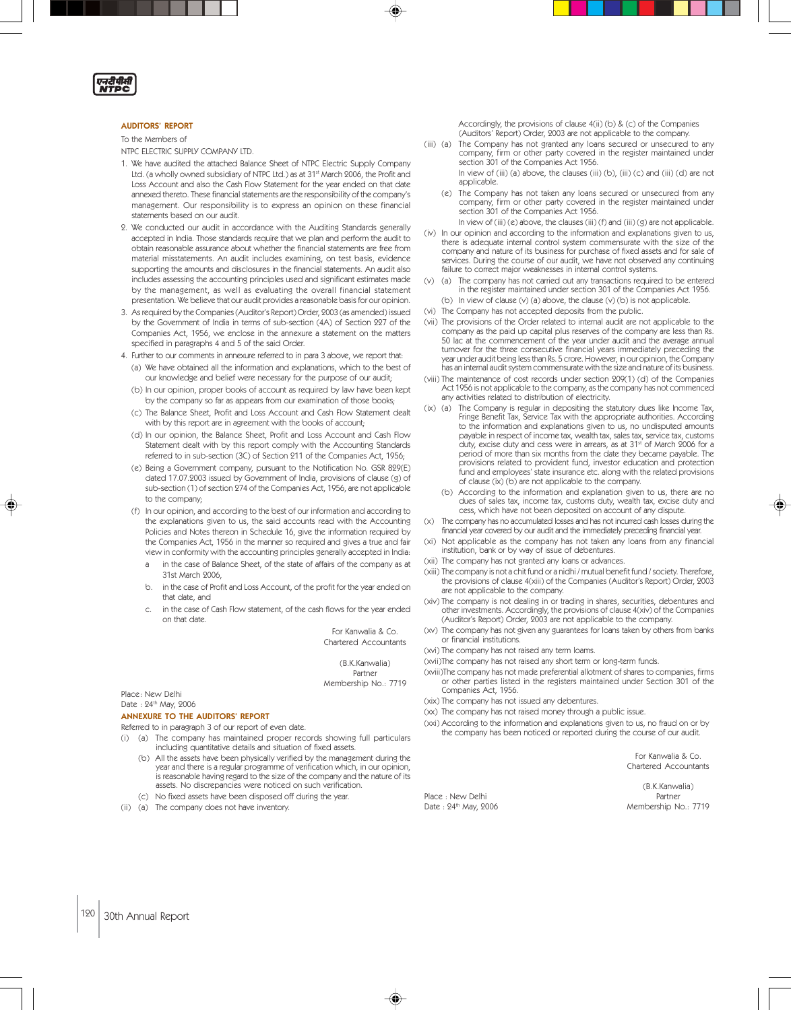ग्नदीपीती<br>NTPC

#### AUDITORS' REPORT

#### To the Members of

NTPC ELECTRIC SUPPLY COMPANY LTD.

- 1. We have audited the attached Balance Sheet of NTPC Electric Supply Company Ltd. (a wholly owned subsidiary of NTPC Ltd.) as at 31st March 2006, the Profit and Loss Account and also the Cash Flow Statement for the year ended on that date annexed thereto. These financial statements are the responsibility of the company's management. Our responsibility is to express an opinion on these financial statements based on our audit.
- 2. We conducted our audit in accordance with the Auditing Standards generally accepted in India. Those standards require that we plan and perform the audit to obtain reasonable assurance about whether the financial statements are free from material misstatements. An audit includes examining, on test basis, evidence supporting the amounts and disclosures in the financial statements. An audit also includes assessing the accounting principles used and significant estimates made by the management, as well as evaluating the overall financial statement presentation. We believe that our audit provides a reasonable basis for our opinion.
- 3. As required by the Companies (Auditor's Report) Order, 2003 (as amended) issued by the Government of India in terms of sub-section (4A) of Section 227 of the Companies Act, 1956, we enclose in the annexure a statement on the matters specified in paragraphs 4 and 5 of the said Order.
- 4. Further to our comments in annexure referred to in para 3 above, we report that: (a) We have obtained all the information and explanations, which to the best of our knowledge and belief were necessary for the purpose of our audit;
	- (b) In our opinion, proper books of account as required by law have been kept by the company so far as appears from our examination of those books;
	- (c) The Balance Sheet, Profit and Loss Account and Cash Flow Statement dealt with by this report are in agreement with the books of account;
	- (d) In our opinion, the Balance Sheet, Profit and Loss Account and Cash Flow Statement dealt with by this report comply with the Accounting Standards referred to in sub-section (3C) of Section 211 of the Companies Act, 1956;
	- (e) Being a Government company, pursuant to the Notification No. GSR 829(E) dated 17.07.2003 issued by Government of India, provisions of clause (g) of sub-section (1) of section 274 of the Companies Act, 1956, are not applicable to the company;
	- (f) In our opinion, and according to the best of our information and according to the explanations given to us, the said accounts read with the Accounting Policies and Notes thereon in Schedule 16, give the information required by the Companies Act, 1956 in the manner so required and gives a true and fair view in conformity with the accounting principles generally accepted in India:
		- in the case of Balance Sheet, of the state of affairs of the company as at 31st March 2006,
		- b. in the case of Profit and Loss Account, of the profit for the year ended on that date, and
		- in the case of Cash Flow statement, of the cash flows for the year ended on that date.

For Kanwalia & Co. Chartered Accountants

(B.K.Kanwalia) Partner Membership No.: 7719

◈

Place: New Delhi Date: 24th May, 2006

#### ANNEXURE TO THE AUDITORS' REPORT

Referred to in paragraph 3 of our report of even date.

- (i) (a) The company has maintained proper records showing full particulars including quantitative details and situation of fixed assets.
	- (b) All the assets have been physically verified by the management during the year and there is a regular programme of verification which, in our opinion, is reasonable having regard to the size of the company and the nature of its assets. No discrepancies were noticed on such verification. (c) No fixed assets have been disposed off during the year.
- (ii) (a) The company does not have inventory.

Accordingly, the provisions of clause 4(ii) (b) & (c) of the Companies (Auditors' Report) Order, 2003 are not applicable to the company.

(iii) (a) The Company has not granted any loans secured or unsecured to any company, firm or other party covered in the register maintained under section 301 of the Companies Act 1956.

In view of (iii) (a) above, the clauses (iii) (b), (iii) (c) and (iii) (d) are not applicable.

- (e) The Company has not taken any loans secured or unsecured from any company, firm or other party covered in the register maintained under section 301 of the Companies Act 1956.
	- In view of (iii) (e) above, the clauses (iii) (f) and (iii) (g) are not applicable.
- (iv) In our opinion and according to the information and explanations given to us, there is adequate internal control system commensurate with the size of the company and nature of its business for purchase of fixed assets and for sale of services. During the course of our audit, we have not observed any continuing failure to correct major weaknesses in internal control systems.
- (a) The company has not carried out any transactions required to be entered in the register maintained under section 301 of the Companies Act 1956.
- (b) In view of clause (v) (a) above, the clause (v) (b) is not applicable.
- (vi) The Company has not accepted deposits from the public.
- (vii) The provisions of the Order related to internal audit are not applicable to the company as the paid up capital plus reserves of the company are less than Rs. 50 lac at the commencement of the year under audit and the average annual turnover for the three consecutive financial years immediately preceding the year under audit being less than Rs. 5 crore. However, in our opinion, the Company has an internal audit system commensurate with the size and nature of its business.
- (viii) The maintenance of cost records under section 209(1) (d) of the Companies Act 1956 is not applicable to the company, as the company has not commenced any activities related to distribution of electricity.
- (ix) (a) The Company is regular in depositing the statutory dues like Income Tax, Fringe Benefit Tax, Service Tax with the appropriate authorities. According to the information and explanations given to us, no undisputed amounts payable in respect of income tax, wealth tax, sales tax, service tax, customs<br>duty, excise duty and cess were in arrears, as at 31ª of March 2006 for a period of more than six months from the date they became payable. The provisions related to provident fund, investor education and protection fund and employees' state insurance etc. along with the related provisions of clause (ix) (b) are not applicable to the company.
	- (b) According to the information and explanation given to us, there are no dues of sales tax, income tax, customs duty, wealth tax, excise duty and cess, which have not been deposited on account of any dispute.
- (x) The company has no accumulated losses and has not incurred cash losses during the financial year covered by our audit and the immediately preceding financial year.
- (xi) Not applicable as the company has not taken any loans from any financial institution, bank or by way of issue of debentures.
- (xii) The company has not granted any loans or advances.
- (xiii) The company is not a chit fund or a nidhi / mutual benefit fund / society. Therefore, the provisions of clause 4(xiii) of the Companies (Auditor's Report) Order, 2003 are not applicable to the company.
- (xiv) The company is not dealing in or trading in shares, securities, debentures and other investments. Accordingly, the provisions of clause 4(xiv) of the Companies (Auditor's Report) Order, 2003 are not applicable to the company.
- (xv) The company has not given any guarantees for loans taken by others from banks or financial institutions.
- (xvi) The company has not raised any term loams.
- (xvii)The company has not raised any short term or long-term funds.
- (xviii)The company has not made preferential allotment of shares to companies, firms or other parties listed in the registers maintained under Section 301 of the Companies Act, 1956.
- (xix) The company has not issued any debentures.
- (xx) The company has not raised money through a public issue.
- (xxi) According to the information and explanations given to us, no fraud on or by the company has been noticed or reported during the course of our audit.

For Kanwalia & Co. Chartered Accountants

Place : New Delhi Partner

(B.K.Kanwalia) Date : 24<sup>th</sup> May, 2006 Membership No.: 7719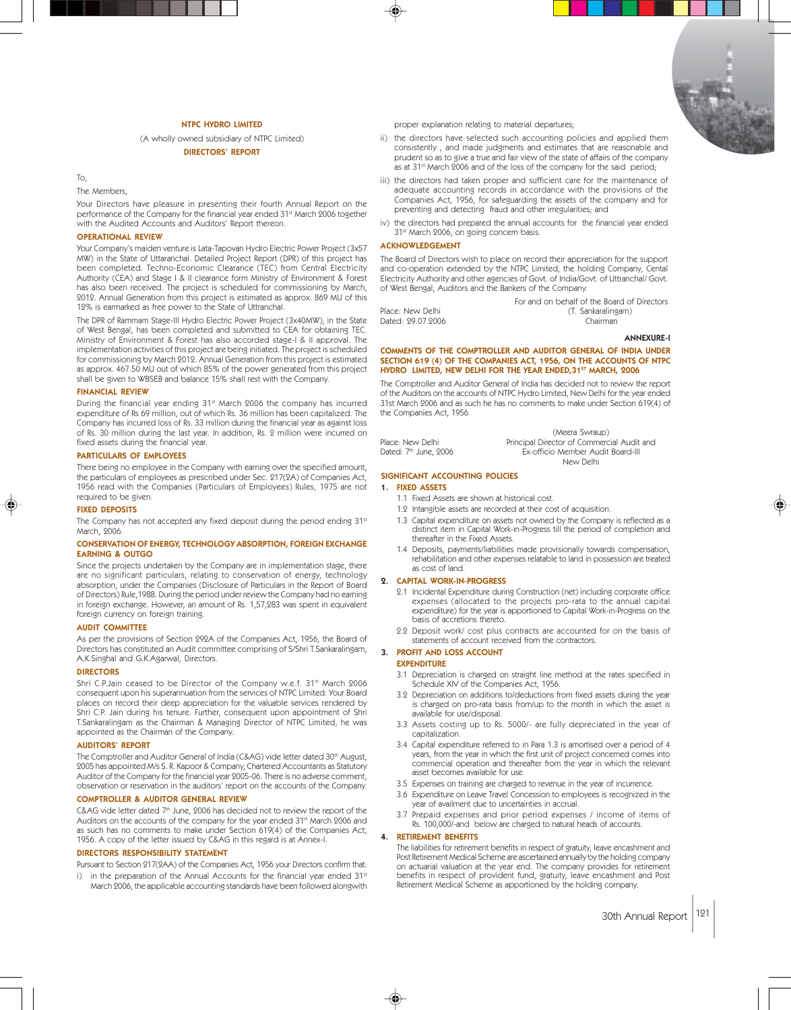

#### NTPC HYDRO LIMITED

(A wholly owned subsidiary of NTPC Limited) DIRECTORS' REPORT

#### To,

The Members,

Your Directors have pleasure in presenting their fourth Annual Report on the performance of the Company for the financial year ended 31st March 2006 together with the Audited Accounts and Auditors' Report thereon.

#### OPERATIONAL REVIEW

Your Company's maiden venture is Lata-Tapovan Hydro Electric Power Project (3x57 MW) in the State of Uttaranchal. Detailed Project Report (DPR) of this project has been completed. Techno-Economic Clearance (TEC) from Central Electricity Authority (CEA) and Stage I & II clearance form Ministry of Environment & Forest has also been received. The project is scheduled for commissioning by March, 2012. Annual Generation from this project is estimated as approx. 869 MU of this 12% is earmarked as free power to the State of Uttranchal.

The DPR of Rammam Stage-III Hydro Electric Power Project (3x40MW), in the State of West Bengal, has been completed and submitted to CEA for obtaining TEC. Ministry of Environment & Forest has also accorded stage-I & II approval. The implementation activities of this project are being initiated. The project is scheduled for commissioning by March 2012. Annual Generation from this project is estimated as approx. 467.50 MU out of which 85% of the power generated from this project shall be given to WBSEB and balance 15% shall rest with the Company.

#### FINANCIAL REVIEW

During the financial year ending 31<sup>st</sup> March 2006 the company has incurred expenditure of Rs 69 million, out of which Rs. 36 million has been capitalized. The Company has incurred loss of Rs. 33 million during the financial year as against loss of Rs. 30 million during the last year. In addition, Rs. 2 million were incurred on fixed assets during the financial year.

#### PARTICULARS OF EMPLOYEES

There being no employee in the Company with earning over the specified amount, the particulars of employees as prescribed under Sec. 217(2A) of Companies Act, 1956 read with the Companies (Particulars of Employees) Rules, 1975 are not required to be given.

#### FIXED DEPOSITS

The Company has not accepted any fixed deposit during the period ending 31st March, 2006.

#### CONSERVATION OF ENERGY, TECHNOLOGY ABSORPTION, FOREIGN EXCHANGE EARNING & OUTGO

Since the projects undertaken by the Company are in implementation stage, there are no significant particulars, relating to conservation of energy, technology absorption, under the Companies (Disclosure of Particulars in the Report of Board of Directors) Rule,1988. During the period under review the Company had no earning in foreign exchange. However, an amount of Rs. 1,57,283 was spent in equivalent foreign currency on foreign training.

#### AUDIT COMMITTEE

As per the provisions of Section 292A of the Companies Act, 1956, the Board of Directors has constituted an Audit committee comprising of S/Shri T.Sankaralingam, A.K.Singhal and G.K.Agarwal, Directors.

#### DIRECTORS

Shri C.P.Jain ceased to be Director of the Company w.e.f. 31st March 2006 consequent upon his superannuation from the services of NTPC Limited. Your Board places on record their deep appreciation for the valuable services rendered by Shri C.P. Jain during his tenure. Further, consequent upon appointment of Shri T.Sankaralingam as the Chairman & Managing Director of NTPC Limited, he was appointed as the Chairman of the Company.

#### AUDITORS' REPORT

The Comptroller and Auditor General of India (C&AG) vide letter dated 30<sup>th</sup> August, 2005 has appointed M/s S. R. Kapoor & Company, Chartered Accountants as Statutory Auditor of the Company for the financial year 2005-06. There is no adverse comment, observation or reservation in the auditors' report on the accounts of the Company.

#### COMPTROLLER & AUDITOR GENERAL REVIEW

C&AG vide letter dated 7<sup>th</sup> June, 2006 has decided not to review the report of the Auditors on the accounts of the company for the year ended 31<sup>st</sup> March 2006 and as such has no comments to make under Section 619(4) of the Companies Act, 1956. A copy of the letter issued by C&AG in this regard is at Annex-I.

#### DIRECTORS RESPONSIBILITY STATEMENT

Pursuant to Section 217(2AA) of the Companies Act, 1956 your Directors confirm that:

i) in the preparation of the Annual Accounts for the financial year ended 31<sup>st</sup> March 2006, the applicable accounting standards have been followed alongwith proper explanation relating to material departures;

- ii) the directors have selected such accounting policies and applied them consistently , and made judgments and estimates that are reasonable and prudent so as to give a true and fair view of the state of affairs of the company as at 31<sup>st</sup> March 2006 and of the loss of the company for the said period;
- iii) the directors had taken proper and sufficient care for the maintenance of adequate accounting records in accordance with the provisions of the Companies Act, 1956, for safeguarding the assets of the company and for preventing and detecting fraud and other irregularities; and
- iv) the directors had prepared the annual accounts for the financial year ended 31st March 2006, on going concern basis.

#### ACKNOWLEDGEMENT

The Board of Directors wish to place on record their appreciation for the support and co-operation extended by the NTPC Limited, the holding Company, Cental Electricity Authority and other agencies of Govt. of India/Govt. of Uttranchal/ Govt. of West Bengal, Auditors and the Bankers of the Company.

Place: New Delhi (T. Sankaralingam)<br>Dated: 99.07.9006 (Dated: Chairman Dated: 29.07.2006

For and on behalf of the Board of Directors

ANNEXURE-I

#### COMMENTS OF THE COMPTROLLER AND AUDITOR GENERAL OF INDIA UNDER SECTION 619 (4) OF THE COMPANIES ACT, 1956, ON THE ACCOUNTS OF NTPC HYDRO LIMITED, NEW DELHI FOR THE YEAR ENDED, 31<sup>ST</sup> MARCH, 2006

The Comptroller and Auditor General of India has decided not to review the report of the Auditors on the accounts of NTPC Hydro Limited, New Delhi for the year ended 31st March 2006 and as such he has no comments to make under Section 619(4) of the Companies Act, 1956

(Meera Swraup) Place: New Delhi Principal Director of Commercial Audit and Dated: 7th June, 2006 Ex-officio Member Audit Board-III New Delhi

# SIGNIFICANT ACCOUNTING POLICIES

#### 1. FIXED ASSETS

- 1.1 Fixed Assets are shown at historical cost.
- 1.2 Intangible assets are recorded at their cost of acquisition.
- 1.3 Capital expenditure on assets not owned by the Company is reflected as a distinct item in Capital Work-in-Progress till the period of completion and thereafter in the Fixed Assets.
- 1.4 Deposits, payments/liabilities made provisionally towards compensation, rehabilitation and other expenses relatable to land in possession are treated as cost of land.

#### 2. CAPITAL WORK-IN-PROGRESS

- 2.1 Incidental Expenditure during Construction (net) including corporate office expenses (allocated to the projects pro-rata to the annual capital expenditure) for the year is apportioned to Capital Work-in-Progress on the basis of accretions thereto.
- 2.2 Deposit work/ cost plus contracts are accounted for on the basis of statements of account received from the contractors.

#### 3. PROFIT AND LOSS ACCOUNT

- EXPENDITURE
	- 3.1 Depreciation is charged on straight line method at the rates specified in Schedule XIV of the Companies Act, 1956.
- 3.2 Depreciation on additions to/deductions from fixed assets during the year is charged on pro-rata basis from/up to the month in which the asset is available for use/disposal.
- 3.3 Assets costing up to Rs. 5000/- are fully depreciated in the year of capitalization.
- 3.4 Capital expenditure referred to in Para 1.3 is amortised over a period of 4 years, from the year in which the first unit of project concerned comes into commercial operation and thereafter from the year in which the relevant asset becomes available for use.
- 3.5 Expenses on training are charged to revenue in the year of incurrence.
- 3.6 Expenditure on Leave Travel Concession to employees is recognized in the year of availment due to uncertainties in accrual.
- 3.7 Prepaid expenses and prior period expenses / income of items of Rs. 100,000/-and below are charged to natural heads of accounts.

#### 4. RETIREMENT BENEFITS

The liabilities for retirement benefits in respect of gratuity, leave encashment and Post Retirement Medical Scheme are ascertained annually by the holding company on actuarial valuation at the year end. The company provides for retirement benefits in respect of provident fund, gratuity, leave encashment and Post Retirement Medical Scheme as apportioned by the holding company.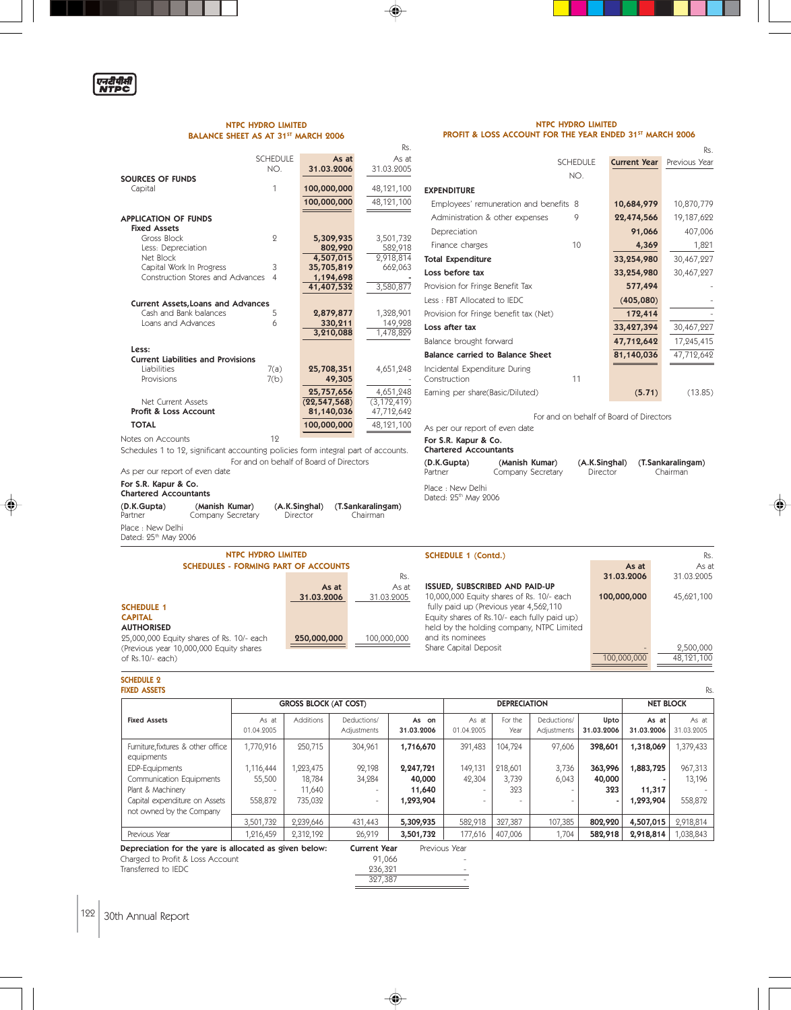

### NTPC HYDRO LIMITED BALANCE SHEET AS AT 31<sup>ST</sup> MARCH 2006

Schedules 1 to 12, significant accounting policies form integral part of accounts.

(D.K.Gupta) (Manish Kumar) (A.K.Singhal) (T.Sankaralingam)

**(Manish Kumar)**<br>Company Secretary

For and on behalf of Board of Directors

#### NTPC HYDRO LIMITED PROFIT & LOSS ACCOUNT FOR THE YEAR ENDED 31ST MARCH 2006

Rs.

|                                           |                 |                | Rs.           |                   |
|-------------------------------------------|-----------------|----------------|---------------|-------------------|
|                                           | <b>SCHEDULE</b> | As at          | As at         |                   |
|                                           | NO.             | 31.03.2006     | 31.03.2005    |                   |
| <b>SOURCES OF FUNDS</b>                   |                 |                |               |                   |
| Capital                                   | 1               | 100,000,000    | 48,121,100    | <b>EXPENDIT</b>   |
|                                           |                 | 100,000,000    | 48,121,100    | Employe           |
| <b>APPLICATION OF FUNDS</b>               |                 |                |               | Administ          |
| <b>Fixed Assets</b>                       |                 |                |               |                   |
| Gross Block                               | 9               | 5,309,935      | 3,501,732     | Deprecia          |
| Less: Depreciation                        |                 | 802,920        | 582,918       | Finance           |
| Net Block                                 |                 | 4,507,015      | 2,918,814     | <b>Total Expe</b> |
| Capital Work In Progress                  | 3               | 35,705,819     | 662,063       | Loss befo         |
| Construction Stores and Advances          | $\overline{4}$  | 1,194,698      |               |                   |
|                                           |                 | 41,407,532     | 3,580,877     | Provision f       |
| <b>Current Assets, Loans and Advances</b> |                 |                |               | Less : FBT        |
| Cash and Bank balances                    | 5               | 2,879,877      | 1,328,901     | Provision f       |
| Loans and Advances                        | 6               | 330,211        | 149,928       | Loss after        |
|                                           |                 | 3,210,088      | 1,478,829     | Balance br        |
| Less:                                     |                 |                |               |                   |
| <b>Current Liabilities and Provisions</b> |                 |                |               | Balance c         |
| Liabilities                               | 7(a)            | 25,708,351     | 4,651,248     | Incidental        |
| Provisions                                | 7(b)            | 49,305         |               | Constructio       |
|                                           |                 | 25,757,656     | 4,651,248     | Earning pe        |
| Net Current Assets                        |                 | (22, 547, 568) | (3, 172, 419) |                   |
| Profit & Loss Account                     |                 | 81,140,036     | 47,712,642    |                   |
| <b>TOTAL</b>                              |                 | 100,000,000    | 48,121,100    | As per our        |
| Notes on Accounts                         | 19              |                |               | $For$ $SP$ $K$    |

| <b>SCHEDULE</b>                                     | <b>Current Year</b> | Previous Year |
|-----------------------------------------------------|---------------------|---------------|
| NO.                                                 |                     |               |
| <b>EXPENDITURE</b>                                  |                     |               |
| Employees' remuneration and benefits 8              | 10,684,979          | 10,870,779    |
| Administration & other expenses<br>9                | 22,474,566          | 19,187,622    |
| Depreciation                                        | 91,066              | 407,006       |
| 10<br>Finance charges                               | 4,369               | 1,821         |
| <b>Total Expenditure</b>                            | 33,254,980          | 30,467,227    |
| Loss before tax                                     | 33,254,980          | 30,467,227    |
| Provision for Fringe Benefit Tax                    | 577,494             |               |
| Less: FBT Allocated to IEDC                         | (405, 080)          |               |
| Provision for Fringe benefit tax (Net)              | 172,414             |               |
| Loss after tax                                      | 33,427,394          | 30,467,227    |
| Balance brought forward                             | 47,712,642          | 17,245,415    |
| <b>Balance carried to Balance Sheet</b>             | 81,140,036          | 47,712,642    |
| Incidental Expenditure During<br>11<br>Construction |                     |               |
| Earning per share(Basic/Diluted)                    | (5.71)              | (13.85)       |

 For and on behalf of Board of Directors report of even date

S.R. Kapur & Co.

Chartered Accountants

| (D.K.Gupta)                   | (Manish Kumar)    | (A.K.Singhal) | (T.Sankaralingam) |
|-------------------------------|-------------------|---------------|-------------------|
| Partner                       | Company Secretary | Director      | Chairman          |
| $D1 = 12$ $A1 = 12$ $B1 = 11$ |                   |               |                   |

Place : New Delhi<br>Dated: 25<sup>th</sup> May 2006

| NTPC HYDRO LIMITED                          |             |             | SCHEDULE 1 (Contd.)                          |             | Rs.        |
|---------------------------------------------|-------------|-------------|----------------------------------------------|-------------|------------|
| <b>SCHEDULES - FORMING PART OF ACCOUNTS</b> |             |             |                                              | As at       | As at      |
|                                             |             | Rs.         |                                              | 31.03.2006  | 31.03.2005 |
|                                             | As at       | As at       | ISSUED, SUBSCRIBED AND PAID-UP               |             |            |
|                                             | 31.03.2006  | 31.03.2005  | 10,000,000 Equity shares of Rs. 10/- each    | 100,000,000 | 45,621,100 |
| <b>SCHEDULE 1</b>                           |             |             | fully paid up (Previous year 4,562,110       |             |            |
| <b>CAPITAL</b>                              |             |             | Equity shares of Rs.10/- each fully paid up) |             |            |
| <b>AUTHORISED</b>                           |             |             | held by the holding company, NTPC Limited    |             |            |
| 25,000,000 Equity shares of Rs. 10/- each   | 250,000,000 | 100,000,000 | and its nominees                             |             |            |
| (Previous year 10,000,000 Equity shares     |             |             | Share Capital Deposit                        |             | 2,500,000  |
| of Rs.10/- each)                            |             |             |                                              | 100,000,000 | 48,121,100 |
|                                             |             |             |                                              |             |            |

⊕

# SCHEDULE 2<br>FIXED ASSETS

◈

As per our report of even date For S.R. Kapur & Co. Chartered Accountants

Place : New Delhi<br>Dated: 25<sup>th</sup> May 2006

|                                                           |                     | <b>GROSS BLOCK (AT COST)</b> |                            |                        |                     | <b>DEPRECIATION</b> |                            | <b>NET BLOCK</b>   |                     |                     |
|-----------------------------------------------------------|---------------------|------------------------------|----------------------------|------------------------|---------------------|---------------------|----------------------------|--------------------|---------------------|---------------------|
| <b>Fixed Assets</b>                                       | As at<br>01.04.2005 | <b>Additions</b>             | Deductions/<br>Adjustments | As<br>on<br>31.03.2006 | As at<br>01.04.2005 | For the<br>Year     | Deductions/<br>Adjustments | Upto<br>31.03.2006 | As at<br>31.03.2006 | As at<br>31.03.2005 |
| Furniture, fixtures & other office<br>equipments          | ,770,916            | 250,715                      | 304,961                    | 1,716,670              | 391,483             | 104,724             | 97,606                     | 398,601            | 1,318,069           | 1,379,433           |
| <b>EDP-Equipments</b>                                     | 116,444             | 1,223,475                    | 92,198                     | 2,247,721              | 149,131             | 218,601             | 3,736                      | 363,996            | 1,883,725           | 967,313             |
| Communication Equipments                                  | 55,500              | 18,784                       | 34,284                     | 40,000                 | 42,304              | 3,739               | 6,043                      | 40,000             |                     | 13,196              |
| Plant & Machinery                                         |                     | 11,640                       | $\overline{\phantom{a}}$   | 11,640                 |                     | 393                 |                            | 323                | 11,317              |                     |
| Capital expenditure on Assets<br>not owned by the Company | 558,872             | 735,032                      | $\overline{\phantom{a}}$   | 1,293,904              |                     |                     |                            |                    | 1,293,904           | 558,872             |
|                                                           | 3,501,732           | 2,239,646                    | 431,443                    | 5,309,935              | 582,918             | 327,387             | 107,385                    | 802,920            | 4,507,015           | 2,918,814           |
| Previous Year                                             | 1,216,459           | 2,312,192                    | 26,919                     | 3,501,732              | 177,616             | 407,006             | 1,704                      | 582,918            | 2,918,814           | 1,038,843           |

 $\frac{236,321}{327,387}$ 

◈

 $\overline{a}$ 

Charged to Profit & Loss Account 91,066 Transferred to IEDC

122 30th Annual Report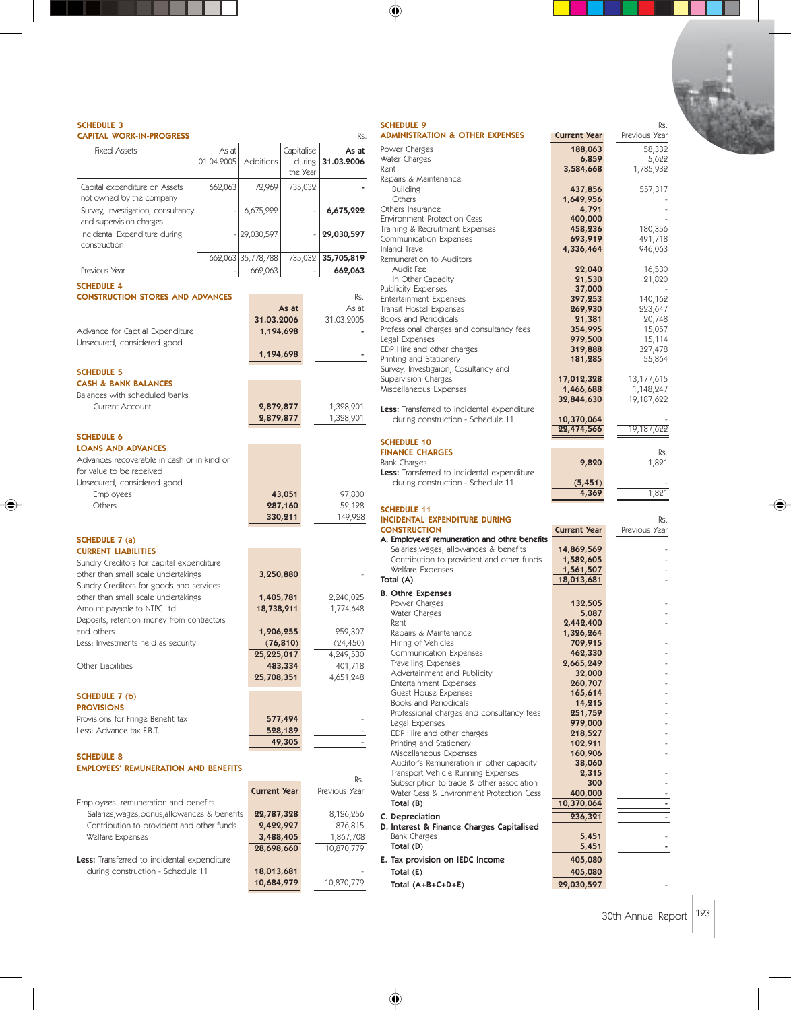|                                                               |            |                     |                    |                         | <b>SCHEDULE 9</b>                                                  |                                               |
|---------------------------------------------------------------|------------|---------------------|--------------------|-------------------------|--------------------------------------------------------------------|-----------------------------------------------|
| <b>CAPITAL WORK-IN-PROGRESS</b>                               |            |                     |                    | Rs.                     | <b>ADMINISTRATION &amp; OTHER EXPENSES</b>                         | <b>Current Year</b>                           |
| <b>Fixed Assets</b>                                           | As at      |                     | Capitalise         | As at                   | Power Charges                                                      | 188,063                                       |
|                                                               | 01.04.2005 | Additions           | during             | 31.03.2006              | Water Charges<br>Rent                                              | 6,859<br>3,584,668                            |
|                                                               |            |                     | the Year           |                         | Repairs & Maintenance                                              |                                               |
| Capital expenditure on Assets                                 | 662,063    | 72,969              | 735,032            |                         | <b>Building</b>                                                    | 437,856                                       |
| not owned by the company                                      |            |                     |                    |                         | Others<br>Others Insurance                                         | 1,649,956<br>4,791                            |
| Survey, investigation, consultancy<br>and supervision charges |            | 6,675,222           |                    | 6,675,222               | <b>Environment Protection Cess</b>                                 | 400,000                                       |
| incidental Expenditure during                                 |            | 29,030,597          |                    | 29,030,597              | Training & Recruitment Expenses                                    | 458,236                                       |
| construction                                                  |            |                     |                    |                         | Communication Expenses<br>Inland Travel                            | 693,919<br>4,336,464                          |
|                                                               |            | 662,063 35,778,788  |                    | 735,032 35,705,819      | Remuneration to Auditors                                           |                                               |
| Previous Year                                                 |            | 662,063             |                    | 662,063                 | Audit Fee                                                          | 22,040                                        |
| <b>SCHEDULE 4</b>                                             |            |                     |                    |                         | In Other Capacity<br><b>Publicity Expenses</b>                     | 21,530<br>37,000                              |
| <b>CONSTRUCTION STORES AND ADVANCES</b>                       |            |                     |                    | Rs.                     | <b>Entertainment Expenses</b>                                      | 397,253                                       |
|                                                               |            |                     | As at              | As at                   | Transit Hostel Expenses                                            | 269,930                                       |
|                                                               |            | 31.03.2006          |                    | 31.03.2005              | Books and Periodicals                                              | 21,381                                        |
| Advance for Captial Expenditure                               |            | 1,194,698           |                    |                         | Professional charges and consultancy fees<br>Legal Expenses        | 354,995<br>979,500                            |
| Unsecured, considered good                                    |            |                     |                    |                         | EDP Hire and other charges                                         | 319,888                                       |
|                                                               |            | 1,194,698           |                    |                         | Printing and Stationery                                            | 181,285                                       |
| <b>SCHEDULE 5</b>                                             |            |                     |                    |                         | Survey, Investigaion, Cosultancy and                               |                                               |
| <b>CASH &amp; BANK BALANCES</b>                               |            |                     |                    |                         | Supervision Charges<br>Miscellaneous Expenses                      | 17,012,328<br>1,466,688                       |
| Balances with scheduled banks                                 |            |                     |                    |                         |                                                                    | 32,844,630                                    |
| Current Account                                               |            | 2,879,877           |                    | 1,328,901               | Less: Transferred to incidental expenditure                        |                                               |
|                                                               |            | 2,879,877           |                    | 1,328,901               | during construction - Schedule 11                                  | 10,370,064<br>22,474,566                      |
| <b>SCHEDULE 6</b>                                             |            |                     |                    |                         | <b>SCHEDULE 10</b>                                                 |                                               |
| <b>LOANS AND ADVANCES</b>                                     |            |                     |                    |                         | <b>FINANCE CHARGES</b>                                             |                                               |
| Advances recoverable in cash or in kind or                    |            |                     |                    |                         | <b>Bank Charges</b>                                                | 9,820                                         |
| for value to be received                                      |            |                     |                    |                         | Less: Transferred to incidental expenditure                        |                                               |
| Unsecured, considered good                                    |            |                     |                    |                         | during construction - Schedule 11                                  | (5, 451)<br>4,369                             |
| <b>Employees</b><br>Others                                    |            |                     | 43,051             | 97,800                  |                                                                    |                                               |
|                                                               |            |                     | 287,160<br>330,211 | 52,128<br>149,928       | <b>SCHEDULE 11</b>                                                 |                                               |
|                                                               |            |                     |                    |                         | INCIDENTAL EXPENDITURE DURING<br><b>CONSTRUCTION</b>               | <b>Current Year</b>                           |
| SCHEDULE 7 (a)                                                |            |                     |                    |                         |                                                                    | A. Employees' remuneration and othre benefits |
| <b>CURRENT LIABILITIES</b>                                    |            |                     |                    |                         | Salaries, wages, allowances & benefits                             | 14,869,569                                    |
| Sundry Creditors for capital expenditure                      |            |                     |                    |                         | Contribution to provident and other funds                          | 1,582,605                                     |
| other than small scale undertakings                           |            | 3,250,880           |                    |                         | Welfare Expenses                                                   | 1,561,507                                     |
| Sundry Creditors for goods and services                       |            |                     |                    |                         | Total (A)                                                          | 18,013,681                                    |
| other than small scale undertakings                           |            | 1,405,781           |                    | 2,240,025               | <b>B. Othre Expenses</b>                                           |                                               |
| Amount payable to NTPC Ltd.                                   |            | 18,738,911          |                    | 1,774,648               | Power Charges<br>Water Charges                                     | 132,505<br>5,087                              |
| Deposits, retention money from contractors                    |            |                     |                    |                         | Rent                                                               | 2,442,400                                     |
| and others                                                    |            | 1,906,255           |                    | 259,307                 | Repairs & Maintenance                                              | 1,326,264                                     |
| Less: Investments held as security                            |            |                     | (76, 810)          | (24, 450)               | Hiring of Vehicles                                                 | 709,915                                       |
|                                                               |            | 25,225,017          |                    | 4,249,530               | Communication Expenses<br>Travelling Expenses                      | 462,330<br>2,665,249                          |
| Other Liabilities                                             |            | 25,708,351          | 483,334            | 401,718<br>4,651,248    | Advertainment and Publicity                                        | 32,000                                        |
|                                                               |            |                     |                    |                         | Entertainment Expenses                                             | 260,707                                       |
| SCHEDULE 7 (b)                                                |            |                     |                    |                         | Guest House Expenses<br><b>Books and Periodicals</b>               | 165,614<br>14,215                             |
| <b>PROVISIONS</b>                                             |            |                     |                    |                         | Professional charges and consultancy fees                          | 251,759                                       |
| Provisions for Fringe Benefit tax                             |            |                     | 577,494            |                         | Legal Expenses                                                     | 979,000                                       |
| Less: Advance tax F.B.T.                                      |            |                     | 528,189            |                         | EDP Hire and other charges                                         | 218,527                                       |
|                                                               |            |                     | 49,305             |                         | Printing and Stationery                                            | 102,911                                       |
| <b>SCHEDULE 8</b>                                             |            |                     |                    |                         | Miscellaneous Expenses<br>Auditor's Remuneration in other capacity | 160,906<br>38,060                             |
| <b>EMPLOYEES' REMUNERATION AND BENEFITS</b>                   |            |                     |                    |                         | Transport Vehicle Running Expenses                                 | 2,315                                         |
|                                                               |            |                     |                    | Rs.                     | Subscription to trade & other association                          | 300                                           |
|                                                               |            | <b>Current Year</b> |                    | Previous Year           | Water Cess & Environment Protection Cess                           | 400,000                                       |
| Employees' remuneration and benefits                          |            |                     |                    |                         | Total $(B)$                                                        | 10,370,064                                    |
| Salaries, wages, bonus, allowances & benefits                 |            | 22,787,328          |                    | 8,126,256               | C. Depreciation                                                    | 236,321                                       |
| Contribution to provident and other funds                     |            | 2,422,927           |                    | 876,815                 | D. Interest & Finance Charges Capitalised                          |                                               |
|                                                               |            | 3,488,405           |                    | 1,867,708<br>10,870,779 | Bank Charges<br>Total (D)                                          | 5,451<br>5,451                                |
| Welfare Expenses                                              |            | 28,698,660          |                    |                         |                                                                    |                                               |
| Less: Transferred to incidental expenditure                   |            |                     |                    |                         |                                                                    | E. Tax provision on IEDC Income<br>405,080    |
| during construction - Schedule 11                             |            | 18,013,681          |                    |                         | Total (E)                                                          | 405,080                                       |

 $\blacklozenge$ 

◈

 $\color{red}\blacklozenge$ 

♦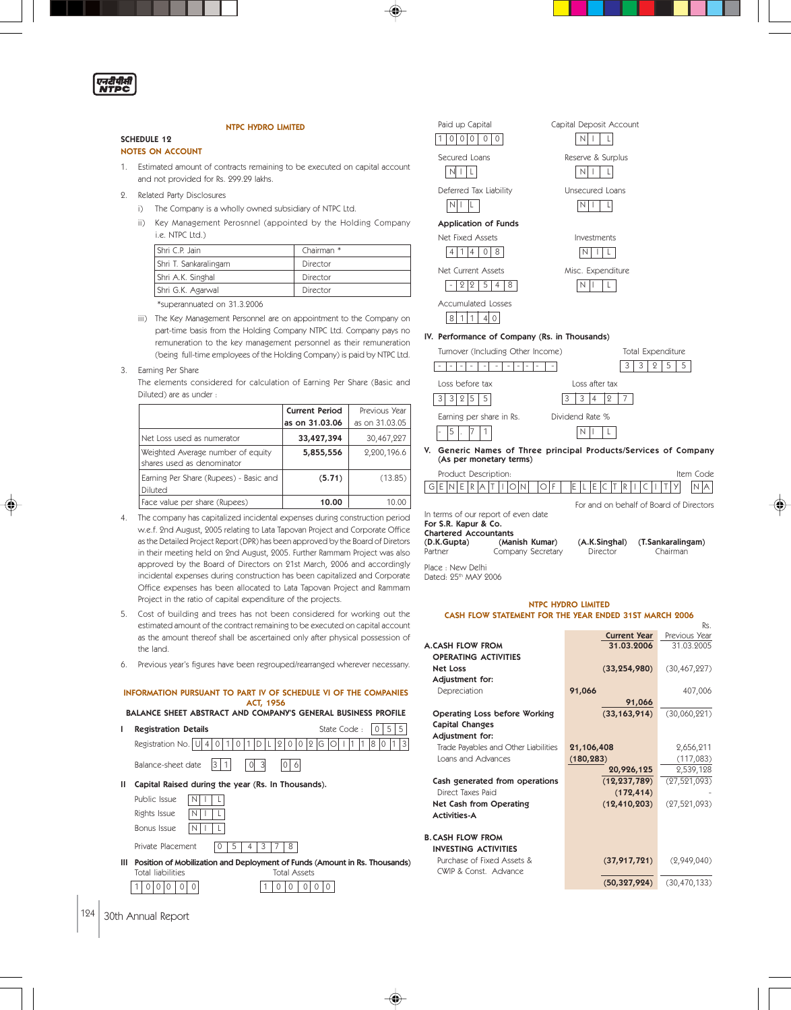एनरीपीती<br>NTPC

# NTPC HYDRO LIMITED

## NOTES ON ACCOUNT

SCHEDULE 12

1. Estimated amount of contracts remaining to be executed on capital account and not provided for Rs. 299.29 lakhs.

- 2. Related Party Disclosures
	- i) The Company is a wholly owned subsidiary of NTPC Ltd.
	- ii) Key Management Perosnnel (appointed by the Holding Company i.e. NTPC Ltd.)

| Shri C.P. Jain        | Chairman * |
|-----------------------|------------|
| Shri T. Sankaralingam | Director   |
| Shri A.K. Singhal     | Director   |
| Shri G.K. Agarwal     | Director   |
| - - - - - - -         |            |

\*superannuated on 31.3.2006

iii) The Key Management Personnel are on appointment to the Company on part-time basis from the Holding Company NTPC Ltd. Company pays no remuneration to the key management personnel as their remuneration (being full-time employees of the Holding Company) is paid by NTPC Ltd.

#### 3. Earning Per Share

The elements considered for calculation of Earning Per Share (Basic and Diluted) are as under :

|                                                                 | <b>Current Period</b> | Previous Year  |
|-----------------------------------------------------------------|-----------------------|----------------|
|                                                                 | as on 31.03.06        | as on 31.03.05 |
| Net Loss used as numerator                                      | 33,427,394            | 30,467,227     |
| Weighted Average number of equity<br>shares used as denominator | 5,855,556             | 2,200,196.6    |
| Earning Per Share (Rupees) - Basic and<br>Diluted               | (5.71)                | (13.85)        |
| Face value per share (Rupees)                                   | 10.00                 | 10.00          |

- 4. The company has capitalized incidental expenses during construction period w.e.f. 2nd August, 2005 relating to Lata Tapovan Project and Corporate Office as the Detailed Project Report (DPR) has been approved by the Board of Diretors in their meeting held on 2nd August, 2005. Further Rammam Project was also approved by the Board of Directors on 21st March, 2006 and accordingly incidental expenses during construction has been capitalized and Corporate Office expenses has been allocated to Lata Tapovan Project and Rammam Project in the ratio of capital expenditure of the projects.
- 5. Cost of building and trees has not been considered for working out the estimated amount of the contract remaining to be executed on capital account as the amount thereof shall be ascertained only after physical possession of the land.
- 6. Previous year's figures have been regrouped/rearranged wherever necessany.

#### INFORMATION PURSUANT TO PART IV OF SCHEDULE VI OF THE COMPANIES ACT, 1956

BALANCE SHEET ABSTRACT AND COMPANY'S GENERAL BUSINESS PROFILE

| ı | <b>Registration Details</b>                                                                                            | State Code:<br>5<br>5 |
|---|------------------------------------------------------------------------------------------------------------------------|-----------------------|
|   | Registration No. U<br>12<br>$\Omega$                                                                                   | 8<br>G                |
|   | Balance-sheet date<br>13                                                                                               |                       |
| Ш | Capital Raised during the year (Rs. In Thousands).                                                                     |                       |
|   | Public Issue                                                                                                           |                       |
|   | Rights Issue                                                                                                           |                       |
|   | Bonus Issue                                                                                                            |                       |
|   | Private Placement<br>8                                                                                                 |                       |
| ш | Position of Mobilization and Deployment of Funds (Amount in Rs. Thousands)<br><b>Total Assets</b><br>Total liabilities |                       |
|   |                                                                                                                        |                       |



| Paid up Capital                      | Capital Deposit Acco |
|--------------------------------------|----------------------|
| $^{()}$<br>$\cup$                    |                      |
| Secured Loans                        | Reserve & Surplus    |
| Deferred Tax Liability               | Unsecured Loans      |
| <b>Application of Funds</b>          |                      |
| Net Fixed Assets                     | Investments          |
| 8<br>Λ                               |                      |
| Net Current Assets                   | Misc. Expenditure    |
| 5<br>12<br>8<br>4<br>ջ               |                      |
| <b>Accumulated Losses</b><br>ملبايله |                      |

# $8 \mid 1 \mid 1 \mid 4 \mid 0$

### IV. Performance of Company (Rs. in Thousands) Turnover (Including Other Income) Total Expenditure



Capital Deposit Account

 For and on behalf of Board of Directors In terms of our report of even date For S.R. Kapur & Co. Chartered Accountants<br>(D.K.Gupta) (Manish Kumar) (D.K.Gupta) (Manish Kumar) (A.K.Singhal) (T.Sankaralingam) Company Secretary

Rs.

Place : New Delhi

Dated: 95th MAY 9006

#### NTPC HYDRO LIMITED CASH FLOW STATEMENT FOR THE YEAR ENDED 31ST MARCH 2006

|                                      | <b>Current Year</b> | Previous Year  |
|--------------------------------------|---------------------|----------------|
| <b>A.CASH FLOW FROM</b>              | 31.03.2006          | 31.03.2005     |
| <b>OPERATING ACTIVITIES</b>          |                     |                |
| <b>Net Loss</b>                      | (33, 254, 980)      | (30, 467, 227) |
| Adjustment for:                      |                     |                |
| Depreciation                         | 91,066              | 407,006        |
|                                      | 91,066              |                |
| Operating Loss before Working        | (33, 163, 914)      | (30,060,221)   |
| Capital Changes                      |                     |                |
| Adjustment for:                      |                     |                |
| Trade Payables and Other Liabilities | 21,106,408          | 2,656,211      |
| Loans and Advances                   | (180, 283)          | (117,083)      |
|                                      | 20,926,125          | 2,539,128      |
| Cash generated from operations       | (12, 237, 789)      | (27, 521, 093) |
| Direct Taxes Paid                    | (172, 414)          |                |
| Net Cash from Operating              | (12, 410, 203)      | (27,521,093)   |
| <b>Activities-A</b>                  |                     |                |
|                                      |                     |                |
| <b>B. CASH FLOW FROM</b>             |                     |                |
| <b>INVESTING ACTIVITIES</b>          |                     |                |
| Purchase of Fixed Assets &           | (37, 917, 721)      | (2,949,040)    |
| CWIP & Const. Advance                |                     |                |
|                                      | (50, 327, 924)      | (30, 470, 133) |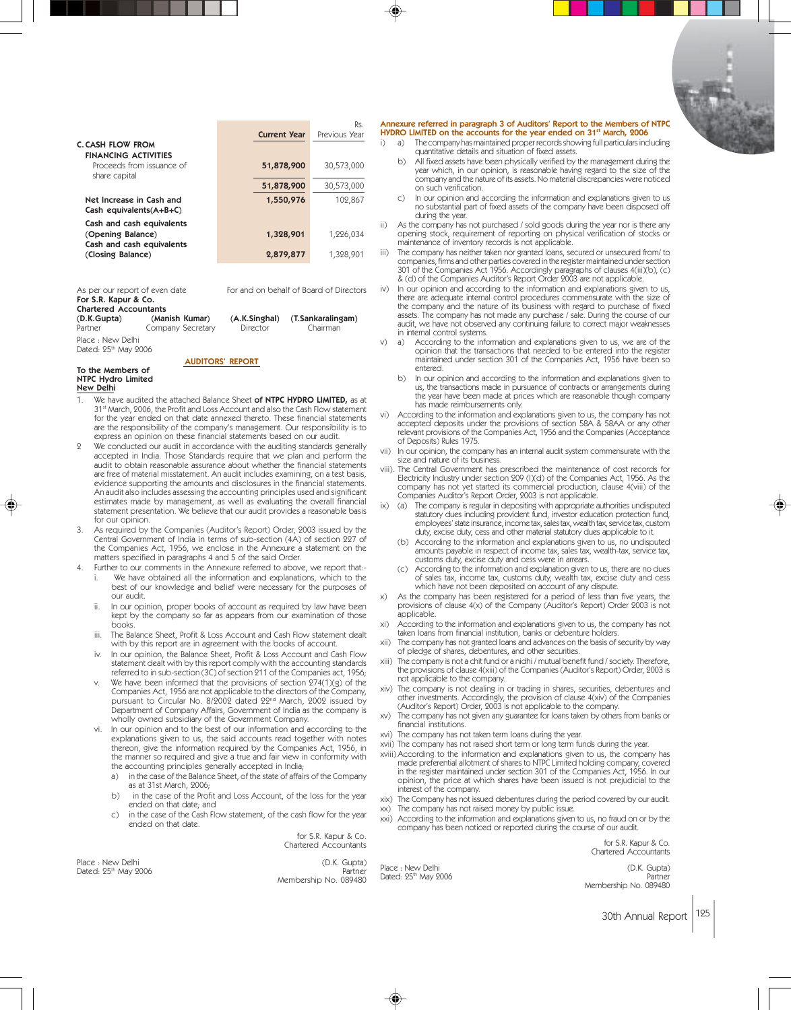|                                                                             |                     | Rs.           |
|-----------------------------------------------------------------------------|---------------------|---------------|
|                                                                             | <b>Current Year</b> | Previous Year |
| <b>C. CASH FLOW FROM</b><br><b>FINANCING ACTIVITIES</b>                     |                     |               |
| Proceeds from issuance of<br>share capital                                  | 51,878,900          | 30,573,000    |
|                                                                             | 51,878,900          | 30,573,000    |
| Net Increase in Cash and<br>Cash equivalents $(A+B+C)$                      | 1,550,976           | 102,867       |
| Cash and cash equivalents<br>(Opening Balance)<br>Cash and cash equivalents | 1,328,901           | 1,226,034     |
| (Closing Balance)                                                           | 2,879,877           | 1,328,901     |
|                                                                             |                     |               |

| As per our report of even date |                   | For and on behalf of Board of Directors |                   |  |  |  |
|--------------------------------|-------------------|-----------------------------------------|-------------------|--|--|--|
| For S.R. Kapur & Co.           |                   |                                         |                   |  |  |  |
| <b>Chartered Accountants</b>   |                   |                                         |                   |  |  |  |
| (D.K.Gupta)                    | (Manish Kumar)    | (A.K.Singhal)                           | (T.Sankaralingam) |  |  |  |
| Partner                        | Company Secretary | Director                                | Chairman          |  |  |  |
| Place : New Delhi              |                   |                                         |                   |  |  |  |
| Dated: 25th May 2006           |                   |                                         |                   |  |  |  |

AUDITORS' REPORT

To the Members of NTPC Hydro Limited

- New Delhi
- We have audited the attached Balance Sheet of NTPC HYDRO LIMITED, as at 31st March, 2006, the Profit and Loss Account and also the Cash Flow statement for the year ended on that date annexed thereto. These financial statements are the responsibility of the company's management. Our responsibility is to express an opinion on these financial statements based on our audit.
- 2 We conducted our audit in accordance with the auditing standards generally accepted in India. Those Standards require that we plan and perform the audit to obtain reasonable assurance about whether the financial statements are free of material misstatement. An audit includes examining, on a test basis, evidence supporting the amounts and disclosures in the financial statements. An audit also includes assessing the accounting principles used and significant estimates made by management, as well as evaluating the overall financial statement presentation. We believe that our audit provides a reasonable basis for our opinion.
- 3. As required by the Companies (Auditor's Report) Order, 2003 issued by the Central Government of India in terms of sub-section (4A) of section 227 of the Companies Act, 1956, we enclose in the Annexure a statement on the matters specified in paragraphs 4 and 5 of the said Order.
- 4. Further to our comments in the Annexure referred to above, we report that:- We have obtained all the information and explanations, which to the best of our knowledge and belief were necessary for the purposes of our audit.
	- ii. In our opinion, proper books of account as required by law have been kept by the company so far as appears from our examination of those books.
	- iii. The Balance Sheet, Profit & Loss Account and Cash Flow statement dealt with by this report are in agreement with the books of account.
	- iv. In our opinion, the Balance Sheet, Profit & Loss Account and Cash Flow statement dealt with by this report comply with the accounting standards referred to in sub-section (3C) of section 211 of the Companies act, 1956;
	- We have been informed that the provisions of section  $274(1)(g)$  of the Companies Act, 1956 are not applicable to the directors of the Company, pursuant to Circular No. 8/2002 dated 22nd March, 2002 issued by Department of Company Affairs, Government of India as the company is wholly owned subsidiary of the Government Company.
	- In our opinion and to the best of our information and according to the explanations given to us, the said accounts read together with notes thereon, give the information required by the Companies Act, 1956, in the manner so required and give a true and fair view in conformity with the accounting principles generally accepted in India;
		- a) in the case of the Balance Sheet, of the state of affairs of the Company as at 31st March, 2006;
		- b) in the case of the Profit and Loss Account, of the loss for the year ended on that date; and
		- c) in the case of the Cash Flow statement, of the cash flow for the year ended on that date.

for S.R. Kapur & Co. Chartered Accountants

Place : New Delhi (D.K. Gupta)<br>Dated: 25<sup>th</sup> May 2006 (D.K. Gupta) Dated: 25<sup>th</sup> May 2006

Membership No. 089480

◈

Annexure referred in paragraph 3 of Auditors' Report to the Members of NTPC HYDRO LIMITED on the accounts for the year ended on 31st March, 2006

- i) a) The company has maintained proper records showing full particulars including quantitative details and situation of fixed assets.
	- b) All fixed assets have been physically verified by the management during the year which, in our opinion, is reasonable having regard to the size of the company and the nature of its assets. No material discrepancies were noticed on such verification.
	- c) In our opinion and according the information and explanations given to us no substantial part of fixed assets of the company have been disposed off during the year.
- As the company has not purchased / sold goods during the year nor is there any opening stock, requirement of reporting on physical verification of stocks or maintenance of inventory records is not applicable.
- The company has neither taken nor granted loans, secured or unsecured from/ to companies, firms and other parties covered in the register maintained under section<br>301 of the Companies Act 1956. Accordingly paragraphs of clauses 4(iii)(b), (c)<br>& (d) of the Companies Auditor's Report Order 2003 are not
- In our opinion and according to the information and explanations given to us, there are adequate internal control procedures commensurate with the size of the company and the nature of its business with regard to purchase of fixed assets. The company has not made any purchase / sale. During the course of our audit, we have not observed any continuing failure to correct major weaknesses in internal control systems.
- v) a) According to the information and explanations given to us, we are of the opinion that the transactions that needed to be entered into the register maintained under section 301 of the Companies Act, 1956 have been so entered.
	- b) In our opinion and according to the information and explanations given to us, the transactions made in pursuance of contracts or arrangements during the year have been made at prices which are reasonable though company has made reimbursements only.
- vi) According to the information and explanations given to us, the company has not<br>accepted deposits under the provisions of section 58A & 58AA or any other<br>relevant provisions of the Companies Act, 1956 and the Companies of Deposits) Rules 1975.
- vii) In our opinion, the company has an internal audit system commensurate with the size and nature of its business.
- viii). The Central Government has prescribed the maintenance of cost records for Electricity Industry under section 209 (l)(d) of the Companies Act, 1956. As the company has not yet started its commercial production, clause 4(viii) of the Companies Auditor's Report Order, 2003 is not applicable.
- ix) (a) The company is regular in depositing with appropriate authorities undisputed statutory dues including provident fund, investor education protection fund, employees' state insurance, income tax, sales tax, wealth tax, service tax, custom duty, excise duty, cess and other material statutory dues applicable to it.
	- (b) According to the information and explanations given to us, no undisputed amounts payable in respect of income tax, sales tax, wealth-tax, service tax, customs duty, excise duty and cess were in arrears.
	- (c) According to the information and explanation given to us, there are no dues of sales tax, income tax, customs duty, wealth tax, excise duty and cess which have not been deposited on account of any dispute.
- x) As the company has been registered for a period of less than five years, the provisions of clause 4(x) of the Company (Auditor's Report) Order 2003 is not applicable.
- According to the information and explanations given to us, the company has not taken loans from financial institution, banks or debenture holders.
- xii) The company has not granted loans and advances on the basis of security by way of pledge of shares, debentures, and other securities.
- xiii) The company is not a chit fund or a nidhi / mutual benefit fund / society. Therefore, the provisions of clause 4(xiii) of the Companies (Auditor's Report) Order, 2003 is not applicable to the company.
- xiv) The company is not dealing in or trading in shares, securities, debentures and other investments. Accordingly, the provision of clause 4(xiv) of the Companies (Auditor's Report) Order, 2003 is not applicable to the company.
- xv) The company has not given any guarantee for loans taken by others from banks or financial institutions.
- xvi) The company has not taken term loans during the year.
- xvii) The company has not raised short term or long term funds during the year.
- xviii) According to the information and explanations given to us, the company has made preferential allotment of shares to NTPC Limited holding company, covered in the register maintained under section 301 of the Companies Act, 1956. In our opinion, the price at which shares have been issued is not prejudicial to the interest of the company.
- xix) The Company has not issued debentures during the period covered by our audit.
- xx) The company has not raised money by public issue.
- xxi) According to the information and explanations given to us, no fraud on or by the company has been noticed or reported during the course of our audit.

for S.R. Kapur & Co. Chartered Accountants

Place : New Delhi (D.K. Gupta) Dated: 25th May 2006 Partner Membership No. 089480

30th Annual Report 125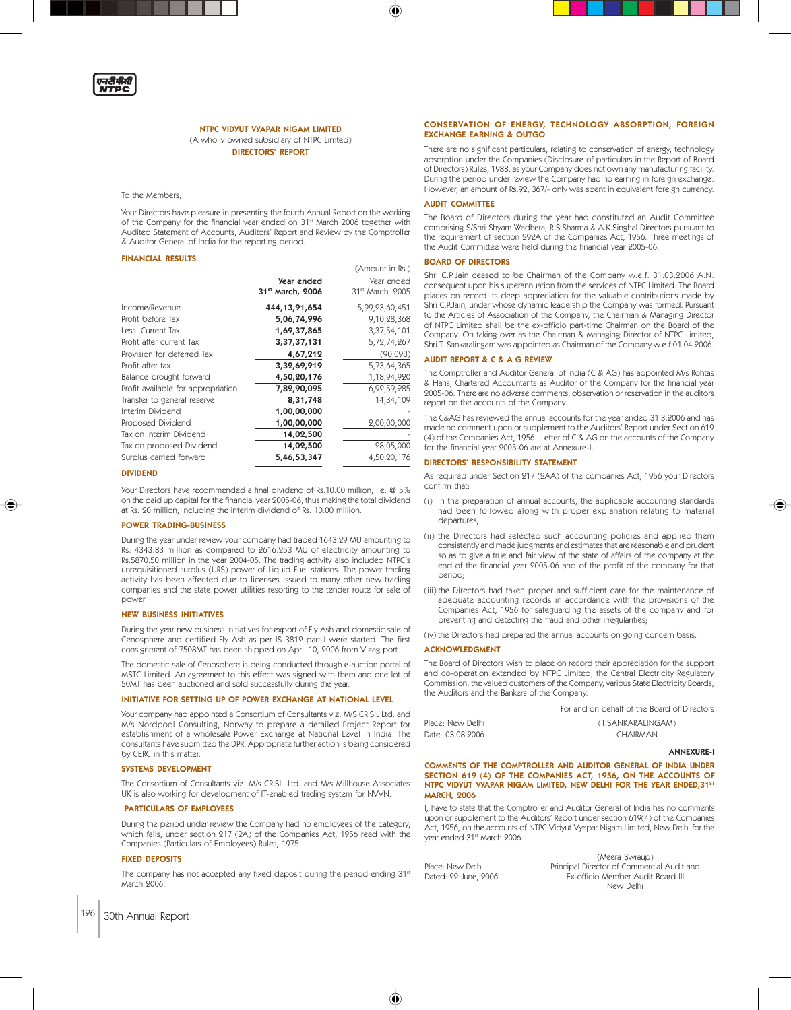

NTPC VIDYUT VYAPAR NIGAM LIMITED (A wholly owned subsidiary of NTPC Limted) DIRECTORS' REPORT

#### To the Members,

Your Directors have pleasure in presenting the fourth Annual Report on the working of the Company for the financial year ended on 31<sup>st</sup> March 2006 together with Audited Statement of Accounts, Auditors' Report and Review by the Comptroller & Auditor General of India for the reporting period.

#### FINANCIAL RESULTS

|                                    |                                            | (Amount in Rs.)                            |
|------------------------------------|--------------------------------------------|--------------------------------------------|
|                                    | Year ended<br>31 <sup>st</sup> March, 2006 | Year ended<br>31 <sup>st</sup> March, 2005 |
| Income/Revenue                     | 444, 13, 91, 654                           | 5,99,23,60,451                             |
| Profit before Tax                  | 5,06,74,996                                | 9,10,28,368                                |
| Less: Current Tax                  | 1,69,37,865                                | 3,37,54,101                                |
| Profit after current Tax           | 3,37,37,131                                | 5,72,74,267                                |
| Provision for deferred Tax         | 4,67,212                                   | (90,098)                                   |
| Profit after tax                   | 3,32,69,919                                | 5,73,64,365                                |
| Balance brought forward            | 4,50,20,176                                | 1,18,94,920                                |
| Profit available for appropriation | 7,82,90,095                                | 6,92,59,285                                |
| Transfer to general reserve        | 8,31,748                                   | 14,34,109                                  |
| Interim Dividend                   | 1,00,00,000                                |                                            |
| Proposed Dividend                  | 1,00,00,000                                | 2,00,00,000                                |
| Tax on Interim Dividend            | 14,02,500                                  |                                            |
| Tax on proposed Dividend           | 14,02,500                                  | 28,05,000                                  |
| Surplus carried forward            | 5,46,53,347                                | 4,50,20,176                                |

#### DIVIDEND

Your Directors have recommended a final dividend of Rs.10.00 million, i.e. @ 5% on the paid up capital for the financial year 2005-06, thus making the total dividend at Rs. 20 million, including the interim dividend of Rs. 10.00 million.

#### POWER TRADING-BUSINESS

During the year under review your company had traded 1643.29 MU amounting to Rs. 4343.83 million as compared to 2616.253 MU of electricity amounting to Rs.5870.50 million in the year 2004-05. The trading activity also included NTPC's unrequisitioned surplus (URS) power of Liquid Fuel stations. The power trading activity has been affected due to licenses issued to many other new trading companies and the state power utilities resorting to the tender route for sale of power.

#### NEW BUSINESS INITIATIVES

During the year new business initiatives for export of Fly Ash and domestic sale of Cenosphere and certified Fly Ash as per IS 3812 part-I were started. The first consignment of 7508MT has been shipped on April 10, 2006 from Vizag port.

The domestic sale of Cenosphere is being conducted through e-auction portal of MSTC Limited. An agreement to this effect was signed with them and one lot of 50MT has been auctioned and sold successfully during the year.

#### INITIATIVE FOR SETTING UP OF POWER EXCHANGE AT NATIONAL LEVEL

Your company had appointed a Consortium of Consultants viz. M/S CRISIL Ltd. and M/s Nordpool Consulting, Norway to prepare a detailed Project Report for establishment of a wholesale Power Exchange at National Level in India. The consultants have submitted the DPR. Appropriate further action is being considered by CERC in this matter.

#### SYSTEMS DEVELOPMENT

The Consortium of Consultants viz. M/s CRISIL Ltd. and M/s Millhouse Associates UK is also working for development of IT-enabled trading system for NVVN.

#### PARTICULARS OF EMPLOYEES

During the period under review the Company had no employees of the category, which falls, under section 217 (2A) of the Companies Act, 1956 read with the Companies (Particulars of Employees) Rules, 1975.

#### FIXED DEPOSITS

The company has not accepted any fixed deposit during the period ending 31st March 9006

# 126 30th Annual Report

#### CONSERVATION OF ENERGY, TECHNOLOGY ABSORPTION, FOREIGN EXCHANGE EARNING & OUTGO

There are no significant particulars, relating to conservation of energy, technology absorption under the Companies (Disclosure of particulars in the Report of Board of Directors) Rules, 1988, as your Company does not own any manufacturing facility. During the period under review the Company had no earning in foreign exchange. However, an amount of Rs.92, 367/- only was spent in equivalent foreign currency.

#### AUDIT COMMITTEE

The Board of Directors during the year had constituted an Audit Committee comprising S/Shri Shyam Wadhera, R.S.Sharma & A.K.Singhal Directors pursuant to the requirement of section 292A of the Companies Act, 1956. Three meetings of the Audit Committee were held during the financial year 2005-06.

#### BOARD OF DIRECTORS

Shri C.P.Jain ceased to be Chairman of the Company w.e.f. 31.03.2006 A.N. consequent upon his superannuation from the services of NTPC Limited. The Board places on record its deep appreciation for the valuable contributions made by Shri C.P.Jain, under whose dynamic leadership the Company was formed. Pursuant to the Articles of Association of the Company, the Chairman & Managing Director of NTPC Limited shall be the ex-officio part-time Chairman on the Board of the Company. On taking over as the Chairman & Managing Director of NTPC Limited, Shri T. Sankaralingam was appointed as Chairman of the Company w.e.f 01.04.2006.

#### AUDIT REPORT & C & A G REVIEW

The Comptroller and Auditor General of India (C & AG) has appointed M/s Rohtas & Hans, Chartered Accountants as Auditor of the Company for the financial year 2005-06. There are no adverse comments, observation or reservation in the auditors report on the accounts of the Company.

The C&AG has reviewed the annual accounts for the year ended 31.3.2006 and has made no comment upon or supplement to the Auditors' Report under Section 619 (4) of the Companies Act, 1956. Letter of C & AG on the accounts of the Company for the financial year 2005-06 are at Annexure-I.

#### DIRECTORS' RESPONSIBILITY STATEMENT

As required under Section 217 (2AA) of the companies Act, 1956 your Directors confirm that:

- (i) in the preparation of annual accounts, the applicable accounting standards had been followed along with proper explanation relating to material departures;
- (ii) the Directors had selected such accounting policies and applied them consistently and made judgments and estimates that are reasonable and prudent so as to give a true and fair view of the state of affairs of the company at the end of the financial year 2005-06 and of the profit of the company for that period;
- (iii) the Directors had taken proper and sufficient care for the maintenance of adequate accounting records in accordance with the provisions of the Companies Act, 1956 for safeguarding the assets of the company and for preventing and detecting the fraud and other irregularities;

(iv) the Directors had prepared the annual accounts on going concern basis.

### ACKNOWLEDGMENT

The Board of Directors wish to place on record their appreciation for the support and co-operation extended by NTPC Limited, the Central Electricity Regulatory Commission, the valued customers of the Company, various State Electricity Boards, the Auditors and the Bankers of the Company.

| For and on behalf of the Board of Directors |  |
|---------------------------------------------|--|
|---------------------------------------------|--|

| Place: New Delhi | (T.SANKARALINGAM) |
|------------------|-------------------|
| Date: 03.08.2006 | CHAIRMAN          |

#### ANNEXURE-I

COMMENTS OF THE COMPTROLLER AND AUDITOR GENERAL OF INDIA UNDER SECTION 619 (4) OF THE COMPANIES ACT, 1956, ON THE ACCOUNTS OF NTPC VIDYUT VYAPAR NIGAM LIMITED, NEW DELHI FOR THE YEAR ENDED, 31ST MARCH, 2006

I, have to state that the Comptroller and Auditor General of India has no comments upon or supplement to the Auditors' Report under section 619(4) of the Companies Act, 1956, on the accounts of NTPC Vidyut Vyapar Nigam Limited, New Delhi for the year ended 31st March 2006.

(Meera Swraup) Place: New Delhi Principal Director of Commercial Audit and Ex-officio Member Audit Board-III New Delhi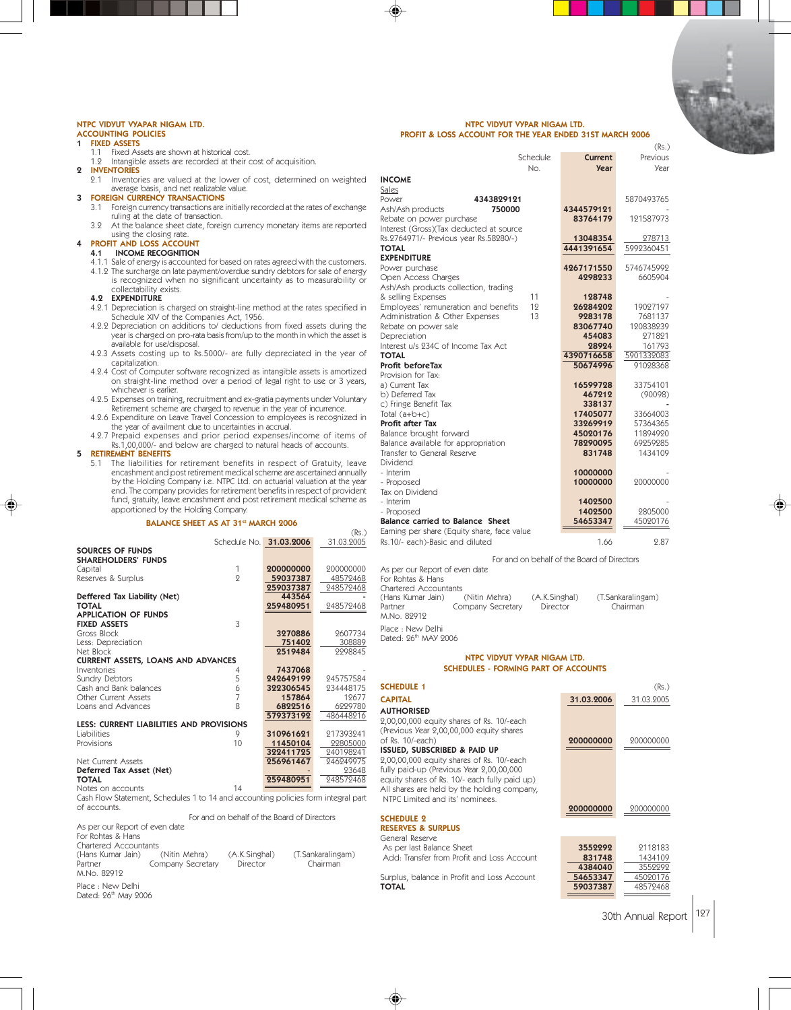## NTPC VIDYUT VYAPAR NIGAM LTD.

# ACCOUNTING POLICIES

- 
- **1 FIXED ASSETS**<br>1.1 Fixed Assets are shown at historical cost. 1.2 Intangible assets are recorded at their cost of acquisition.
- 2 INVENTORIES
- 2.1 Inventories are valued at the lower of cost, determined on weighted average basis, and net realizable value.
- 3 FOREIGN CURRENCY TRANSACTIONS
	- 3.1 Foreign currency transactions are initially recorded at the rates of exchange ruling at the date of transaction. 3.2 At the balance sheet date, foreign currency monetary items are reported
	-

# using the closing rate.<br>**4 PROFIT AND LOSS ACCOUNT**

- 4.1 INCOME RECOGNITION
- 4.1.1 Sale of energy is accounted for based on rates agreed with the customers.
- 4.1.2 The surcharge on late payment/overdue sundry debtors for sale of energy is recognized when no significant uncertainty as to measurability or collectability exists. 4.2 EXPENDITURE
- 4.2.1 Depreciation is charged on straight-line method at the rates specified in Schedule XIV of the Companies Act, 1956. 4.2.2 Depreciation on additions to/ deductions from fixed assets during the
- year is charged on pro-rata basis from/up to the month in which the asset is available for use/disposal.
- 4.2.3 Assets costing up to Rs.5000/- are fully depreciated in the year of capitalization.
- 4.2.4 Cost of Computer software recognized as intangible assets is amortized on straight-line method over a period of legal right to use or 3 years, whichever is earlier.
- 4.2.5 Expenses on training, recruitment and ex-gratia payments under Voluntary Retirement scheme are charged to revenue in the year of incurrence. 4.2.6 Expenditure on Leave Travel Concession to employees is recognized in
- the year of availment due to uncertainties in accrual.
- 4.2.7 Prepaid expenses and prior period expenses/income of items of Rs.1,00,000/- and below are charged to natural heads of accounts.

5 RETIREMENT BENEFITS

5.1 The liabilities for retirement benefits in respect of Gratuity, leave encashment and post retirement medical scheme are ascertained annually by the Holding Company i.e. NTPC Ltd. on actuarial valuation at the year end. The company provides for retirement benefits in respect of provident fund, gratuity, leave encashment and post retirement medical scheme as apportioned by the Holding Company.

#### BALANCE SHEET AS AT 31<sup>st</sup> MARCH 2006

|                                           |    |                         | (Rs.)      |
|-------------------------------------------|----|-------------------------|------------|
|                                           |    | Schedule No. 31.03.2006 | 31.03.2005 |
| SOURCES OF FUNDS                          |    |                         |            |
| <b>SHAREHOLDERS' FUNDS</b>                |    |                         |            |
| Capital                                   | 1  | 200000000               | 200000000  |
| Reserves & Surplus                        | 9  | 59037387                | 48572468   |
|                                           |    | 259037387               | 248572468  |
| Deffered Tax Liability (Net)              |    | 443564                  |            |
| <b>TOTAL</b>                              |    | 259480951               | 248572468  |
| <b>APPLICATION OF FUNDS</b>               |    |                         |            |
| <b>FIXED ASSETS</b>                       | 3  |                         |            |
| Gross Block                               |    | 3270886                 | 2607734    |
| Less: Depreciation                        |    | 751402                  | 308889     |
| Net Block                                 |    | 2519484                 | 2298845    |
| <b>CURRENT ASSETS, LOANS AND ADVANCES</b> |    |                         |            |
| Inventories                               | 4  | 7437068                 |            |
| Sundry Debtors                            | 5  | 242649199               | 945757584  |
| Cash and Bank balances                    | 6  | 322306545               | 934448175  |
| Other Current Assets                      | 7  | 157864                  | 19677      |
| Loans and Advances                        | 8  | 6822516                 | 6229780    |
|                                           |    | 579373192               | 486448916  |
| LESS: CURRENT LIABILITIES AND PROVISIONS  |    |                         |            |
| Liabilities                               | 9  | 310961621               | 217393241  |
| Provisions                                | 10 | 11450104                | 22805000   |
|                                           |    | 322411725               | 240198241  |
| Net Current Assets                        |    | 256961467               | 246249975  |
| Deferred Tax Asset (Net)                  |    |                         | 23648      |
| <b>TOTAL</b>                              |    | 259480951               | 248572468  |
| Notes on accounts                         | 14 |                         |            |

Cash Flow Statement, Schedules 1 to 14 and accounting policies form integral part of accounts.

 For and on behalf of the Board of Directors As per our Report of even date

For Rohtas & Hans

| Chartered Accountants |                   |               |                   |
|-----------------------|-------------------|---------------|-------------------|
| (Hans Kumar Jain)     | (Nitin Mehra)     | (A.K.Singhal) | (T.Sankaralingam) |
| Partner               | Company Secretary | Director      | Chairman          |
| M.No. 82912           |                   |               |                   |
| Dlace , New Delhi     |                   |               |                   |

Place : New Delhi<br>Dated: 26<sup>th</sup> May 2006

NTPC VIDYUT VYPAR NIGAM LTD. PROFIT & LOSS ACCOUNT FOR THE YEAR ENDED 31ST MARCH 2006

|                                                                                   | Schedule                  | Current                                     | (Rs.)<br>Previous             |
|-----------------------------------------------------------------------------------|---------------------------|---------------------------------------------|-------------------------------|
| <b>INCOME</b>                                                                     | No.                       | <b>Year</b>                                 | Year                          |
| Sales                                                                             |                           |                                             |                               |
| Power<br>4343829121                                                               |                           |                                             | 5870493765                    |
| Ash/Ash products<br>750000                                                        |                           | 4344579121                                  |                               |
| Rebate on power purchase                                                          |                           | 83764179                                    | 121587973                     |
| Interest (Gross)(Tax deducted at source<br>Rs.2764971/- Previous year Rs.58280/-) |                           | 13048354                                    | 278713                        |
| <b>TOTAL</b>                                                                      |                           | 4441391654                                  | 5992360451                    |
| <b>EXPENDITURE</b>                                                                |                           |                                             |                               |
| Power purchase                                                                    |                           | 4267171550                                  | 5746745992                    |
| Open Access Charges                                                               |                           | 4298233                                     | 6605904                       |
| Ash/Ash products collection, trading<br>& selling Expenses                        | 11                        | 128748                                      |                               |
| Employees' remuneration and benefits                                              | 12                        | 26284202                                    | 19027197                      |
| Administration & Other Expenses                                                   | 13                        | 9283178                                     | 7681137                       |
| Rebate on power sale                                                              |                           | 83067740                                    | 120838239                     |
| Depreciation<br>Interest u/s 234C of Income Tax Act                               |                           | 454083<br>28924                             | 271821                        |
| <b>TOTAL</b>                                                                      |                           | 4390716658                                  | 161793<br>5901332083          |
| Profit beforeTax                                                                  |                           | 50674996                                    | 91028368                      |
| Provision for Tax:                                                                |                           |                                             |                               |
| a) Current Tax                                                                    |                           | 16599728                                    | 33754101                      |
| b) Deferred Tax<br>c) Fringe Benefit Tax                                          |                           | 467212<br>338137                            | (90098)                       |
| Total $(a+b+c)$                                                                   |                           | 17405077                                    | 33664003                      |
| Profit after Tax                                                                  |                           | 33269919                                    | 57364365                      |
| Balance brought forward                                                           |                           | 45020176                                    | 11894920                      |
| Balance available for appropriation                                               |                           | 78290095                                    | 69259285                      |
| Transfer to General Reserve<br>Dividend                                           |                           | 831748                                      | 1434109                       |
| - Interim                                                                         |                           | 10000000                                    |                               |
| - Proposed                                                                        |                           | 10000000                                    | 20000000                      |
| Tax on Dividend                                                                   |                           |                                             |                               |
| - Interim                                                                         |                           | 1402500<br>1402500                          | 2805000                       |
| - Proposed<br>Balance carried to Balance Sheet                                    |                           | 54653347                                    | 45020176                      |
| Earning per share (Equity share, face value                                       |                           |                                             |                               |
| Rs.10/- each)-Basic and diluted                                                   |                           | 1.66                                        | 2.87                          |
|                                                                                   |                           | For and on behalf of the Board of Directors |                               |
| As per our Report of even date                                                    |                           |                                             |                               |
| For Rohtas & Hans                                                                 |                           |                                             |                               |
| Chartered Accountants                                                             |                           |                                             |                               |
| (Hans Kumar Jain)<br>(Nitin Mehra)<br>Partner<br>Company Secretary                | (A.K.Singhal)<br>Director |                                             | (T.Sankaralingam)<br>Chairman |
| M.No. 82912                                                                       |                           |                                             |                               |
| Place: New Delhi                                                                  |                           |                                             |                               |
| Dated: 26th MAY 2006                                                              |                           |                                             |                               |
| NTPC VIDYUT VYPAR NIGAM LTD.                                                      |                           |                                             |                               |
| <b>SCHEDULES - FORMING PART OF ACCOUNTS</b>                                       |                           |                                             |                               |
|                                                                                   |                           |                                             |                               |
| <b>SCHEDULE 1</b>                                                                 |                           |                                             | (Rs.)                         |
| <b>CAPITAL</b>                                                                    |                           | 31.03.2006                                  | 31.03.2005                    |
| <b>AUTHORISED</b><br>2,00,00,000 equity shares of Rs. 10/-each                    |                           |                                             |                               |
| (Previous Year 2,00,00,000 equity shares                                          |                           |                                             |                               |
| of Rs. 10/-each)                                                                  |                           | 200000000                                   | 200000000                     |
| ISSUED, SUBSCRIBED & PAID UP                                                      |                           |                                             |                               |
| 2,00,00,000 equity shares of Rs. 10/-each                                         |                           |                                             |                               |
| fully paid-up (Previous Year 2,00,00,000                                          |                           |                                             |                               |

SCHEDULE 2 RESERVES & SURPLUS

◈

General Reserve As per last Balance Sheet **3552292** 2118183<br>Add: Transfer from Profit and Loss Account **331748** 1434109

Add: Transfer from Profit and Loss Account **831748** 1434109

equity shares of Rs. 10/- each fully paid up) All shares are held by the holding company, NTPC Limited and its' nominees.

Surplus, balance in Profit and Loss Account TOTAL **59037387** 48572468

200000000 200000000

831748<br>4384040<br>54653347<br>54653347<br>45020176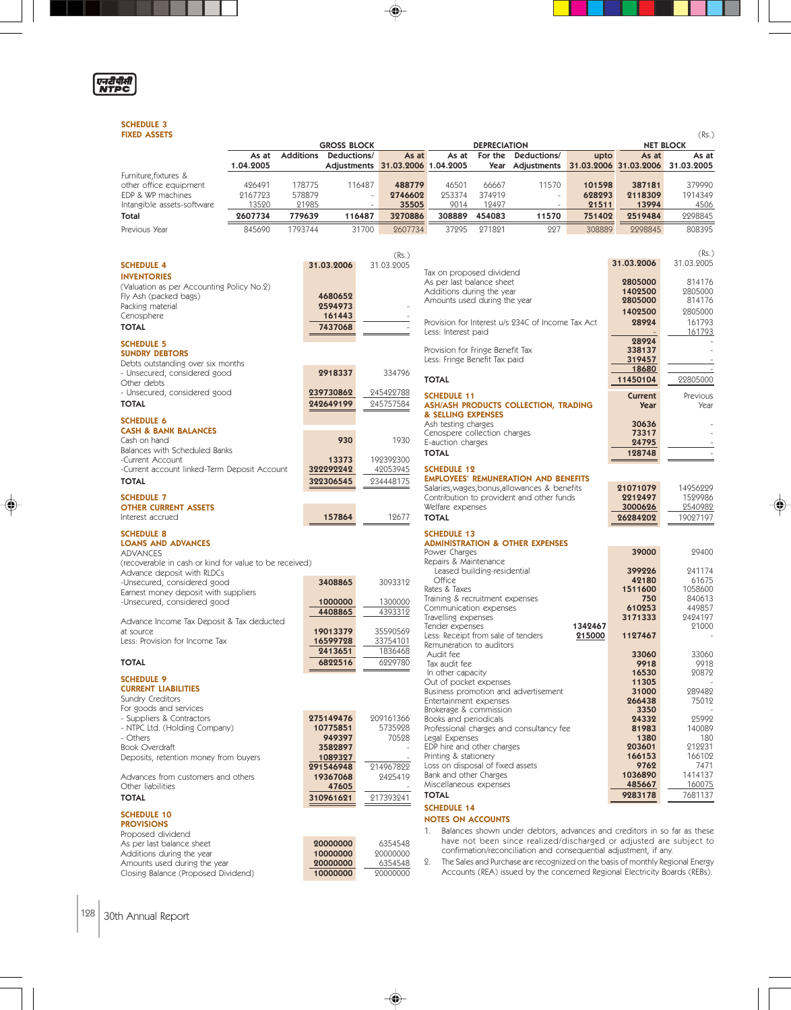

◈

# SCHEDULE 3<br>FIXED ASSETS

| <b>GROSS BLOCK</b><br><b>DEPRECIATION</b><br><b>NET BLOCK</b><br>Additions Deductions/<br>For the<br>Deductions/<br>As at<br>As at<br>As at<br>upto<br>As at<br>As at<br>1.04.2005<br>Adjustments 31.03.2006 1.04.2005<br>Year Adjustments 31.03.2006 31.03.2006 31.03.2005<br>Furniture, fixtures &<br>other office equipment<br>426491<br>178775<br>116487<br>488779<br>46501<br>66667<br>11570<br>101598<br>379990<br>387181<br>EDP & WP machines<br>2167723<br>578879<br>253374<br>374919<br>628293<br>2118309<br>1914349<br>2746602<br>÷<br>$\overline{\phantom{a}}$<br>Intangible assets-software<br>13520<br>21985<br>35505<br>9014<br>12497<br>13994<br>4506<br>21511<br>$\overline{a}$<br>$\overline{a}$<br>2607734<br>2298845<br>Total<br>779639<br>116487<br>3270886<br>308889<br>454083<br>11570<br>751402<br>2519484<br>Previous Year<br>845690<br>1793744<br>31700<br>37295<br>271821<br>227<br>308889<br>2298845<br>808395<br>2607734<br>(Rs.)<br>(Rs.)<br>31.03.2006<br>31.03.9005<br><b>SCHEDULE 4</b><br>31.03.2006<br>31.03.2005<br>Tax on proposed dividend<br><b>INVENTORIES</b><br>As per last balance sheet<br>2805000<br>814176<br>(Valuation as per Accounting Policy No.2)<br>Additions during the year<br>1402500<br>2805000<br>Fly Ash (packed bags)<br>4680652<br>Amounts used during the year<br>2805000<br>814176<br>Packing material<br>2594973<br>2805000<br>1402500<br>Cenosphere<br>161443<br>161793<br>Provision for Interest u/s 234C of Income Tax Act<br>28924<br><b>TOTAL</b><br>7437068<br>161793<br>Less: Interest paid<br>28924<br><b>SCHEDULE 5</b><br>Provision for Fringe Benefit Tax<br>338137<br><b>SUNDRY DEBTORS</b><br>Less: Fringe Benefit Tax paid<br>319457<br>Debts outstanding over six months<br>18680<br>- Unsecured, considered good<br>2918337<br>334796<br><b>TOTAL</b><br>22805000<br>11450104<br>Other debts<br>- Unsecured, considered good<br>239730862<br>245422788<br><b>SCHEDULE 11</b><br>Current<br>Previous<br><b>TOTAL</b><br>242649199<br>245757584<br>ASH/ASH PRODUCTS COLLECTION, TRADING<br><b>Year</b><br>Year<br>& SELLING EXPENSES<br><b>SCHEDULE 6</b><br>Ash testing charges<br>30636<br><b>CASH &amp; BANK BALANCES</b><br>Cenospere collection charges<br>73317<br>930<br>1930<br>Cash on hand<br>E-auction charges<br>24795<br>Balances with Scheduled Banks<br><b>TOTAL</b><br>128748<br>192392300<br>-Current Account<br>13373<br>322292242<br>42053945<br><b>SCHEDULE 12</b><br>-Current account linked-Term Deposit Account<br><b>EMPLOYEES' REMUNERATION AND BENEFITS</b><br><b>TOTAL</b><br>322306545<br>234448175<br>Salaries, wages, bonus, allowances & benefits<br>21071079<br>14956229<br>Contribution to provident and other funds<br>2212497<br>1529986<br><b>SCHEDULE 7</b><br>Welfare expenses<br>3000626<br>2540982<br><b>OTHER CURRENT ASSETS</b><br>Interest accrued<br>157864<br>12677<br><b>TOTAL</b><br>19027197<br>26284202<br><b>SCHEDULE 8</b><br><b>SCHEDULE 13</b><br><b>ADMINISTRATION &amp; OTHER EXPENSES</b><br><b>LOANS AND ADVANCES</b><br>39000<br>29400<br>Power Charges<br><b>ADVANCES</b><br>Repairs & Maintenance<br>(recoverable in cash or kind for value to be received)<br>Leased building-residential<br>399226<br>241174<br>Advance deposit with RLDCs<br>Office<br>61675<br>42180<br>3408865<br>3093312<br>-Unsecured, considered good<br>Rates & Taxes<br>1058600<br>1511600<br>Earnest money deposit with suppliers<br>Training & recruitment expenses<br>840613<br>750<br>-Unsecured, considered good<br>1000000<br>1300000<br>Communication expenses<br>610253<br>449857<br>4393312<br>4408865<br>Travelling expenses<br>3171333<br>2424197<br>Advance Income Tax Deposit & Tax deducted<br>Tender expenses<br>1342467<br>21000<br>at source<br>35590569<br>19013379<br>Less: Receipt from sale of tenders<br>215000<br>1127467<br>Less: Provision for Income Tax<br>16599728<br>33754101<br>Remuneration to auditors<br>1836468<br>2413651<br>33060<br>Audit fee<br>33060<br>6229780<br><b>TOTAL</b><br>6822516<br>Tax audit fee<br>9918<br>9918<br>16530<br>20872<br>In other capacity<br><b>SCHEDULE 9</b><br>Out of pocket expenses<br>11305<br><b>CURRENT LIABILITIES</b><br>289482<br>Business promotion and advertisement<br>31000<br>Sundry Creditors<br>266438<br>Entertainment expenses<br>75012<br>For goods and services<br>Brokerage & commission<br>3350<br>275149476<br>209161366<br>- Suppliers & Contractors<br>Books and periodicals<br>24332<br>25992<br>- NTPC Ltd. (Holding Company)<br>5735928<br>10775851<br>Professional charges and consultancy fee<br>81983<br>140089<br>70528<br>1380<br>- Others<br>949397<br>Legal Expenses<br>180<br>EDP hire and other charges<br>212231<br><b>Book Overdraft</b><br>203601<br>3582897<br>Printing & stationery<br>166153<br>166102<br>Deposits, retention money from buyers<br>1089327<br>Loss on disposal of fixed assets<br>9762<br>7471<br>291546948<br>214967822<br>Bank and other Charges<br>1036890<br>1414137<br>Advances from customers and others<br>19367068<br>2425419<br>Miscellaneous expenses<br>160075<br>485667<br>Other liabilities<br>47605<br><b>TOTAL</b><br>9283178<br>7681137<br><b>TOTAL</b><br>217393241<br>310961621<br><b>SCHEDULE 14</b><br><b>SCHEDULE 10</b><br><b>NOTES ON ACCOUNTS</b><br><b>PROVISIONS</b><br>Balances shown under debtors, advances and creditors in so far as these<br>1.<br>Proposed dividend<br>have not been since realized/discharged or adjusted are subject to<br>20000000<br>6354548<br>As per last balance sheet<br>confirmation/reconciliation and consequential adjustment, if any.<br>Additions during the year<br>10000000<br>20000000<br>The Sales and Purchase are recognized on the basis of monthly Regional Energy<br>2.<br>Amounts used during the year<br>20000000<br>6354548<br>Accounts (REA) issued by the concerned Regional Electricity Boards (REBs).<br>Closing Balance (Proposed Dividend)<br>10000000<br>20000000 | <b>FIXED ASSETS</b><br>(Rs.) |  |  |  |  |  |  |  |
|-----------------------------------------------------------------------------------------------------------------------------------------------------------------------------------------------------------------------------------------------------------------------------------------------------------------------------------------------------------------------------------------------------------------------------------------------------------------------------------------------------------------------------------------------------------------------------------------------------------------------------------------------------------------------------------------------------------------------------------------------------------------------------------------------------------------------------------------------------------------------------------------------------------------------------------------------------------------------------------------------------------------------------------------------------------------------------------------------------------------------------------------------------------------------------------------------------------------------------------------------------------------------------------------------------------------------------------------------------------------------------------------------------------------------------------------------------------------------------------------------------------------------------------------------------------------------------------------------------------------------------------------------------------------------------------------------------------------------------------------------------------------------------------------------------------------------------------------------------------------------------------------------------------------------------------------------------------------------------------------------------------------------------------------------------------------------------------------------------------------------------------------------------------------------------------------------------------------------------------------------------------------------------------------------------------------------------------------------------------------------------------------------------------------------------------------------------------------------------------------------------------------------------------------------------------------------------------------------------------------------------------------------------------------------------------------------------------------------------------------------------------------------------------------------------------------------------------------------------------------------------------------------------------------------------------------------------------------------------------------------------------------------------------------------------------------------------------------------------------------------------------------------------------------------------------------------------------------------------------------------------------------------------------------------------------------------------------------------------------------------------------------------------------------------------------------------------------------------------------------------------------------------------------------------------------------------------------------------------------------------------------------------------------------------------------------------------------------------------------------------------------------------------------------------------------------------------------------------------------------------------------------------------------------------------------------------------------------------------------------------------------------------------------------------------------------------------------------------------------------------------------------------------------------------------------------------------------------------------------------------------------------------------------------------------------------------------------------------------------------------------------------------------------------------------------------------------------------------------------------------------------------------------------------------------------------------------------------------------------------------------------------------------------------------------------------------------------------------------------------------------------------------------------------------------------------------------------------------------------------------------------------------------------------------------------------------------------------------------------------------------------------------------------------------------------------------------------------------------------------------------------------------------------------------------------------------------------------------------------------------------------------------------------------------------------------------------------------------------------------------------------------------------------------------------------------------------------------------------------------------------------------------------------------------------------------------------------------------------------------------------------------------------------------------------------------------------------------------------------------------------------------------------------------------------------------------------------------------------------------------------------------------------------------------------------------------------------------------------------------------------|------------------------------|--|--|--|--|--|--|--|
|                                                                                                                                                                                                                                                                                                                                                                                                                                                                                                                                                                                                                                                                                                                                                                                                                                                                                                                                                                                                                                                                                                                                                                                                                                                                                                                                                                                                                                                                                                                                                                                                                                                                                                                                                                                                                                                                                                                                                                                                                                                                                                                                                                                                                                                                                                                                                                                                                                                                                                                                                                                                                                                                                                                                                                                                                                                                                                                                                                                                                                                                                                                                                                                                                                                                                                                                                                                                                                                                                                                                                                                                                                                                                                                                                                                                                                                                                                                                                                                                                                                                                                                                                                                                                                                                                                                                                                                                                                                                                                                                                                                                                                                                                                                                                                                                                                                                                                                                                                                                                                                                                                                                                                                                                                                                                                                                                                                                                                                                                                                                                                                                                                                                                                                                                                                                                                                                                                                                                                                                     |                              |  |  |  |  |  |  |  |
|                                                                                                                                                                                                                                                                                                                                                                                                                                                                                                                                                                                                                                                                                                                                                                                                                                                                                                                                                                                                                                                                                                                                                                                                                                                                                                                                                                                                                                                                                                                                                                                                                                                                                                                                                                                                                                                                                                                                                                                                                                                                                                                                                                                                                                                                                                                                                                                                                                                                                                                                                                                                                                                                                                                                                                                                                                                                                                                                                                                                                                                                                                                                                                                                                                                                                                                                                                                                                                                                                                                                                                                                                                                                                                                                                                                                                                                                                                                                                                                                                                                                                                                                                                                                                                                                                                                                                                                                                                                                                                                                                                                                                                                                                                                                                                                                                                                                                                                                                                                                                                                                                                                                                                                                                                                                                                                                                                                                                                                                                                                                                                                                                                                                                                                                                                                                                                                                                                                                                                                                     |                              |  |  |  |  |  |  |  |
|                                                                                                                                                                                                                                                                                                                                                                                                                                                                                                                                                                                                                                                                                                                                                                                                                                                                                                                                                                                                                                                                                                                                                                                                                                                                                                                                                                                                                                                                                                                                                                                                                                                                                                                                                                                                                                                                                                                                                                                                                                                                                                                                                                                                                                                                                                                                                                                                                                                                                                                                                                                                                                                                                                                                                                                                                                                                                                                                                                                                                                                                                                                                                                                                                                                                                                                                                                                                                                                                                                                                                                                                                                                                                                                                                                                                                                                                                                                                                                                                                                                                                                                                                                                                                                                                                                                                                                                                                                                                                                                                                                                                                                                                                                                                                                                                                                                                                                                                                                                                                                                                                                                                                                                                                                                                                                                                                                                                                                                                                                                                                                                                                                                                                                                                                                                                                                                                                                                                                                                                     |                              |  |  |  |  |  |  |  |
|                                                                                                                                                                                                                                                                                                                                                                                                                                                                                                                                                                                                                                                                                                                                                                                                                                                                                                                                                                                                                                                                                                                                                                                                                                                                                                                                                                                                                                                                                                                                                                                                                                                                                                                                                                                                                                                                                                                                                                                                                                                                                                                                                                                                                                                                                                                                                                                                                                                                                                                                                                                                                                                                                                                                                                                                                                                                                                                                                                                                                                                                                                                                                                                                                                                                                                                                                                                                                                                                                                                                                                                                                                                                                                                                                                                                                                                                                                                                                                                                                                                                                                                                                                                                                                                                                                                                                                                                                                                                                                                                                                                                                                                                                                                                                                                                                                                                                                                                                                                                                                                                                                                                                                                                                                                                                                                                                                                                                                                                                                                                                                                                                                                                                                                                                                                                                                                                                                                                                                                                     |                              |  |  |  |  |  |  |  |
|                                                                                                                                                                                                                                                                                                                                                                                                                                                                                                                                                                                                                                                                                                                                                                                                                                                                                                                                                                                                                                                                                                                                                                                                                                                                                                                                                                                                                                                                                                                                                                                                                                                                                                                                                                                                                                                                                                                                                                                                                                                                                                                                                                                                                                                                                                                                                                                                                                                                                                                                                                                                                                                                                                                                                                                                                                                                                                                                                                                                                                                                                                                                                                                                                                                                                                                                                                                                                                                                                                                                                                                                                                                                                                                                                                                                                                                                                                                                                                                                                                                                                                                                                                                                                                                                                                                                                                                                                                                                                                                                                                                                                                                                                                                                                                                                                                                                                                                                                                                                                                                                                                                                                                                                                                                                                                                                                                                                                                                                                                                                                                                                                                                                                                                                                                                                                                                                                                                                                                                                     |                              |  |  |  |  |  |  |  |
|                                                                                                                                                                                                                                                                                                                                                                                                                                                                                                                                                                                                                                                                                                                                                                                                                                                                                                                                                                                                                                                                                                                                                                                                                                                                                                                                                                                                                                                                                                                                                                                                                                                                                                                                                                                                                                                                                                                                                                                                                                                                                                                                                                                                                                                                                                                                                                                                                                                                                                                                                                                                                                                                                                                                                                                                                                                                                                                                                                                                                                                                                                                                                                                                                                                                                                                                                                                                                                                                                                                                                                                                                                                                                                                                                                                                                                                                                                                                                                                                                                                                                                                                                                                                                                                                                                                                                                                                                                                                                                                                                                                                                                                                                                                                                                                                                                                                                                                                                                                                                                                                                                                                                                                                                                                                                                                                                                                                                                                                                                                                                                                                                                                                                                                                                                                                                                                                                                                                                                                                     |                              |  |  |  |  |  |  |  |
|                                                                                                                                                                                                                                                                                                                                                                                                                                                                                                                                                                                                                                                                                                                                                                                                                                                                                                                                                                                                                                                                                                                                                                                                                                                                                                                                                                                                                                                                                                                                                                                                                                                                                                                                                                                                                                                                                                                                                                                                                                                                                                                                                                                                                                                                                                                                                                                                                                                                                                                                                                                                                                                                                                                                                                                                                                                                                                                                                                                                                                                                                                                                                                                                                                                                                                                                                                                                                                                                                                                                                                                                                                                                                                                                                                                                                                                                                                                                                                                                                                                                                                                                                                                                                                                                                                                                                                                                                                                                                                                                                                                                                                                                                                                                                                                                                                                                                                                                                                                                                                                                                                                                                                                                                                                                                                                                                                                                                                                                                                                                                                                                                                                                                                                                                                                                                                                                                                                                                                                                     |                              |  |  |  |  |  |  |  |
|                                                                                                                                                                                                                                                                                                                                                                                                                                                                                                                                                                                                                                                                                                                                                                                                                                                                                                                                                                                                                                                                                                                                                                                                                                                                                                                                                                                                                                                                                                                                                                                                                                                                                                                                                                                                                                                                                                                                                                                                                                                                                                                                                                                                                                                                                                                                                                                                                                                                                                                                                                                                                                                                                                                                                                                                                                                                                                                                                                                                                                                                                                                                                                                                                                                                                                                                                                                                                                                                                                                                                                                                                                                                                                                                                                                                                                                                                                                                                                                                                                                                                                                                                                                                                                                                                                                                                                                                                                                                                                                                                                                                                                                                                                                                                                                                                                                                                                                                                                                                                                                                                                                                                                                                                                                                                                                                                                                                                                                                                                                                                                                                                                                                                                                                                                                                                                                                                                                                                                                                     |                              |  |  |  |  |  |  |  |
|                                                                                                                                                                                                                                                                                                                                                                                                                                                                                                                                                                                                                                                                                                                                                                                                                                                                                                                                                                                                                                                                                                                                                                                                                                                                                                                                                                                                                                                                                                                                                                                                                                                                                                                                                                                                                                                                                                                                                                                                                                                                                                                                                                                                                                                                                                                                                                                                                                                                                                                                                                                                                                                                                                                                                                                                                                                                                                                                                                                                                                                                                                                                                                                                                                                                                                                                                                                                                                                                                                                                                                                                                                                                                                                                                                                                                                                                                                                                                                                                                                                                                                                                                                                                                                                                                                                                                                                                                                                                                                                                                                                                                                                                                                                                                                                                                                                                                                                                                                                                                                                                                                                                                                                                                                                                                                                                                                                                                                                                                                                                                                                                                                                                                                                                                                                                                                                                                                                                                                                                     |                              |  |  |  |  |  |  |  |
|                                                                                                                                                                                                                                                                                                                                                                                                                                                                                                                                                                                                                                                                                                                                                                                                                                                                                                                                                                                                                                                                                                                                                                                                                                                                                                                                                                                                                                                                                                                                                                                                                                                                                                                                                                                                                                                                                                                                                                                                                                                                                                                                                                                                                                                                                                                                                                                                                                                                                                                                                                                                                                                                                                                                                                                                                                                                                                                                                                                                                                                                                                                                                                                                                                                                                                                                                                                                                                                                                                                                                                                                                                                                                                                                                                                                                                                                                                                                                                                                                                                                                                                                                                                                                                                                                                                                                                                                                                                                                                                                                                                                                                                                                                                                                                                                                                                                                                                                                                                                                                                                                                                                                                                                                                                                                                                                                                                                                                                                                                                                                                                                                                                                                                                                                                                                                                                                                                                                                                                                     |                              |  |  |  |  |  |  |  |
|                                                                                                                                                                                                                                                                                                                                                                                                                                                                                                                                                                                                                                                                                                                                                                                                                                                                                                                                                                                                                                                                                                                                                                                                                                                                                                                                                                                                                                                                                                                                                                                                                                                                                                                                                                                                                                                                                                                                                                                                                                                                                                                                                                                                                                                                                                                                                                                                                                                                                                                                                                                                                                                                                                                                                                                                                                                                                                                                                                                                                                                                                                                                                                                                                                                                                                                                                                                                                                                                                                                                                                                                                                                                                                                                                                                                                                                                                                                                                                                                                                                                                                                                                                                                                                                                                                                                                                                                                                                                                                                                                                                                                                                                                                                                                                                                                                                                                                                                                                                                                                                                                                                                                                                                                                                                                                                                                                                                                                                                                                                                                                                                                                                                                                                                                                                                                                                                                                                                                                                                     |                              |  |  |  |  |  |  |  |
|                                                                                                                                                                                                                                                                                                                                                                                                                                                                                                                                                                                                                                                                                                                                                                                                                                                                                                                                                                                                                                                                                                                                                                                                                                                                                                                                                                                                                                                                                                                                                                                                                                                                                                                                                                                                                                                                                                                                                                                                                                                                                                                                                                                                                                                                                                                                                                                                                                                                                                                                                                                                                                                                                                                                                                                                                                                                                                                                                                                                                                                                                                                                                                                                                                                                                                                                                                                                                                                                                                                                                                                                                                                                                                                                                                                                                                                                                                                                                                                                                                                                                                                                                                                                                                                                                                                                                                                                                                                                                                                                                                                                                                                                                                                                                                                                                                                                                                                                                                                                                                                                                                                                                                                                                                                                                                                                                                                                                                                                                                                                                                                                                                                                                                                                                                                                                                                                                                                                                                                                     |                              |  |  |  |  |  |  |  |
|                                                                                                                                                                                                                                                                                                                                                                                                                                                                                                                                                                                                                                                                                                                                                                                                                                                                                                                                                                                                                                                                                                                                                                                                                                                                                                                                                                                                                                                                                                                                                                                                                                                                                                                                                                                                                                                                                                                                                                                                                                                                                                                                                                                                                                                                                                                                                                                                                                                                                                                                                                                                                                                                                                                                                                                                                                                                                                                                                                                                                                                                                                                                                                                                                                                                                                                                                                                                                                                                                                                                                                                                                                                                                                                                                                                                                                                                                                                                                                                                                                                                                                                                                                                                                                                                                                                                                                                                                                                                                                                                                                                                                                                                                                                                                                                                                                                                                                                                                                                                                                                                                                                                                                                                                                                                                                                                                                                                                                                                                                                                                                                                                                                                                                                                                                                                                                                                                                                                                                                                     |                              |  |  |  |  |  |  |  |
|                                                                                                                                                                                                                                                                                                                                                                                                                                                                                                                                                                                                                                                                                                                                                                                                                                                                                                                                                                                                                                                                                                                                                                                                                                                                                                                                                                                                                                                                                                                                                                                                                                                                                                                                                                                                                                                                                                                                                                                                                                                                                                                                                                                                                                                                                                                                                                                                                                                                                                                                                                                                                                                                                                                                                                                                                                                                                                                                                                                                                                                                                                                                                                                                                                                                                                                                                                                                                                                                                                                                                                                                                                                                                                                                                                                                                                                                                                                                                                                                                                                                                                                                                                                                                                                                                                                                                                                                                                                                                                                                                                                                                                                                                                                                                                                                                                                                                                                                                                                                                                                                                                                                                                                                                                                                                                                                                                                                                                                                                                                                                                                                                                                                                                                                                                                                                                                                                                                                                                                                     |                              |  |  |  |  |  |  |  |
|                                                                                                                                                                                                                                                                                                                                                                                                                                                                                                                                                                                                                                                                                                                                                                                                                                                                                                                                                                                                                                                                                                                                                                                                                                                                                                                                                                                                                                                                                                                                                                                                                                                                                                                                                                                                                                                                                                                                                                                                                                                                                                                                                                                                                                                                                                                                                                                                                                                                                                                                                                                                                                                                                                                                                                                                                                                                                                                                                                                                                                                                                                                                                                                                                                                                                                                                                                                                                                                                                                                                                                                                                                                                                                                                                                                                                                                                                                                                                                                                                                                                                                                                                                                                                                                                                                                                                                                                                                                                                                                                                                                                                                                                                                                                                                                                                                                                                                                                                                                                                                                                                                                                                                                                                                                                                                                                                                                                                                                                                                                                                                                                                                                                                                                                                                                                                                                                                                                                                                                                     |                              |  |  |  |  |  |  |  |
|                                                                                                                                                                                                                                                                                                                                                                                                                                                                                                                                                                                                                                                                                                                                                                                                                                                                                                                                                                                                                                                                                                                                                                                                                                                                                                                                                                                                                                                                                                                                                                                                                                                                                                                                                                                                                                                                                                                                                                                                                                                                                                                                                                                                                                                                                                                                                                                                                                                                                                                                                                                                                                                                                                                                                                                                                                                                                                                                                                                                                                                                                                                                                                                                                                                                                                                                                                                                                                                                                                                                                                                                                                                                                                                                                                                                                                                                                                                                                                                                                                                                                                                                                                                                                                                                                                                                                                                                                                                                                                                                                                                                                                                                                                                                                                                                                                                                                                                                                                                                                                                                                                                                                                                                                                                                                                                                                                                                                                                                                                                                                                                                                                                                                                                                                                                                                                                                                                                                                                                                     |                              |  |  |  |  |  |  |  |
|                                                                                                                                                                                                                                                                                                                                                                                                                                                                                                                                                                                                                                                                                                                                                                                                                                                                                                                                                                                                                                                                                                                                                                                                                                                                                                                                                                                                                                                                                                                                                                                                                                                                                                                                                                                                                                                                                                                                                                                                                                                                                                                                                                                                                                                                                                                                                                                                                                                                                                                                                                                                                                                                                                                                                                                                                                                                                                                                                                                                                                                                                                                                                                                                                                                                                                                                                                                                                                                                                                                                                                                                                                                                                                                                                                                                                                                                                                                                                                                                                                                                                                                                                                                                                                                                                                                                                                                                                                                                                                                                                                                                                                                                                                                                                                                                                                                                                                                                                                                                                                                                                                                                                                                                                                                                                                                                                                                                                                                                                                                                                                                                                                                                                                                                                                                                                                                                                                                                                                                                     |                              |  |  |  |  |  |  |  |
|                                                                                                                                                                                                                                                                                                                                                                                                                                                                                                                                                                                                                                                                                                                                                                                                                                                                                                                                                                                                                                                                                                                                                                                                                                                                                                                                                                                                                                                                                                                                                                                                                                                                                                                                                                                                                                                                                                                                                                                                                                                                                                                                                                                                                                                                                                                                                                                                                                                                                                                                                                                                                                                                                                                                                                                                                                                                                                                                                                                                                                                                                                                                                                                                                                                                                                                                                                                                                                                                                                                                                                                                                                                                                                                                                                                                                                                                                                                                                                                                                                                                                                                                                                                                                                                                                                                                                                                                                                                                                                                                                                                                                                                                                                                                                                                                                                                                                                                                                                                                                                                                                                                                                                                                                                                                                                                                                                                                                                                                                                                                                                                                                                                                                                                                                                                                                                                                                                                                                                                                     |                              |  |  |  |  |  |  |  |
|                                                                                                                                                                                                                                                                                                                                                                                                                                                                                                                                                                                                                                                                                                                                                                                                                                                                                                                                                                                                                                                                                                                                                                                                                                                                                                                                                                                                                                                                                                                                                                                                                                                                                                                                                                                                                                                                                                                                                                                                                                                                                                                                                                                                                                                                                                                                                                                                                                                                                                                                                                                                                                                                                                                                                                                                                                                                                                                                                                                                                                                                                                                                                                                                                                                                                                                                                                                                                                                                                                                                                                                                                                                                                                                                                                                                                                                                                                                                                                                                                                                                                                                                                                                                                                                                                                                                                                                                                                                                                                                                                                                                                                                                                                                                                                                                                                                                                                                                                                                                                                                                                                                                                                                                                                                                                                                                                                                                                                                                                                                                                                                                                                                                                                                                                                                                                                                                                                                                                                                                     |                              |  |  |  |  |  |  |  |
|                                                                                                                                                                                                                                                                                                                                                                                                                                                                                                                                                                                                                                                                                                                                                                                                                                                                                                                                                                                                                                                                                                                                                                                                                                                                                                                                                                                                                                                                                                                                                                                                                                                                                                                                                                                                                                                                                                                                                                                                                                                                                                                                                                                                                                                                                                                                                                                                                                                                                                                                                                                                                                                                                                                                                                                                                                                                                                                                                                                                                                                                                                                                                                                                                                                                                                                                                                                                                                                                                                                                                                                                                                                                                                                                                                                                                                                                                                                                                                                                                                                                                                                                                                                                                                                                                                                                                                                                                                                                                                                                                                                                                                                                                                                                                                                                                                                                                                                                                                                                                                                                                                                                                                                                                                                                                                                                                                                                                                                                                                                                                                                                                                                                                                                                                                                                                                                                                                                                                                                                     |                              |  |  |  |  |  |  |  |
|                                                                                                                                                                                                                                                                                                                                                                                                                                                                                                                                                                                                                                                                                                                                                                                                                                                                                                                                                                                                                                                                                                                                                                                                                                                                                                                                                                                                                                                                                                                                                                                                                                                                                                                                                                                                                                                                                                                                                                                                                                                                                                                                                                                                                                                                                                                                                                                                                                                                                                                                                                                                                                                                                                                                                                                                                                                                                                                                                                                                                                                                                                                                                                                                                                                                                                                                                                                                                                                                                                                                                                                                                                                                                                                                                                                                                                                                                                                                                                                                                                                                                                                                                                                                                                                                                                                                                                                                                                                                                                                                                                                                                                                                                                                                                                                                                                                                                                                                                                                                                                                                                                                                                                                                                                                                                                                                                                                                                                                                                                                                                                                                                                                                                                                                                                                                                                                                                                                                                                                                     |                              |  |  |  |  |  |  |  |
|                                                                                                                                                                                                                                                                                                                                                                                                                                                                                                                                                                                                                                                                                                                                                                                                                                                                                                                                                                                                                                                                                                                                                                                                                                                                                                                                                                                                                                                                                                                                                                                                                                                                                                                                                                                                                                                                                                                                                                                                                                                                                                                                                                                                                                                                                                                                                                                                                                                                                                                                                                                                                                                                                                                                                                                                                                                                                                                                                                                                                                                                                                                                                                                                                                                                                                                                                                                                                                                                                                                                                                                                                                                                                                                                                                                                                                                                                                                                                                                                                                                                                                                                                                                                                                                                                                                                                                                                                                                                                                                                                                                                                                                                                                                                                                                                                                                                                                                                                                                                                                                                                                                                                                                                                                                                                                                                                                                                                                                                                                                                                                                                                                                                                                                                                                                                                                                                                                                                                                                                     |                              |  |  |  |  |  |  |  |
|                                                                                                                                                                                                                                                                                                                                                                                                                                                                                                                                                                                                                                                                                                                                                                                                                                                                                                                                                                                                                                                                                                                                                                                                                                                                                                                                                                                                                                                                                                                                                                                                                                                                                                                                                                                                                                                                                                                                                                                                                                                                                                                                                                                                                                                                                                                                                                                                                                                                                                                                                                                                                                                                                                                                                                                                                                                                                                                                                                                                                                                                                                                                                                                                                                                                                                                                                                                                                                                                                                                                                                                                                                                                                                                                                                                                                                                                                                                                                                                                                                                                                                                                                                                                                                                                                                                                                                                                                                                                                                                                                                                                                                                                                                                                                                                                                                                                                                                                                                                                                                                                                                                                                                                                                                                                                                                                                                                                                                                                                                                                                                                                                                                                                                                                                                                                                                                                                                                                                                                                     |                              |  |  |  |  |  |  |  |
|                                                                                                                                                                                                                                                                                                                                                                                                                                                                                                                                                                                                                                                                                                                                                                                                                                                                                                                                                                                                                                                                                                                                                                                                                                                                                                                                                                                                                                                                                                                                                                                                                                                                                                                                                                                                                                                                                                                                                                                                                                                                                                                                                                                                                                                                                                                                                                                                                                                                                                                                                                                                                                                                                                                                                                                                                                                                                                                                                                                                                                                                                                                                                                                                                                                                                                                                                                                                                                                                                                                                                                                                                                                                                                                                                                                                                                                                                                                                                                                                                                                                                                                                                                                                                                                                                                                                                                                                                                                                                                                                                                                                                                                                                                                                                                                                                                                                                                                                                                                                                                                                                                                                                                                                                                                                                                                                                                                                                                                                                                                                                                                                                                                                                                                                                                                                                                                                                                                                                                                                     |                              |  |  |  |  |  |  |  |
|                                                                                                                                                                                                                                                                                                                                                                                                                                                                                                                                                                                                                                                                                                                                                                                                                                                                                                                                                                                                                                                                                                                                                                                                                                                                                                                                                                                                                                                                                                                                                                                                                                                                                                                                                                                                                                                                                                                                                                                                                                                                                                                                                                                                                                                                                                                                                                                                                                                                                                                                                                                                                                                                                                                                                                                                                                                                                                                                                                                                                                                                                                                                                                                                                                                                                                                                                                                                                                                                                                                                                                                                                                                                                                                                                                                                                                                                                                                                                                                                                                                                                                                                                                                                                                                                                                                                                                                                                                                                                                                                                                                                                                                                                                                                                                                                                                                                                                                                                                                                                                                                                                                                                                                                                                                                                                                                                                                                                                                                                                                                                                                                                                                                                                                                                                                                                                                                                                                                                                                                     |                              |  |  |  |  |  |  |  |
|                                                                                                                                                                                                                                                                                                                                                                                                                                                                                                                                                                                                                                                                                                                                                                                                                                                                                                                                                                                                                                                                                                                                                                                                                                                                                                                                                                                                                                                                                                                                                                                                                                                                                                                                                                                                                                                                                                                                                                                                                                                                                                                                                                                                                                                                                                                                                                                                                                                                                                                                                                                                                                                                                                                                                                                                                                                                                                                                                                                                                                                                                                                                                                                                                                                                                                                                                                                                                                                                                                                                                                                                                                                                                                                                                                                                                                                                                                                                                                                                                                                                                                                                                                                                                                                                                                                                                                                                                                                                                                                                                                                                                                                                                                                                                                                                                                                                                                                                                                                                                                                                                                                                                                                                                                                                                                                                                                                                                                                                                                                                                                                                                                                                                                                                                                                                                                                                                                                                                                                                     |                              |  |  |  |  |  |  |  |
|                                                                                                                                                                                                                                                                                                                                                                                                                                                                                                                                                                                                                                                                                                                                                                                                                                                                                                                                                                                                                                                                                                                                                                                                                                                                                                                                                                                                                                                                                                                                                                                                                                                                                                                                                                                                                                                                                                                                                                                                                                                                                                                                                                                                                                                                                                                                                                                                                                                                                                                                                                                                                                                                                                                                                                                                                                                                                                                                                                                                                                                                                                                                                                                                                                                                                                                                                                                                                                                                                                                                                                                                                                                                                                                                                                                                                                                                                                                                                                                                                                                                                                                                                                                                                                                                                                                                                                                                                                                                                                                                                                                                                                                                                                                                                                                                                                                                                                                                                                                                                                                                                                                                                                                                                                                                                                                                                                                                                                                                                                                                                                                                                                                                                                                                                                                                                                                                                                                                                                                                     |                              |  |  |  |  |  |  |  |
|                                                                                                                                                                                                                                                                                                                                                                                                                                                                                                                                                                                                                                                                                                                                                                                                                                                                                                                                                                                                                                                                                                                                                                                                                                                                                                                                                                                                                                                                                                                                                                                                                                                                                                                                                                                                                                                                                                                                                                                                                                                                                                                                                                                                                                                                                                                                                                                                                                                                                                                                                                                                                                                                                                                                                                                                                                                                                                                                                                                                                                                                                                                                                                                                                                                                                                                                                                                                                                                                                                                                                                                                                                                                                                                                                                                                                                                                                                                                                                                                                                                                                                                                                                                                                                                                                                                                                                                                                                                                                                                                                                                                                                                                                                                                                                                                                                                                                                                                                                                                                                                                                                                                                                                                                                                                                                                                                                                                                                                                                                                                                                                                                                                                                                                                                                                                                                                                                                                                                                                                     |                              |  |  |  |  |  |  |  |
|                                                                                                                                                                                                                                                                                                                                                                                                                                                                                                                                                                                                                                                                                                                                                                                                                                                                                                                                                                                                                                                                                                                                                                                                                                                                                                                                                                                                                                                                                                                                                                                                                                                                                                                                                                                                                                                                                                                                                                                                                                                                                                                                                                                                                                                                                                                                                                                                                                                                                                                                                                                                                                                                                                                                                                                                                                                                                                                                                                                                                                                                                                                                                                                                                                                                                                                                                                                                                                                                                                                                                                                                                                                                                                                                                                                                                                                                                                                                                                                                                                                                                                                                                                                                                                                                                                                                                                                                                                                                                                                                                                                                                                                                                                                                                                                                                                                                                                                                                                                                                                                                                                                                                                                                                                                                                                                                                                                                                                                                                                                                                                                                                                                                                                                                                                                                                                                                                                                                                                                                     |                              |  |  |  |  |  |  |  |
|                                                                                                                                                                                                                                                                                                                                                                                                                                                                                                                                                                                                                                                                                                                                                                                                                                                                                                                                                                                                                                                                                                                                                                                                                                                                                                                                                                                                                                                                                                                                                                                                                                                                                                                                                                                                                                                                                                                                                                                                                                                                                                                                                                                                                                                                                                                                                                                                                                                                                                                                                                                                                                                                                                                                                                                                                                                                                                                                                                                                                                                                                                                                                                                                                                                                                                                                                                                                                                                                                                                                                                                                                                                                                                                                                                                                                                                                                                                                                                                                                                                                                                                                                                                                                                                                                                                                                                                                                                                                                                                                                                                                                                                                                                                                                                                                                                                                                                                                                                                                                                                                                                                                                                                                                                                                                                                                                                                                                                                                                                                                                                                                                                                                                                                                                                                                                                                                                                                                                                                                     |                              |  |  |  |  |  |  |  |
|                                                                                                                                                                                                                                                                                                                                                                                                                                                                                                                                                                                                                                                                                                                                                                                                                                                                                                                                                                                                                                                                                                                                                                                                                                                                                                                                                                                                                                                                                                                                                                                                                                                                                                                                                                                                                                                                                                                                                                                                                                                                                                                                                                                                                                                                                                                                                                                                                                                                                                                                                                                                                                                                                                                                                                                                                                                                                                                                                                                                                                                                                                                                                                                                                                                                                                                                                                                                                                                                                                                                                                                                                                                                                                                                                                                                                                                                                                                                                                                                                                                                                                                                                                                                                                                                                                                                                                                                                                                                                                                                                                                                                                                                                                                                                                                                                                                                                                                                                                                                                                                                                                                                                                                                                                                                                                                                                                                                                                                                                                                                                                                                                                                                                                                                                                                                                                                                                                                                                                                                     |                              |  |  |  |  |  |  |  |
|                                                                                                                                                                                                                                                                                                                                                                                                                                                                                                                                                                                                                                                                                                                                                                                                                                                                                                                                                                                                                                                                                                                                                                                                                                                                                                                                                                                                                                                                                                                                                                                                                                                                                                                                                                                                                                                                                                                                                                                                                                                                                                                                                                                                                                                                                                                                                                                                                                                                                                                                                                                                                                                                                                                                                                                                                                                                                                                                                                                                                                                                                                                                                                                                                                                                                                                                                                                                                                                                                                                                                                                                                                                                                                                                                                                                                                                                                                                                                                                                                                                                                                                                                                                                                                                                                                                                                                                                                                                                                                                                                                                                                                                                                                                                                                                                                                                                                                                                                                                                                                                                                                                                                                                                                                                                                                                                                                                                                                                                                                                                                                                                                                                                                                                                                                                                                                                                                                                                                                                                     |                              |  |  |  |  |  |  |  |
|                                                                                                                                                                                                                                                                                                                                                                                                                                                                                                                                                                                                                                                                                                                                                                                                                                                                                                                                                                                                                                                                                                                                                                                                                                                                                                                                                                                                                                                                                                                                                                                                                                                                                                                                                                                                                                                                                                                                                                                                                                                                                                                                                                                                                                                                                                                                                                                                                                                                                                                                                                                                                                                                                                                                                                                                                                                                                                                                                                                                                                                                                                                                                                                                                                                                                                                                                                                                                                                                                                                                                                                                                                                                                                                                                                                                                                                                                                                                                                                                                                                                                                                                                                                                                                                                                                                                                                                                                                                                                                                                                                                                                                                                                                                                                                                                                                                                                                                                                                                                                                                                                                                                                                                                                                                                                                                                                                                                                                                                                                                                                                                                                                                                                                                                                                                                                                                                                                                                                                                                     |                              |  |  |  |  |  |  |  |
|                                                                                                                                                                                                                                                                                                                                                                                                                                                                                                                                                                                                                                                                                                                                                                                                                                                                                                                                                                                                                                                                                                                                                                                                                                                                                                                                                                                                                                                                                                                                                                                                                                                                                                                                                                                                                                                                                                                                                                                                                                                                                                                                                                                                                                                                                                                                                                                                                                                                                                                                                                                                                                                                                                                                                                                                                                                                                                                                                                                                                                                                                                                                                                                                                                                                                                                                                                                                                                                                                                                                                                                                                                                                                                                                                                                                                                                                                                                                                                                                                                                                                                                                                                                                                                                                                                                                                                                                                                                                                                                                                                                                                                                                                                                                                                                                                                                                                                                                                                                                                                                                                                                                                                                                                                                                                                                                                                                                                                                                                                                                                                                                                                                                                                                                                                                                                                                                                                                                                                                                     |                              |  |  |  |  |  |  |  |
|                                                                                                                                                                                                                                                                                                                                                                                                                                                                                                                                                                                                                                                                                                                                                                                                                                                                                                                                                                                                                                                                                                                                                                                                                                                                                                                                                                                                                                                                                                                                                                                                                                                                                                                                                                                                                                                                                                                                                                                                                                                                                                                                                                                                                                                                                                                                                                                                                                                                                                                                                                                                                                                                                                                                                                                                                                                                                                                                                                                                                                                                                                                                                                                                                                                                                                                                                                                                                                                                                                                                                                                                                                                                                                                                                                                                                                                                                                                                                                                                                                                                                                                                                                                                                                                                                                                                                                                                                                                                                                                                                                                                                                                                                                                                                                                                                                                                                                                                                                                                                                                                                                                                                                                                                                                                                                                                                                                                                                                                                                                                                                                                                                                                                                                                                                                                                                                                                                                                                                                                     |                              |  |  |  |  |  |  |  |
|                                                                                                                                                                                                                                                                                                                                                                                                                                                                                                                                                                                                                                                                                                                                                                                                                                                                                                                                                                                                                                                                                                                                                                                                                                                                                                                                                                                                                                                                                                                                                                                                                                                                                                                                                                                                                                                                                                                                                                                                                                                                                                                                                                                                                                                                                                                                                                                                                                                                                                                                                                                                                                                                                                                                                                                                                                                                                                                                                                                                                                                                                                                                                                                                                                                                                                                                                                                                                                                                                                                                                                                                                                                                                                                                                                                                                                                                                                                                                                                                                                                                                                                                                                                                                                                                                                                                                                                                                                                                                                                                                                                                                                                                                                                                                                                                                                                                                                                                                                                                                                                                                                                                                                                                                                                                                                                                                                                                                                                                                                                                                                                                                                                                                                                                                                                                                                                                                                                                                                                                     |                              |  |  |  |  |  |  |  |
|                                                                                                                                                                                                                                                                                                                                                                                                                                                                                                                                                                                                                                                                                                                                                                                                                                                                                                                                                                                                                                                                                                                                                                                                                                                                                                                                                                                                                                                                                                                                                                                                                                                                                                                                                                                                                                                                                                                                                                                                                                                                                                                                                                                                                                                                                                                                                                                                                                                                                                                                                                                                                                                                                                                                                                                                                                                                                                                                                                                                                                                                                                                                                                                                                                                                                                                                                                                                                                                                                                                                                                                                                                                                                                                                                                                                                                                                                                                                                                                                                                                                                                                                                                                                                                                                                                                                                                                                                                                                                                                                                                                                                                                                                                                                                                                                                                                                                                                                                                                                                                                                                                                                                                                                                                                                                                                                                                                                                                                                                                                                                                                                                                                                                                                                                                                                                                                                                                                                                                                                     |                              |  |  |  |  |  |  |  |
|                                                                                                                                                                                                                                                                                                                                                                                                                                                                                                                                                                                                                                                                                                                                                                                                                                                                                                                                                                                                                                                                                                                                                                                                                                                                                                                                                                                                                                                                                                                                                                                                                                                                                                                                                                                                                                                                                                                                                                                                                                                                                                                                                                                                                                                                                                                                                                                                                                                                                                                                                                                                                                                                                                                                                                                                                                                                                                                                                                                                                                                                                                                                                                                                                                                                                                                                                                                                                                                                                                                                                                                                                                                                                                                                                                                                                                                                                                                                                                                                                                                                                                                                                                                                                                                                                                                                                                                                                                                                                                                                                                                                                                                                                                                                                                                                                                                                                                                                                                                                                                                                                                                                                                                                                                                                                                                                                                                                                                                                                                                                                                                                                                                                                                                                                                                                                                                                                                                                                                                                     |                              |  |  |  |  |  |  |  |
|                                                                                                                                                                                                                                                                                                                                                                                                                                                                                                                                                                                                                                                                                                                                                                                                                                                                                                                                                                                                                                                                                                                                                                                                                                                                                                                                                                                                                                                                                                                                                                                                                                                                                                                                                                                                                                                                                                                                                                                                                                                                                                                                                                                                                                                                                                                                                                                                                                                                                                                                                                                                                                                                                                                                                                                                                                                                                                                                                                                                                                                                                                                                                                                                                                                                                                                                                                                                                                                                                                                                                                                                                                                                                                                                                                                                                                                                                                                                                                                                                                                                                                                                                                                                                                                                                                                                                                                                                                                                                                                                                                                                                                                                                                                                                                                                                                                                                                                                                                                                                                                                                                                                                                                                                                                                                                                                                                                                                                                                                                                                                                                                                                                                                                                                                                                                                                                                                                                                                                                                     |                              |  |  |  |  |  |  |  |
|                                                                                                                                                                                                                                                                                                                                                                                                                                                                                                                                                                                                                                                                                                                                                                                                                                                                                                                                                                                                                                                                                                                                                                                                                                                                                                                                                                                                                                                                                                                                                                                                                                                                                                                                                                                                                                                                                                                                                                                                                                                                                                                                                                                                                                                                                                                                                                                                                                                                                                                                                                                                                                                                                                                                                                                                                                                                                                                                                                                                                                                                                                                                                                                                                                                                                                                                                                                                                                                                                                                                                                                                                                                                                                                                                                                                                                                                                                                                                                                                                                                                                                                                                                                                                                                                                                                                                                                                                                                                                                                                                                                                                                                                                                                                                                                                                                                                                                                                                                                                                                                                                                                                                                                                                                                                                                                                                                                                                                                                                                                                                                                                                                                                                                                                                                                                                                                                                                                                                                                                     |                              |  |  |  |  |  |  |  |
|                                                                                                                                                                                                                                                                                                                                                                                                                                                                                                                                                                                                                                                                                                                                                                                                                                                                                                                                                                                                                                                                                                                                                                                                                                                                                                                                                                                                                                                                                                                                                                                                                                                                                                                                                                                                                                                                                                                                                                                                                                                                                                                                                                                                                                                                                                                                                                                                                                                                                                                                                                                                                                                                                                                                                                                                                                                                                                                                                                                                                                                                                                                                                                                                                                                                                                                                                                                                                                                                                                                                                                                                                                                                                                                                                                                                                                                                                                                                                                                                                                                                                                                                                                                                                                                                                                                                                                                                                                                                                                                                                                                                                                                                                                                                                                                                                                                                                                                                                                                                                                                                                                                                                                                                                                                                                                                                                                                                                                                                                                                                                                                                                                                                                                                                                                                                                                                                                                                                                                                                     |                              |  |  |  |  |  |  |  |
|                                                                                                                                                                                                                                                                                                                                                                                                                                                                                                                                                                                                                                                                                                                                                                                                                                                                                                                                                                                                                                                                                                                                                                                                                                                                                                                                                                                                                                                                                                                                                                                                                                                                                                                                                                                                                                                                                                                                                                                                                                                                                                                                                                                                                                                                                                                                                                                                                                                                                                                                                                                                                                                                                                                                                                                                                                                                                                                                                                                                                                                                                                                                                                                                                                                                                                                                                                                                                                                                                                                                                                                                                                                                                                                                                                                                                                                                                                                                                                                                                                                                                                                                                                                                                                                                                                                                                                                                                                                                                                                                                                                                                                                                                                                                                                                                                                                                                                                                                                                                                                                                                                                                                                                                                                                                                                                                                                                                                                                                                                                                                                                                                                                                                                                                                                                                                                                                                                                                                                                                     |                              |  |  |  |  |  |  |  |
|                                                                                                                                                                                                                                                                                                                                                                                                                                                                                                                                                                                                                                                                                                                                                                                                                                                                                                                                                                                                                                                                                                                                                                                                                                                                                                                                                                                                                                                                                                                                                                                                                                                                                                                                                                                                                                                                                                                                                                                                                                                                                                                                                                                                                                                                                                                                                                                                                                                                                                                                                                                                                                                                                                                                                                                                                                                                                                                                                                                                                                                                                                                                                                                                                                                                                                                                                                                                                                                                                                                                                                                                                                                                                                                                                                                                                                                                                                                                                                                                                                                                                                                                                                                                                                                                                                                                                                                                                                                                                                                                                                                                                                                                                                                                                                                                                                                                                                                                                                                                                                                                                                                                                                                                                                                                                                                                                                                                                                                                                                                                                                                                                                                                                                                                                                                                                                                                                                                                                                                                     |                              |  |  |  |  |  |  |  |
|                                                                                                                                                                                                                                                                                                                                                                                                                                                                                                                                                                                                                                                                                                                                                                                                                                                                                                                                                                                                                                                                                                                                                                                                                                                                                                                                                                                                                                                                                                                                                                                                                                                                                                                                                                                                                                                                                                                                                                                                                                                                                                                                                                                                                                                                                                                                                                                                                                                                                                                                                                                                                                                                                                                                                                                                                                                                                                                                                                                                                                                                                                                                                                                                                                                                                                                                                                                                                                                                                                                                                                                                                                                                                                                                                                                                                                                                                                                                                                                                                                                                                                                                                                                                                                                                                                                                                                                                                                                                                                                                                                                                                                                                                                                                                                                                                                                                                                                                                                                                                                                                                                                                                                                                                                                                                                                                                                                                                                                                                                                                                                                                                                                                                                                                                                                                                                                                                                                                                                                                     |                              |  |  |  |  |  |  |  |
|                                                                                                                                                                                                                                                                                                                                                                                                                                                                                                                                                                                                                                                                                                                                                                                                                                                                                                                                                                                                                                                                                                                                                                                                                                                                                                                                                                                                                                                                                                                                                                                                                                                                                                                                                                                                                                                                                                                                                                                                                                                                                                                                                                                                                                                                                                                                                                                                                                                                                                                                                                                                                                                                                                                                                                                                                                                                                                                                                                                                                                                                                                                                                                                                                                                                                                                                                                                                                                                                                                                                                                                                                                                                                                                                                                                                                                                                                                                                                                                                                                                                                                                                                                                                                                                                                                                                                                                                                                                                                                                                                                                                                                                                                                                                                                                                                                                                                                                                                                                                                                                                                                                                                                                                                                                                                                                                                                                                                                                                                                                                                                                                                                                                                                                                                                                                                                                                                                                                                                                                     |                              |  |  |  |  |  |  |  |
|                                                                                                                                                                                                                                                                                                                                                                                                                                                                                                                                                                                                                                                                                                                                                                                                                                                                                                                                                                                                                                                                                                                                                                                                                                                                                                                                                                                                                                                                                                                                                                                                                                                                                                                                                                                                                                                                                                                                                                                                                                                                                                                                                                                                                                                                                                                                                                                                                                                                                                                                                                                                                                                                                                                                                                                                                                                                                                                                                                                                                                                                                                                                                                                                                                                                                                                                                                                                                                                                                                                                                                                                                                                                                                                                                                                                                                                                                                                                                                                                                                                                                                                                                                                                                                                                                                                                                                                                                                                                                                                                                                                                                                                                                                                                                                                                                                                                                                                                                                                                                                                                                                                                                                                                                                                                                                                                                                                                                                                                                                                                                                                                                                                                                                                                                                                                                                                                                                                                                                                                     |                              |  |  |  |  |  |  |  |
|                                                                                                                                                                                                                                                                                                                                                                                                                                                                                                                                                                                                                                                                                                                                                                                                                                                                                                                                                                                                                                                                                                                                                                                                                                                                                                                                                                                                                                                                                                                                                                                                                                                                                                                                                                                                                                                                                                                                                                                                                                                                                                                                                                                                                                                                                                                                                                                                                                                                                                                                                                                                                                                                                                                                                                                                                                                                                                                                                                                                                                                                                                                                                                                                                                                                                                                                                                                                                                                                                                                                                                                                                                                                                                                                                                                                                                                                                                                                                                                                                                                                                                                                                                                                                                                                                                                                                                                                                                                                                                                                                                                                                                                                                                                                                                                                                                                                                                                                                                                                                                                                                                                                                                                                                                                                                                                                                                                                                                                                                                                                                                                                                                                                                                                                                                                                                                                                                                                                                                                                     |                              |  |  |  |  |  |  |  |
|                                                                                                                                                                                                                                                                                                                                                                                                                                                                                                                                                                                                                                                                                                                                                                                                                                                                                                                                                                                                                                                                                                                                                                                                                                                                                                                                                                                                                                                                                                                                                                                                                                                                                                                                                                                                                                                                                                                                                                                                                                                                                                                                                                                                                                                                                                                                                                                                                                                                                                                                                                                                                                                                                                                                                                                                                                                                                                                                                                                                                                                                                                                                                                                                                                                                                                                                                                                                                                                                                                                                                                                                                                                                                                                                                                                                                                                                                                                                                                                                                                                                                                                                                                                                                                                                                                                                                                                                                                                                                                                                                                                                                                                                                                                                                                                                                                                                                                                                                                                                                                                                                                                                                                                                                                                                                                                                                                                                                                                                                                                                                                                                                                                                                                                                                                                                                                                                                                                                                                                                     |                              |  |  |  |  |  |  |  |
|                                                                                                                                                                                                                                                                                                                                                                                                                                                                                                                                                                                                                                                                                                                                                                                                                                                                                                                                                                                                                                                                                                                                                                                                                                                                                                                                                                                                                                                                                                                                                                                                                                                                                                                                                                                                                                                                                                                                                                                                                                                                                                                                                                                                                                                                                                                                                                                                                                                                                                                                                                                                                                                                                                                                                                                                                                                                                                                                                                                                                                                                                                                                                                                                                                                                                                                                                                                                                                                                                                                                                                                                                                                                                                                                                                                                                                                                                                                                                                                                                                                                                                                                                                                                                                                                                                                                                                                                                                                                                                                                                                                                                                                                                                                                                                                                                                                                                                                                                                                                                                                                                                                                                                                                                                                                                                                                                                                                                                                                                                                                                                                                                                                                                                                                                                                                                                                                                                                                                                                                     |                              |  |  |  |  |  |  |  |
|                                                                                                                                                                                                                                                                                                                                                                                                                                                                                                                                                                                                                                                                                                                                                                                                                                                                                                                                                                                                                                                                                                                                                                                                                                                                                                                                                                                                                                                                                                                                                                                                                                                                                                                                                                                                                                                                                                                                                                                                                                                                                                                                                                                                                                                                                                                                                                                                                                                                                                                                                                                                                                                                                                                                                                                                                                                                                                                                                                                                                                                                                                                                                                                                                                                                                                                                                                                                                                                                                                                                                                                                                                                                                                                                                                                                                                                                                                                                                                                                                                                                                                                                                                                                                                                                                                                                                                                                                                                                                                                                                                                                                                                                                                                                                                                                                                                                                                                                                                                                                                                                                                                                                                                                                                                                                                                                                                                                                                                                                                                                                                                                                                                                                                                                                                                                                                                                                                                                                                                                     |                              |  |  |  |  |  |  |  |
|                                                                                                                                                                                                                                                                                                                                                                                                                                                                                                                                                                                                                                                                                                                                                                                                                                                                                                                                                                                                                                                                                                                                                                                                                                                                                                                                                                                                                                                                                                                                                                                                                                                                                                                                                                                                                                                                                                                                                                                                                                                                                                                                                                                                                                                                                                                                                                                                                                                                                                                                                                                                                                                                                                                                                                                                                                                                                                                                                                                                                                                                                                                                                                                                                                                                                                                                                                                                                                                                                                                                                                                                                                                                                                                                                                                                                                                                                                                                                                                                                                                                                                                                                                                                                                                                                                                                                                                                                                                                                                                                                                                                                                                                                                                                                                                                                                                                                                                                                                                                                                                                                                                                                                                                                                                                                                                                                                                                                                                                                                                                                                                                                                                                                                                                                                                                                                                                                                                                                                                                     |                              |  |  |  |  |  |  |  |
|                                                                                                                                                                                                                                                                                                                                                                                                                                                                                                                                                                                                                                                                                                                                                                                                                                                                                                                                                                                                                                                                                                                                                                                                                                                                                                                                                                                                                                                                                                                                                                                                                                                                                                                                                                                                                                                                                                                                                                                                                                                                                                                                                                                                                                                                                                                                                                                                                                                                                                                                                                                                                                                                                                                                                                                                                                                                                                                                                                                                                                                                                                                                                                                                                                                                                                                                                                                                                                                                                                                                                                                                                                                                                                                                                                                                                                                                                                                                                                                                                                                                                                                                                                                                                                                                                                                                                                                                                                                                                                                                                                                                                                                                                                                                                                                                                                                                                                                                                                                                                                                                                                                                                                                                                                                                                                                                                                                                                                                                                                                                                                                                                                                                                                                                                                                                                                                                                                                                                                                                     |                              |  |  |  |  |  |  |  |
|                                                                                                                                                                                                                                                                                                                                                                                                                                                                                                                                                                                                                                                                                                                                                                                                                                                                                                                                                                                                                                                                                                                                                                                                                                                                                                                                                                                                                                                                                                                                                                                                                                                                                                                                                                                                                                                                                                                                                                                                                                                                                                                                                                                                                                                                                                                                                                                                                                                                                                                                                                                                                                                                                                                                                                                                                                                                                                                                                                                                                                                                                                                                                                                                                                                                                                                                                                                                                                                                                                                                                                                                                                                                                                                                                                                                                                                                                                                                                                                                                                                                                                                                                                                                                                                                                                                                                                                                                                                                                                                                                                                                                                                                                                                                                                                                                                                                                                                                                                                                                                                                                                                                                                                                                                                                                                                                                                                                                                                                                                                                                                                                                                                                                                                                                                                                                                                                                                                                                                                                     |                              |  |  |  |  |  |  |  |
|                                                                                                                                                                                                                                                                                                                                                                                                                                                                                                                                                                                                                                                                                                                                                                                                                                                                                                                                                                                                                                                                                                                                                                                                                                                                                                                                                                                                                                                                                                                                                                                                                                                                                                                                                                                                                                                                                                                                                                                                                                                                                                                                                                                                                                                                                                                                                                                                                                                                                                                                                                                                                                                                                                                                                                                                                                                                                                                                                                                                                                                                                                                                                                                                                                                                                                                                                                                                                                                                                                                                                                                                                                                                                                                                                                                                                                                                                                                                                                                                                                                                                                                                                                                                                                                                                                                                                                                                                                                                                                                                                                                                                                                                                                                                                                                                                                                                                                                                                                                                                                                                                                                                                                                                                                                                                                                                                                                                                                                                                                                                                                                                                                                                                                                                                                                                                                                                                                                                                                                                     |                              |  |  |  |  |  |  |  |
|                                                                                                                                                                                                                                                                                                                                                                                                                                                                                                                                                                                                                                                                                                                                                                                                                                                                                                                                                                                                                                                                                                                                                                                                                                                                                                                                                                                                                                                                                                                                                                                                                                                                                                                                                                                                                                                                                                                                                                                                                                                                                                                                                                                                                                                                                                                                                                                                                                                                                                                                                                                                                                                                                                                                                                                                                                                                                                                                                                                                                                                                                                                                                                                                                                                                                                                                                                                                                                                                                                                                                                                                                                                                                                                                                                                                                                                                                                                                                                                                                                                                                                                                                                                                                                                                                                                                                                                                                                                                                                                                                                                                                                                                                                                                                                                                                                                                                                                                                                                                                                                                                                                                                                                                                                                                                                                                                                                                                                                                                                                                                                                                                                                                                                                                                                                                                                                                                                                                                                                                     |                              |  |  |  |  |  |  |  |
|                                                                                                                                                                                                                                                                                                                                                                                                                                                                                                                                                                                                                                                                                                                                                                                                                                                                                                                                                                                                                                                                                                                                                                                                                                                                                                                                                                                                                                                                                                                                                                                                                                                                                                                                                                                                                                                                                                                                                                                                                                                                                                                                                                                                                                                                                                                                                                                                                                                                                                                                                                                                                                                                                                                                                                                                                                                                                                                                                                                                                                                                                                                                                                                                                                                                                                                                                                                                                                                                                                                                                                                                                                                                                                                                                                                                                                                                                                                                                                                                                                                                                                                                                                                                                                                                                                                                                                                                                                                                                                                                                                                                                                                                                                                                                                                                                                                                                                                                                                                                                                                                                                                                                                                                                                                                                                                                                                                                                                                                                                                                                                                                                                                                                                                                                                                                                                                                                                                                                                                                     |                              |  |  |  |  |  |  |  |
|                                                                                                                                                                                                                                                                                                                                                                                                                                                                                                                                                                                                                                                                                                                                                                                                                                                                                                                                                                                                                                                                                                                                                                                                                                                                                                                                                                                                                                                                                                                                                                                                                                                                                                                                                                                                                                                                                                                                                                                                                                                                                                                                                                                                                                                                                                                                                                                                                                                                                                                                                                                                                                                                                                                                                                                                                                                                                                                                                                                                                                                                                                                                                                                                                                                                                                                                                                                                                                                                                                                                                                                                                                                                                                                                                                                                                                                                                                                                                                                                                                                                                                                                                                                                                                                                                                                                                                                                                                                                                                                                                                                                                                                                                                                                                                                                                                                                                                                                                                                                                                                                                                                                                                                                                                                                                                                                                                                                                                                                                                                                                                                                                                                                                                                                                                                                                                                                                                                                                                                                     |                              |  |  |  |  |  |  |  |
|                                                                                                                                                                                                                                                                                                                                                                                                                                                                                                                                                                                                                                                                                                                                                                                                                                                                                                                                                                                                                                                                                                                                                                                                                                                                                                                                                                                                                                                                                                                                                                                                                                                                                                                                                                                                                                                                                                                                                                                                                                                                                                                                                                                                                                                                                                                                                                                                                                                                                                                                                                                                                                                                                                                                                                                                                                                                                                                                                                                                                                                                                                                                                                                                                                                                                                                                                                                                                                                                                                                                                                                                                                                                                                                                                                                                                                                                                                                                                                                                                                                                                                                                                                                                                                                                                                                                                                                                                                                                                                                                                                                                                                                                                                                                                                                                                                                                                                                                                                                                                                                                                                                                                                                                                                                                                                                                                                                                                                                                                                                                                                                                                                                                                                                                                                                                                                                                                                                                                                                                     |                              |  |  |  |  |  |  |  |
|                                                                                                                                                                                                                                                                                                                                                                                                                                                                                                                                                                                                                                                                                                                                                                                                                                                                                                                                                                                                                                                                                                                                                                                                                                                                                                                                                                                                                                                                                                                                                                                                                                                                                                                                                                                                                                                                                                                                                                                                                                                                                                                                                                                                                                                                                                                                                                                                                                                                                                                                                                                                                                                                                                                                                                                                                                                                                                                                                                                                                                                                                                                                                                                                                                                                                                                                                                                                                                                                                                                                                                                                                                                                                                                                                                                                                                                                                                                                                                                                                                                                                                                                                                                                                                                                                                                                                                                                                                                                                                                                                                                                                                                                                                                                                                                                                                                                                                                                                                                                                                                                                                                                                                                                                                                                                                                                                                                                                                                                                                                                                                                                                                                                                                                                                                                                                                                                                                                                                                                                     |                              |  |  |  |  |  |  |  |
|                                                                                                                                                                                                                                                                                                                                                                                                                                                                                                                                                                                                                                                                                                                                                                                                                                                                                                                                                                                                                                                                                                                                                                                                                                                                                                                                                                                                                                                                                                                                                                                                                                                                                                                                                                                                                                                                                                                                                                                                                                                                                                                                                                                                                                                                                                                                                                                                                                                                                                                                                                                                                                                                                                                                                                                                                                                                                                                                                                                                                                                                                                                                                                                                                                                                                                                                                                                                                                                                                                                                                                                                                                                                                                                                                                                                                                                                                                                                                                                                                                                                                                                                                                                                                                                                                                                                                                                                                                                                                                                                                                                                                                                                                                                                                                                                                                                                                                                                                                                                                                                                                                                                                                                                                                                                                                                                                                                                                                                                                                                                                                                                                                                                                                                                                                                                                                                                                                                                                                                                     |                              |  |  |  |  |  |  |  |
|                                                                                                                                                                                                                                                                                                                                                                                                                                                                                                                                                                                                                                                                                                                                                                                                                                                                                                                                                                                                                                                                                                                                                                                                                                                                                                                                                                                                                                                                                                                                                                                                                                                                                                                                                                                                                                                                                                                                                                                                                                                                                                                                                                                                                                                                                                                                                                                                                                                                                                                                                                                                                                                                                                                                                                                                                                                                                                                                                                                                                                                                                                                                                                                                                                                                                                                                                                                                                                                                                                                                                                                                                                                                                                                                                                                                                                                                                                                                                                                                                                                                                                                                                                                                                                                                                                                                                                                                                                                                                                                                                                                                                                                                                                                                                                                                                                                                                                                                                                                                                                                                                                                                                                                                                                                                                                                                                                                                                                                                                                                                                                                                                                                                                                                                                                                                                                                                                                                                                                                                     |                              |  |  |  |  |  |  |  |
|                                                                                                                                                                                                                                                                                                                                                                                                                                                                                                                                                                                                                                                                                                                                                                                                                                                                                                                                                                                                                                                                                                                                                                                                                                                                                                                                                                                                                                                                                                                                                                                                                                                                                                                                                                                                                                                                                                                                                                                                                                                                                                                                                                                                                                                                                                                                                                                                                                                                                                                                                                                                                                                                                                                                                                                                                                                                                                                                                                                                                                                                                                                                                                                                                                                                                                                                                                                                                                                                                                                                                                                                                                                                                                                                                                                                                                                                                                                                                                                                                                                                                                                                                                                                                                                                                                                                                                                                                                                                                                                                                                                                                                                                                                                                                                                                                                                                                                                                                                                                                                                                                                                                                                                                                                                                                                                                                                                                                                                                                                                                                                                                                                                                                                                                                                                                                                                                                                                                                                                                     |                              |  |  |  |  |  |  |  |

 $\clubsuit$ 

◈

 $\color{red}\blacklozenge$ 

 $|128|$  30th Annual Report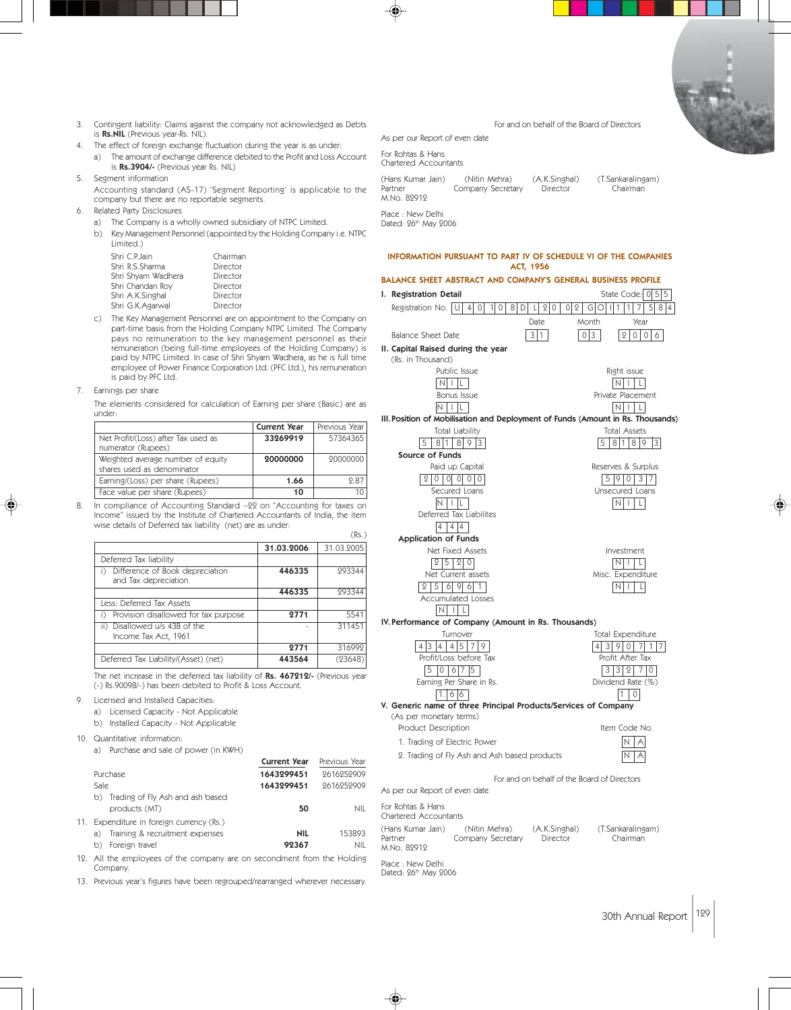- 3. Contingent liability: Claims against the company not acknowledged as Debts is Rs.NIL (Previous year-Rs. NIL).
- The effect of foreign exchange fluctuation during the year is as under: a) The amount of exchange difference debited to the Profit and Loss Account
- is Rs.3904/- (Previous year Rs. NIL) 5. Segment information
	- Accounting standard (AS-17) 'Segment Reporting' is applicable to the company but there are no reportable segments.
- 6. Related Party Disclosures
	- a) The Company is a wholly owned subsidiary of NTPC Limited.
	- b) Key Management Personnel (appointed by the Holding Company i.e. NTPC Limited.)

| Shri C.P.Jain      | Chairman |
|--------------------|----------|
| Shri R.S.Sharma    | Director |
| Shri Shyam Wadhera | Director |
| Shri Chandan Roy   | Director |
| Shri A.K.Singhal   | Director |
| Shri G.K.Agarwal   | Director |

- c) The Key Management Personnel are on appointment to the Company on part-time basis from the Holding Company NTPC Limited. The Company pays no remuneration to the key management personnel as their remuneration (being full-time employees of the Holding Company) is paid by NTPC Limited. In case of Shri Shyam Wadhera, as he is full time employee of Power Finance Corporation Ltd. (PFC Ltd.), his remuneration is paid by PFC Ltd.
- 7. Earnings per share

The elements considered for calculation of Earning per share (Basic) are as under:

|                                                                 | <b>Current Year</b> | Previous Year |
|-----------------------------------------------------------------|---------------------|---------------|
| Net Profit/(Loss) after Tax used as<br>numerator (Rupees)       | 33269919            | 57364365      |
| Weighted average number of equity<br>shares used as denominator | 20000000            | 20000000      |
| Earning/(Loss) per share (Rupees)                               | 1.66                | 987           |
| Face value per share (Rupees)                                   | 10                  |               |

8. In compliance of Accounting Standard –22 on "Accounting for taxes on Income" issued by the Institute of Chartered Accountants of India, the item wise details of Deferred tax liability (net) are as under:

|                                                               |            | 112.7      |
|---------------------------------------------------------------|------------|------------|
|                                                               | 31.03.2006 | 31.03.2005 |
| Deferred Tax liability                                        |            |            |
| Difference of Book depreciation<br>i)<br>and Tax depreciation | 446335     | 293344     |
|                                                               | 446335     | 293344     |
| Less: Deferred Tax Assets                                     |            |            |
| Provision disallowed for tax purpose<br>i)                    | 2771       | 5541       |
| ii) Disallowed u/s 43B of the<br>Income Tax Act, 1961         |            | 311451     |
|                                                               | 2771       | 316992     |
| Deferred Tax Liability/(Asset) (net)                          | 443564     | (23648)    |

The net increase in the deferred tax liability of Rs. 467212/- (Previous year (-) Rs.90098/-) has been debited to Profit & Loss Account.

- 9. Licensed and Installed Capacities:
	- a) Licensed Capacity Not Applicable
	- b) Installed Capacity Not Applicable

10. Quantitative information:

a) Purchase and sale of power (in KWH) **Current Year** Previous Year Purchase 2616252909 2616252909 Sale 1643299451 2616252909 b) Trading of Fly Ash and ash based products (MT) 50 NIL 11. Expenditure in foreign currency (Rs.) a) Training & recruitment expenses **NIL** 153893 b) Foreign travel **92367** NIL

12. All the employees of the company are on secondment from the Holding Company.

13. Previous year's figures have been regrouped/rearranged wherever necessary.

### For and on behalf of the Board of Directors

As per our Report of even date For Rohtas & Hans Chartered Accountants

| (Hans Kumar Jain) | (Nitin Mehra)     | (A.K.Singhal) | (T.Sankaralingam) |
|-------------------|-------------------|---------------|-------------------|
| Partner           | Company Secretary | Director      | Chairman          |
| M.No. 82912       |                   |               |                   |
| Place · New Delhi |                   |               |                   |

Dated: 26<sup>th</sup> May 2006

 $(D<sub>c</sub>)$ 

#### INFORMATION PURSUANT TO PART IV OF SCHEDULE VI OF THE COMPANIES ACT, 1956

### BALANCE SHEET ABSTRACT AND COMPANY'S GENERAL BUSINESS PROFILE I. Registration Detail State Code: 0 5 5 Registration No.  $\boxed{U 4 0 10 8 D 1 20 02 601111}$ Date Month Year Balance Sheet Date 3 1 0 3 2 0 0 6 II. Capital Raised during the year (Rs. in Thousand) Public Issue **Right issue** Right issue N I L N I L Bonus Issue **Private Placement**  $N \mid L$ III.Position of Mobilisation and Deployment of Funds (Amount in Rs. Thousands) Total Liability Total Assets 5 81 8 9 3 5 81 8 9 3 Source of Funds Paid up Capital **Reserves & Surplus** 20 0000 590 37 Secured Loans **Unsecured Loans**  $N \mid L$ Deferred Tax Liabilites 4 4 4 Application of Funds Net Fixed Assets **Investment** 25 20 NI L Net Current assets Misc. Expenditure  $2 5 6 9 6 1$ Accumulated Losses  $N$  $|$  $|$  $|$  $|$ IV. Performance of Company (Amount in Rs. Thousands) Turnover **Turnover** Total Expenditure 4 3 9 0 7 1 7 Profit/Loss before Tax **Profit After Tax**  $5$  0 6 7 5 3 3 2 7 0 Earning Per Share in Rs. Contract the Dividend Rate (%)  $1.66$  1 0 V. Generic name of three Principal Products/Services of Company (As per monetary terms) Product Description and the Item Code No. 1. Trading of Electric Power  $N | A|$ 2. Trading of Fly Ash and Ash based products  $N | A$

For and on behalf of the Board of Directors

As per our Report of even date For Rohtas & Hans Chartered Accountants (Hans Kumar Jain) (Nitin Mehra) (A.K.Singhal) (T.Sankaralingam) **Company Secretary** M.No. 82912 Place : New Delhi Dated: 26<sup>th</sup> May 2006

30th Annual Report 129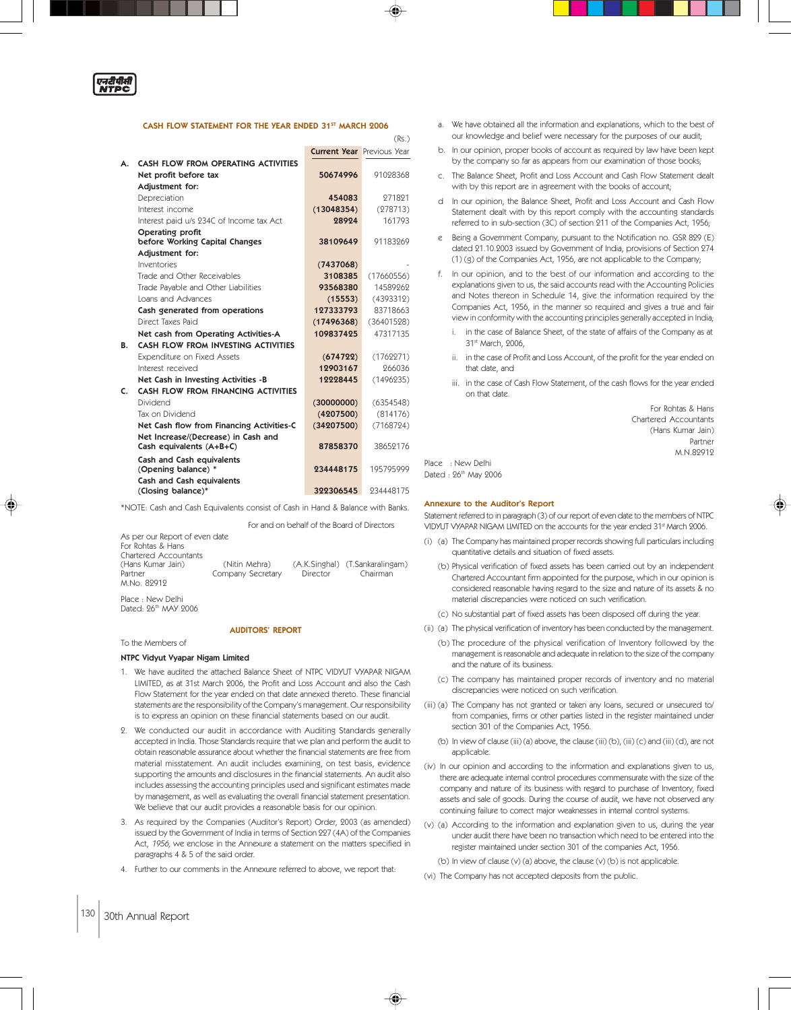

#### CASH FLOW STATEMENT FOR THE YEAR ENDED 31ST MARCH 2006

|    |                                                                 | <b>Current Year Previous Year</b> |            |
|----|-----------------------------------------------------------------|-----------------------------------|------------|
| А. | CASH FLOW FROM OPERATING ACTIVITIES                             |                                   |            |
|    | Net profit before tax                                           | 50674996                          | 91028368   |
|    | Adjustment for:                                                 |                                   |            |
|    | Depreciation                                                    | 454083                            | 271821     |
|    | Interest income                                                 | (13048354)                        | (278713)   |
|    | Interest paid u/s 234C of Income tax Act                        | 28924                             | 161793     |
|    | Operating profit<br>before Working Capital Changes              | 38109649                          | 91183269   |
|    | Adjustment for:                                                 |                                   |            |
|    | Inventories                                                     | (7437068)                         |            |
|    | Trade and Other Receivables                                     | 3108385                           | (17660556) |
|    | Trade Payable and Other Liabilities                             | 93568380                          | 14589262   |
|    | Loans and Advances                                              | (15553)                           | (4393312)  |
|    | Cash generated from operations                                  | 127333793                         | 83718663   |
|    | Direct Taxes Paid                                               | (17496368)                        | (36401528) |
|    | Net cash from Operating Activities-A                            | 109837425                         | 47317135   |
| В. | CASH FLOW FROM INVESTING ACTIVITIES                             |                                   |            |
|    | Expenditure on Fixed Assets                                     | (674722)                          | (1762271)  |
|    | Interest received                                               | 12903167                          | 266036     |
|    | Net Cash in Investing Activities -B                             | 12228445                          | (1496235)  |
| C. | CASH FLOW FROM FINANCING ACTIVITIES                             |                                   |            |
|    | Dividend                                                        | (30000000)                        | (6354548)  |
|    | Tax on Dividend                                                 | (4207500)                         | (814176)   |
|    | Net Cash flow from Financing Activities-C                       | (34207500)                        | (7168724)  |
|    | Net Increase/(Decrease) in Cash and<br>Cash equivalents (A+B+C) | 87858370                          | 38652176   |
|    | <b>Cash and Cash equivalents</b><br>(Opening balance) *         | 234448175                         | 195795999  |
|    | <b>Cash and Cash equivalents</b><br>(Closing balance)*          | 322306545                         | 934448175  |

\*NOTE: Cash and Cash Equivalents consist of Cash in Hand & Balance with Banks.

 For and on behalf of the Board of Directors As per our Report of even date For Rohtas & Hans Chartered Accountants<br>(Hans Kumar Jain) (Hans Kumar Jain) (Nitin Mehra) (A.K.Singhal) (T.Sankaralingam) Company Secretary M.No. 82912 Place : New Delhi

Dated: 26<sup>th</sup> MAY 9006

To the Members of

#### AUDITORS' REPORT

### NTPC Vidyut Vyapar Nigam Limited

- 1. We have audited the attached Balance Sheet of NTPC VIDYUT VYAPAR NIGAM LIMITED, as at 31st March 2006, the Profit and Loss Account and also the Cash Flow Statement for the year ended on that date annexed thereto. These financial statements are the responsibility of the Company's management. Our responsibility is to express an opinion on these financial statements based on our audit.
- 2. We conducted our audit in accordance with Auditing Standards generally accepted in India. Those Standards require that we plan and perform the audit to obtain reasonable assurance about whether the financial statements are free from material misstatement. An audit includes examining, on test basis, evidence supporting the amounts and disclosures in the financial statements. An audit also includes assessing the accounting principles used and significant estimates made by management, as well as evaluating the overall financial statement presentation. We believe that our audit provides a reasonable basis for our opinion.
- 3. As required by the Companies (Auditor's Report) Order, 2003 (as amended) issued by the Government of India in terms of Section 227 (4A) of the Companies Act, 1956, we enclose in the Annexure a statement on the matters specified in paragraphs 4 & 5 of the said order.
- 4. Further to our comments in the Annexure referred to above, we report that:
- a. We have obtained all the information and explanations, which to the best of our knowledge and belief were necessary for the purposes of our audit;
- b. In our opinion, proper books of account as required by law have been kept by the company so far as appears from our examination of those books;
- c. The Balance Sheet, Profit and Loss Account and Cash Flow Statement dealt with by this report are in agreement with the books of account
- d In our opinion, the Balance Sheet, Profit and Loss Account and Cash Flow Statement dealt with by this report comply with the accounting standards referred to in sub-section (3C) of section 211 of the Companies Act, 1956;
- e Being a Government Company, pursuant to the Notification no. GSR 829 (E) dated 21.10.2003 issued by Government of India, provisions of Section 274 (1) (g) of the Companies Act, 1956, are not applicable to the Company;
- f. In our opinion, and to the best of our information and according to the explanations given to us, the said accounts read with the Accounting Policies and Notes thereon in Schedule 14, give the information required by the Companies Act, 1956, in the manner so required and gives a true and fair view in conformity with the accounting principles generally accepted in India;
	- i. in the case of Balance Sheet, of the state of affairs of the Company as at 31st March, 2006,
	- ii. in the case of Profit and Loss Account, of the profit for the year ended on that date, and
	- iii. in the case of Cash Flow Statement, of the cash flows for the year ended on that date.

For Rohtas & Hans Chartered Accountants (Hans Kumar Jain) Partner M.N.82912

Dated : 26<sup>th</sup> May 2006

Place : New Delhi

(Rs.)

#### Annexure to the Auditor's Report

Statement referred to in paragraph (3) of our report of even date to the members of NTPC VIDYUT VYAPAR NIGAM LIMITED on the accounts for the year ended 31st March 2006.

- (i) (a) The Company has maintained proper records showing full particulars including quantitative details and situation of fixed assets.
	- (b) Physical verification of fixed assets has been carried out by an independent Chartered Accountant firm appointed for the purpose, which in our opinion is considered reasonable having regard to the size and nature of its assets & no material discrepancies were noticed on such verification.
	- (c) No substantial part of fixed assets has been disposed off during the year.
- (ii) (a) The physical verification of inventory has been conducted by the management.
	- (b) The procedure of the physical verification of Inventory followed by the management is reasonable and adequate in relation to the size of the company and the nature of its business.
	- (c) The company has maintained proper records of inventory and no material discrepancies were noticed on such verification.
- (iii) (a) The Company has not granted or taken any loans, secured or unsecured to/ from companies, firms or other parties listed in the register maintained under section 301 of the Companies Act, 1956.
	- (b) In view of clause (iii) (a) above, the clause (iii) (b), (iii) (c) and (iii) (d), are not applicable.
- (iv) In our opinion and according to the information and explanations given to us, there are adequate internal control procedures commensurate with the size of the company and nature of its business with regard to purchase of Inventory, fixed assets and sale of goods. During the course of audit, we have not observed any continuing failure to correct major weaknesses in internal control systems.
- (v) (a) According to the information and explanation given to us, during the year under audit there have been no transaction which need to be entered into the register maintained under section 301 of the companies Act, 1956.
	- (b) In view of clause (v) (a) above, the clause (v) (b) is not applicable.
- (vi) The Company has not accepted deposits from the public.

◈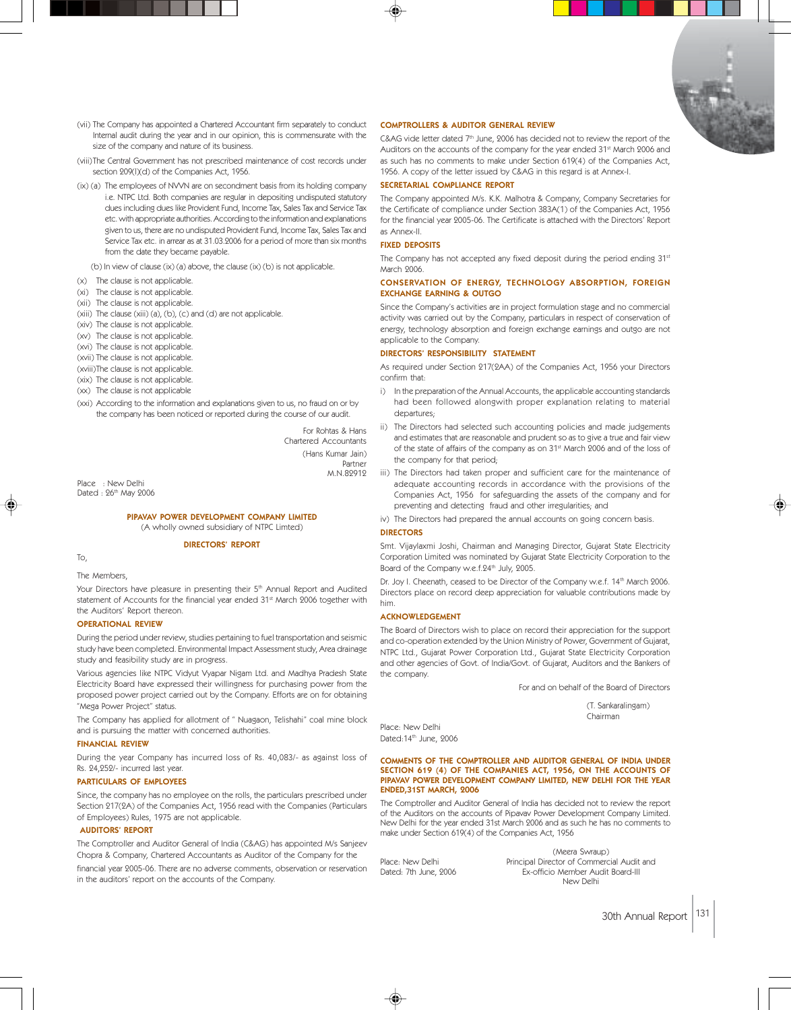

(vii) The Company has appointed a Chartered Accountant firm separately to conduct Internal audit during the year and in our opinion, this is commensurate with the size of the company and nature of its business.

(viii)The Central Government has not prescribed maintenance of cost records under section 209(I)(d) of the Companies Act, 1956.

(ix) (a) The employees of NVVN are on secondment basis from its holding company i.e. NTPC Ltd. Both companies are regular in depositing undisputed statutory dues including dues like Provident Fund, Income Tax, Sales Tax and Service Tax etc. with appropriate authorities. According to the information and explanations given to us, there are no undisputed Provident Fund, Income Tax, Sales Tax and Service Tax etc. in arrear as at 31.03.2006 for a period of more than six months from the date they became payable.

(b) In view of clause (ix) (a) above, the clause (ix) (b) is not applicable.

- (x) The clause is not applicable.
- (xi) The clause is not applicable.
- (xii) The clause is not applicable.
- (xiii) The clause (xiii) (a), (b), (c) and (d) are not applicable.
- (xiv) The clause is not applicable.
- (xv) The clause is not applicable.
- (xvi) The clause is not applicable.
- (xvii) The clause is not applicable.
- (xviii)The clause is not applicable.
- (xix) The clause is not applicable. (xx) The clause is not applicable
- 
- (xxi) According to the information and explanations given to us, no fraud on or by the company has been noticed or reported during the course of our audit.

For Rohtas & Hans Chartered Accountants (Hans Kumar Jain) Partner M.N.82912

Place : New Delhi Dated : 26<sup>th</sup> May 2006

#### PIPAVAV POWER DEVELOPMENT COMPANY LIMITED (A wholly owned subsidiary of NTPC Limted)

#### DIRECTORS' REPORT

To,

The Members,

Your Directors have pleasure in presenting their 5<sup>th</sup> Annual Report and Audited statement of Accounts for the financial year ended 31<sup>st</sup> March 2006 together with the Auditors' Report thereon.

#### OPERATIONAL REVIEW

During the period under review, studies pertaining to fuel transportation and seismic study have been completed. Environmental Impact Assessment study, Area drainage study and feasibility study are in progress.

Various agencies like NTPC Vidyut Vyapar Nigam Ltd. and Madhya Pradesh State Electricity Board have expressed their willingness for purchasing power from the proposed power project carried out by the Company. Efforts are on for obtaining "Mega Power Project" status.

The Company has applied for allotment of " Nuagaon, Telishahi" coal mine block and is pursuing the matter with concerned authorities.

#### FINANCIAL REVIEW

During the year Company has incurred loss of Rs. 40,083/- as against loss of Rs. 24,252/- incurred last year.

#### PARTICULARS OF EMPLOYEES

Since, the company has no employee on the rolls, the particulars prescribed under Section 217(2A) of the Companies Act, 1956 read with the Companies (Particulars of Employees) Rules, 1975 are not applicable.

#### AUDITORS' REPORT

The Comptroller and Auditor General of India (C&AG) has appointed M/s Sanjeev Chopra & Company, Chartered Accountants as Auditor of the Company for the financial year 2005-06. There are no adverse comments, observation or reservation in the auditors' report on the accounts of the Company.

#### COMPTROLLERS & AUDITOR GENERAL REVIEW

 $C&AG$  vide letter dated  $7<sup>th</sup>$  June, 2006 has decided not to review the report of the Auditors on the accounts of the company for the year ended 31st March 2006 and as such has no comments to make under Section 619(4) of the Companies Act, 1956. A copy of the letter issued by C&AG in this regard is at Annex-I.

#### SECRETARIAL COMPLIANCE REPORT

The Company appointed M/s. K.K. Malhotra & Company, Company Secretaries for the Certificate of compliance under Section 383A(1) of the Companies Act, 1956 for the financial year 2005-06. The Certificate is attached with the Directors' Report as Annex-II.

#### FIXED DEPOSITS

The Company has not accepted any fixed deposit during the period ending 31st March 2006.

#### CONSERVATION OF ENERGY, TECHNOLOGY ABSORPTION, FOREIGN EXCHANGE EARNING & OUTGO

Since the Company's activities are in project formulation stage and no commercial activity was carried out by the Company, particulars in respect of conservation of energy, technology absorption and foreign exchange earnings and outgo are not applicable to the Company.

#### DIRECTORS' RESPONSIBILITY STATEMENT

As required under Section 217(2AA) of the Companies Act, 1956 your Directors confirm that:

- i) In the preparation of the Annual Accounts, the applicable accounting standards had been followed alongwith proper explanation relating to material departures;
- ii) The Directors had selected such accounting policies and made judgements and estimates that are reasonable and prudent so as to give a true and fair view of the state of affairs of the company as on 31<sup>st</sup> March 2006 and of the loss of the company for that period;
- iii) The Directors had taken proper and sufficient care for the maintenance of adequate accounting records in accordance with the provisions of the Companies Act, 1956 for safeguarding the assets of the company and for preventing and detecting fraud and other irregularities; and
- iv) The Directors had prepared the annual accounts on going concern basis.

#### DIRECTORS

Smt. Vijaylaxmi Joshi, Chairman and Managing Director, Gujarat State Electricity Corporation Limited was nominated by Gujarat State Electricity Corporation to the Board of the Company w.e.f.24<sup>th</sup> July, 2005.

Dr. Joy I. Cheenath, ceased to be Director of the Company w.e.f. 14<sup>th</sup> March 2006. Directors place on record deep appreciation for valuable contributions made by him.

#### ACKNOWLEDGEMENT

The Board of Directors wish to place on record their appreciation for the support and co-operation extended by the Union Ministry of Power, Government of Gujarat, NTPC Ltd., Gujarat Power Corporation Ltd., Gujarat State Electricity Corporation and other agencies of Govt. of India/Govt. of Gujarat, Auditors and the Bankers of the company.

For and on behalf of the Board of Directors

 (T. Sankaralingam) Chairman

Place: New Delhi Dated:14th June, 2006

#### COMMENTS OF THE COMPTROLLER AND AUDITOR GENERAL OF INDIA UNDER SECTION 619 (4) OF THE COMPANIES ACT, 1956, ON THE ACCOUNTS OF PIPAVAV POWER DEVELOPMENT COMPANY LIMITED, NEW DELHI FOR THE YEAR ENDED,31ST MARCH, 2006

The Comptroller and Auditor General of India has decided not to review the report of the Auditors on the accounts of Pipavav Power Development Company Limited. New Delhi for the year ended 31st March 2006 and as such he has no comments to make under Section 619(4) of the Companies Act, 1956

(Meera Swraup) Place: New Delhi Principal Director of Commercial Audit and<br>Dated: 7th June, 2006 Ex-officio Member Audit Board-III Ex-officio Member Audit Board-III New Delhi

30th Annual Report 131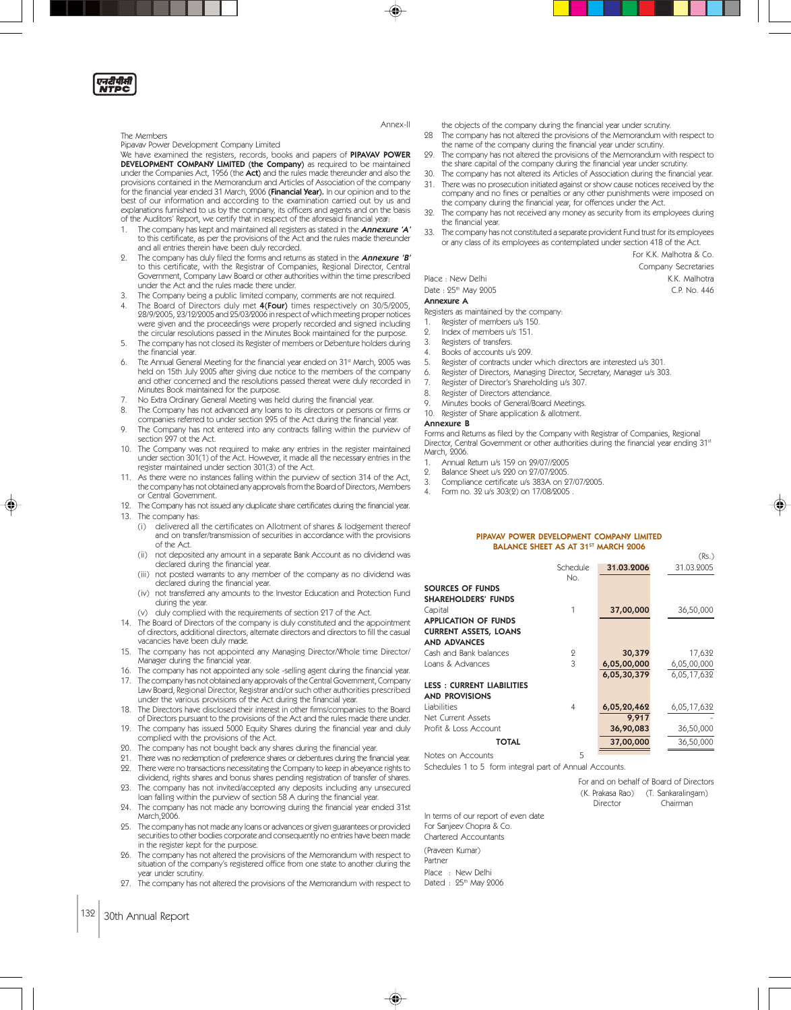एन<mark>दीपी</mark>सी<br>NTPC

#### The Members

#### Pipavav Power Development Company Limited

We have examined the registers, records, books and papers of PIPAVAV POWER DEVELOPMENT COMPANY LIMITED (the Company) as required to be maintained under the Companies Act, 1956 (the **Act)** and the rules made thereunder and also the<br>provisions contained in the Memorandum and Articles of Association of the company for the financial year ended 31 March, 2006 (Financial Year). In our opinion and to the best of our information and according to the examination carried out by us and explanations furnished to us by the company, its officers and agents and on the basis of the Auditors' Report, we certify that in respect of the aforesaid financial year:

- 1. The company has kept and maintained all registers as stated in the **Annexure 'A'** to this certificate, as per the provisions of the Act and the rules made thereunder and all entries therein have been duly recorded.
- 2. The company has duly filed the forms and returns as stated in the Annexure 'B' to this certificate, with the Registrar of Companies, Regional Director, Central Government, Company Law Board or other authorities within the time prescribed under the Act and the rules made there under.
- The Company being a public limited company, comments are not required.
- 4. The Board of Directors duly met 4(Four) times respectively on 30/5/2005,<br>28/9/2005, 23/12/2005 and 25/03/2006 in respect of which meeting proper notices were given and the proceedings were properly recorded and signed including the circular resolutions passed in the Minutes Book maintained for the purpose.
- The company has not closed its Register of members or Debenture holders during the financial year.
- 6. Tte Annual General Meeting for the financial year ended on 31st March, 2005 was held on 15th July 2005 after giving due notice to the members of the company and other concerned and the resolutions passed thereat were duly recorded in Minutes Book maintained for the purpose.
- 7. No Extra Ordinary General Meeting was held during the financial year.
- The Company has not advanced any loans to its directors or persons or firms or
- companies referred to under section 295 of the Act during the financial year. 9. The Company has not entered into any contracts falling within the purview of section 297 ot the Act.
- 10. The Company was not required to make any entries in the register maintained under section 301(1) of the Act. However, it made all the necessary entries in the register maintained under section 301(3) of the Act.
- As there were no instances falling within the purview of section 314 of the Act, the company has not obtained any approvals from the Board of Directors, Members or Central Government.
- 12. The Company has not issued any duplicate share certificates during the financial year. 13. The company has:
	- (i) delivered all the certificates on Allotment of shares & lodgement thereof and on transfer/transmission of securities in accordance with the provisions of the Act.
	- (ii) not deposited any amount in a separate Bank Account as no dividend was declared during the financial year.
	- (iii) not posted warrants to any member of the company as no dividend was declared during the financial year.
	- (iv) not transferred any amounts to the Investor Education and Protection Fund during the year.
	- (v) duly complied with the requirements of section 217 of the Act.
- 14. The Board of Directors of the company is duly constituted and the appointment of directors, additional directors, alternate directors and directors to fill the casual vacancies have been duly made.
- 15. The company has not appointed any Managing Director/Whole time Director/ Manager during the financial year.
- 16. The company has not appointed any sole -selling agent during the financial year.
- 17. The company has not obtained any approvals of the Central Government, Company Law Board, Regional Director, Registrar and/or such other authorities prescribed under the various provisions of the Act during the financial year.
- 18. The Directors have disclosed their interest in other firms/companies to the Board of Directors pursuant to the provisions of the Act and the rules made there under.
- 19. The company has issued 5000 Equity Shares during the financial year and duly complied with the provisions of the Act.
- 20. The company has not bought back any shares during the financial year.
- 21. There was no redemption of preference shares or debentures during the financial year.<br>22. There were no transactions pecessitating the Company to keep in abeyance rights to
- 22. There were no transactions necessitating the Company to keep in abeyance rights to dividend, rights shares and bonus shares pending registration of transfer of shares.
- 23. The company has not invited/accepted any deposits including any unsecured loan falling within the purview of section 58 A during the financial year.
- 24. The company has not made any borrowing during the financial year ended 31st March,2006.
- 25. The company has not made any loans or advances or given guarantees or provided securities to other bodies corporate and consequently no entries have been made in the register kept for the purpose.
- The company has not altered the provisions of the Memorandum with respect to situation of the company's registered office from one state to another during the year under scrutiny.
- 27. The company has not altered the provisions of the Memorandum with respect to
- the objects of the company during the financial year under scrutiny. 28 The company has not altered the provisions of the Memorandum with respect to
- the name of the company during the financial year under scrutiny. 29. The company has not altered the provisions of the Memorandum with respect to
- the share capital of the company during the financial year under scrutiny. The company has not altered its Articles of Association during the financial year.
- 31. There was no prosecution initiated against or show cause notices received by the company and no fines or penalties or any other punishments were imposed on the company during the financial year, for offences under the Act.
- 32. The company has not received any money as security from its employees during the financial year.
- The company has not constituted a separate provident Fund trust for its employees or any class of its employees as contemplated under section 418 of the Act.

For K.K. Malhotra & Co.

Company Secretaries

Place : New Delhi K.K. Malhotra

 $(Rs)$ 

Date : 25th May 2005 C.P. No. 446

# Annexure A

Registers as maintained by the company: Register of members u/s 150.

- 2. Index of members u/s 151.
- 3. Registers of transfers.
- Books of accounts u/s 209.
- 
- 5. Register of contracts under which directors are interested u/s 301.
- 6. Register of Directors, Managing Director, Secretary, Manager u/s 303.
- 7. Register of Director's Shareholding u/s 307.
- 8. Register of Directors attendance.
- Minutes books of General/Board Meetings.
- 10. Register of Share application & allotment.

#### Annexure B

Forms and Returns as filed by the Company with Registrar of Companies, Regional Director, Central Government or other authorities during the financial year ending 31<sup>st</sup> March, 2006.

- 1. Annual Return u/s 159 on 29/07//2005
- 2. Balance Sheet u/s 220 on 27/07/2005.
- 3. Compliance certificate u/s 383A on 27/07/2005.
- Form no. 32 u/s 303(2) on 17/08/2005

#### PIPAVAV POWER DEVELOPMENT COMPANY LIMITED BALANCE SHEET AS AT 31<sup>ST</sup> MARCH 2006

|                                  | Schedule<br>No. | 31.03.2006  | 31.03.2005  |
|----------------------------------|-----------------|-------------|-------------|
| SOURCES OF FUNDS                 |                 |             |             |
| <b>SHAREHOLDERS' FUNDS</b>       |                 |             |             |
| Capital                          | 1               | 37,00,000   | 36,50,000   |
| <b>APPLICATION OF FUNDS</b>      |                 |             |             |
| <b>CURRENT ASSETS, LOANS</b>     |                 |             |             |
| <b>AND ADVANCES</b>              |                 |             |             |
| Cash and Bank balances           | 2               | 30,379      | 17,632      |
| Loans & Advances                 | 3               | 6,05,00,000 | 6,05,00,000 |
|                                  |                 | 6,05,30,379 | 6,05,17,632 |
| <b>LESS: CURRENT LIABILITIES</b> |                 |             |             |
| <b>AND PROVISIONS</b>            |                 |             |             |
| Liabilities                      | 4               | 6,05,20,462 | 6,05,17,632 |
| Net Current Assets               |                 | 9,917       |             |
| Profit & Loss Account            |                 | 36,90,083   | 36,50,000   |
| <b>TOTAL</b>                     |                 | 37,00,000   | 36,50,000   |

Schedules 1 to 5 form integral part of Annual Accounts.

Notes on Accounts 5

|                  | For and on behalf of Board of Directors |
|------------------|-----------------------------------------|
| (K. Prakasa Rao) | (T. Sankaralingam)                      |
| Director         | Chairman                                |

In terms of our report of even date For Sanjeev Chopra & Co. Chartered Accountants (Praveen Kumar) Partner Place : New Delhi Dated : 25th May 2006

132 30th Annual Report

# Annex-II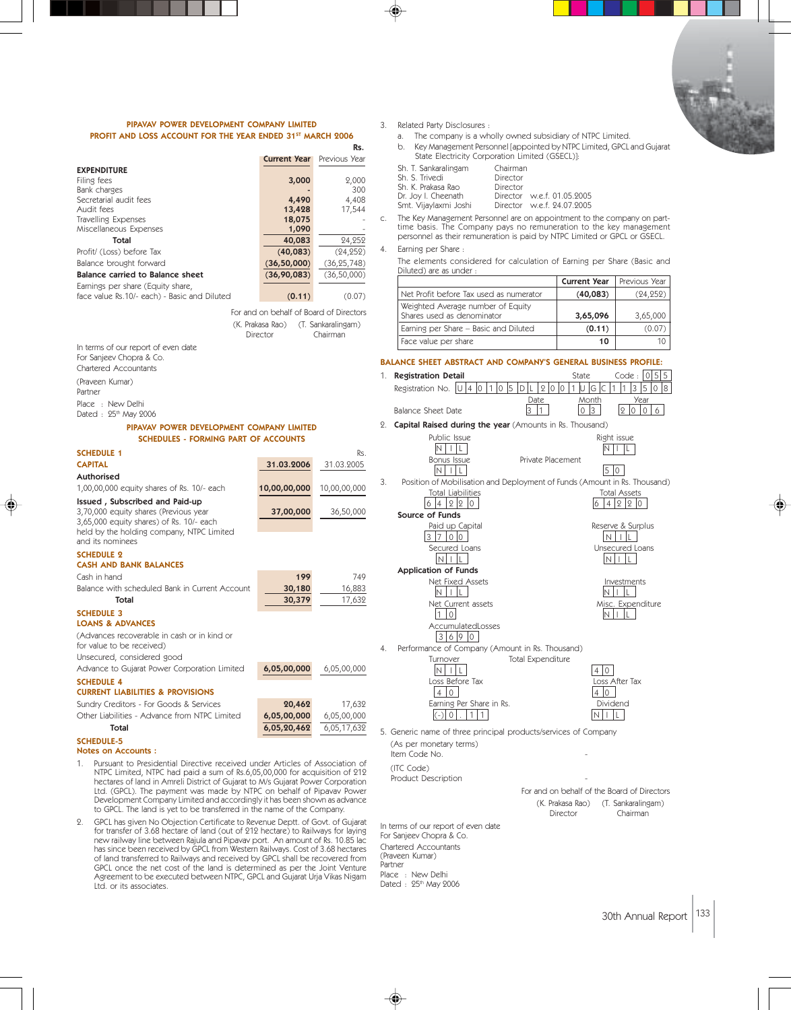

### PIPAVAV POWER DEVELOPMENT COMPANY LIMITED PROFIT AND LOSS ACCOUNT FOR THE YEAR ENDED 31ST MARCH 2006

|                                                                                   |                                         | Rs.                 |    | b.<br>Key                |
|-----------------------------------------------------------------------------------|-----------------------------------------|---------------------|----|--------------------------|
|                                                                                   | <b>Current Year</b>                     | Previous Year       |    | Stat                     |
| <b>EXPENDITURE</b>                                                                |                                         |                     |    | Sh. T. Sa                |
| Filing fees                                                                       | 3,000                                   | 2,000<br>300        |    | Sh. S. Tri<br>Sh. K. Pra |
| Bank charges<br>Secretarial audit fees                                            | 4,490                                   | 4,408               |    | Dr. Joy I.               |
| Audit fees                                                                        | 13,428                                  | 17,544              |    | Smt. Vija                |
| Travelling Expenses                                                               | 18,075                                  |                     | C. | The Key<br>time bas      |
| Miscellaneous Expenses                                                            | 1,090                                   |                     |    | personne                 |
| Total<br>Profit/ (Loss) before Tax                                                | 40,083                                  | 24,252<br>(24, 252) | 4. | Earning p                |
| Balance brought forward                                                           | (40, 083)<br>(36, 50, 000)              | (36, 25, 748)       |    | The elen                 |
| Balance carried to Balance sheet                                                  | (36,90,083)                             | (36, 50, 000)       |    | Diluted)                 |
| Earnings per share (Equity share,                                                 |                                         |                     |    |                          |
| face value Rs.10/- each) - Basic and Diluted                                      | (0.11)                                  | (0.07)              |    | Net Pro                  |
|                                                                                   | For and on behalf of Board of Directors |                     |    | Weighte                  |
|                                                                                   | (K. Prakasa Rao)                        | (T. Sankaralingam)  |    | Shares u                 |
|                                                                                   | Director                                | Chairman            |    | Eaming                   |
| In terms of our report of even date                                               |                                         |                     |    | Face va                  |
| For Sanjeev Chopra & Co.                                                          |                                         |                     |    | <b>BALANCE SH</b>        |
| Chartered Accountants                                                             |                                         |                     | 1. | Registrat                |
| (Praveen Kumar)<br>Partner                                                        |                                         |                     |    | Registratio              |
| Place : New Delhi<br>Dated: 25th May 2006                                         |                                         |                     |    | <b>Balance S</b>         |
| PIPAVAV POWER DEVELOPMENT COMPANY LIMITED                                         |                                         |                     | 2. | Capital R                |
| <b>SCHEDULES - FORMING PART OF ACCOUNTS</b>                                       |                                         |                     |    |                          |
| <b>SCHEDULE 1</b>                                                                 |                                         | Rs.                 |    |                          |
| <b>CAPITAL</b>                                                                    | 31.03.2006                              | 31.03.2005          |    |                          |
| Authorised                                                                        |                                         |                     | 3. | Position                 |
| 1,00,00,000 equity shares of Rs. 10/- each                                        | 10,00,00,000                            | 10,00,00,000        |    |                          |
| Issued, Subscribed and Paid-up                                                    |                                         |                     |    |                          |
| 3,70,000 equity shares (Previous year<br>3,65,000 equity shares) of Rs. 10/- each | 37,00,000                               | 36,50,000           |    | Source                   |
| held by the holding company, NTPC Limited                                         |                                         |                     |    |                          |
| and its nominees                                                                  |                                         |                     |    | C                        |
| <b>SCHEDULE 2</b>                                                                 |                                         |                     |    |                          |
| <b>CASH AND BANK BALANCES</b>                                                     |                                         |                     |    | Applicat                 |
| Cash in hand                                                                      | 199                                     | 749                 |    |                          |
| Balance with scheduled Bank in Current Account                                    | 30,180                                  | 16,883              |    |                          |
| Total                                                                             | 30,379                                  | 17,632              |    |                          |
| <b>SCHEDULE 3</b><br><b>LOANS &amp; ADVANCES</b>                                  |                                         |                     |    |                          |
| (Advances recoverable in cash or in kind or<br>for value to be received)          |                                         |                     | 4. | Performa                 |
| Unsecured, considered good                                                        |                                         |                     |    |                          |
| Advance to Gujarat Power Corporation Limited                                      | 6,05,00,000                             | 6,05,00,000         |    |                          |
| <b>SCHEDULE 4</b><br><b>CURRENT LIABILITIES &amp; PROVISIONS</b>                  |                                         |                     |    |                          |
| Sundry Creditors - For Goods & Services                                           | 20,462                                  | 17,632              |    |                          |
| Other Liabilities - Advance from NTPC Limited                                     | 6,05,00,000                             | 6,05,00,000         |    |                          |
| Total                                                                             | 6,05,20,462                             | 6,05,17,632         |    | 5. Generic na            |
| <b>SCHEDULE-5</b>                                                                 |                                         |                     |    | (As per me               |
| <b>Notes on Accounts:</b>                                                         |                                         |                     |    | Item Code                |

1. Pursuant to Presidential Directive received under Articles of Association of NTPC Limited, NTPC had paid a sum of Rs.6,05,00,000 for acquisition of 212 hectares of land in Amreli District of Gujarat to M/s Gujarat Power Corporation Ltd. (GPCL). The payment was made by NTPC on behalf of Pipavav Power Development Company Limited and accordingly it has been shown as advance to GPCL. The land is yet to be transferred in the name of the Company.

2. GPCL has given No Objection Certificate to Revenue Deptt. of Govt. of Gujarat for transfer of 3.68 hectare of land (out of 212 hectare) to Railways for laying new railway line between Rajula and Pipavav port. An amount of Rs. 10.85 lac<br>has since been received by GPCL from Western Railways. Cost of 3.68 hectares<br>of land transferred to Railways and received by GPCL shall be recov GPCL once the net cost of the land is determined as per the Joint Venture Agreement to be executed between NTPC, GPCL and Gujarat Urja Vikas Nigam Ltd. or its associates.

3. Related Party Disclosures :

| a. |                                                              | The company is a wholly owned subsidiary of NTPC Limited.                                                     |  |
|----|--------------------------------------------------------------|---------------------------------------------------------------------------------------------------------------|--|
| b. |                                                              | Key Management Personnel [appointed by NTPC Limited, GPCL,<br>State Electricity Corporation Limited (GSECL)]: |  |
|    | Sh. T. Sankaralingam<br>Sh. S. Trivedi<br>Sh. K. Prakasa Rao | Chairman<br>Director<br>Director                                                                              |  |
|    | Dr. Joy I. Cheenath<br>Smt. Vijaylaxmi Joshi                 | Director w.e.f. 01.05.2005<br>Director w.e.f. 24.07.2005                                                      |  |

Director w.e.f. 24.07.2005 c. The Key Management Personnel are on appointment to the company on part-time basis. The Company pays no remuneration to the key management

personnel as their remuneration is paid by NTPC Limited or GPCL or GSECL. per Share :

ments considered for calculation of Earning per Share (Basic and are as under :

|                                                                 | <b>Current Year</b> | Previous Year |
|-----------------------------------------------------------------|---------------------|---------------|
| Net Profit before Tax used as numerator                         | (40,083)            | (24, 252)     |
| Weighted Average number of Equity<br>Shares used as denominator | 3,65,096            | 3,65,000      |
| Eaming per Share – Basic and Diluted                            | (0.11)              | (0.07)        |
| Face value per share                                            | 10                  | 10            |

HEET ABSTRACT AND COMPANY'S GENERAL BUSINESS PROFILE:  $\frac{1}{2}$  External State Code :  $\frac{1}{2}$   $\frac{1}{5}$   $\frac{1}{5}$ on No. <mark>U 4 0 1 0 5 D L 2 0 0 1 U G C 1 1 3 5 0 8</mark>  $\begin{array}{c|c}\n\text{Date} \\
\hline\n3 & 1\n\end{array}$  Month  $B = \begin{bmatrix} 3 & 1 & 0 & 3 & 2 & 0 & 6 \end{bmatrix}$ aised during the year (Amounts in Rs. Thousand) Public Issue<br>  $\begin{array}{c|c}\n\hline\nN & || \end{array}$   $\begin{array}{c|c}\n\hline\n\end{array}$   $\begin{array}{c|c}\n\hline\n\end{array}$   $\begin{array}{c|c}\n\hline\n\end{array}$   $\begin{array}{c|c}\n\hline\n\end{array}$   $\begin{array}{c|c}\n\hline\n\end{array}$   $\begin{array}{c|c}\n\hline\n\end{array}$   $\begin{array}{c}\n\hline\n\end{array}$   $\begin{array}{c}\n\hline\n\end{array}$   $\begin{array}{c}\n\$  $N$   $|$   $|$   $|$   $|$ Private Placement N IL 50 1 of Mobilisation and Deployment of Funds (Amount in Rs. Thousand) Total Liabilities Total Assets  $6|4|2|2|0|$ of Funds<br>Paid up Capital  $\begin{array}{|c|c|c|}\n\hline\n\text{Reserve & Surplus \\
\hline\n\text{N} & | & \text{L}\n\end{array}$  $3700$ Secured Loans<br>
NIL<br>
NIL<br>
NIL<br>
NIL<br>
N  $N$   $\vert$   $\vert$   $\vert$ tion of Funds Net Fixed Assets<br> $\boxed{N+|L|}$ 

Net Current assets Misc. Expenditure  $10$  NIL

ance of Company (Amount in Rs. Thousand) Turnover Total Expenditure N ILL<br>
OSS Before Tax<br>
OSS After Tax Loss Before Tax  $\begin{array}{c|c}\n\text{Loss A'} & \text{Loss A'} \\
\hline\n4 & 0\n\end{array}$ 

 $N$   $|$   $|$   $|$   $|$ 

AccumulatedLosses  $3690$ 

 $\boxed{4}$  0 Earning Per Share in Rs. Dividend (-) 0 . 1 1 N I L

ame of three principal products/services of Company onetary terms)

Item Code No.

For Sanjeev Chopra & Co. Chartered Accountants (Praveen Kumar) Partner Place : New Delhi Dated : 25<sup>th</sup> May 2006

(ITC Code) Product Description

(K. Prakasa Rao) (T. Sankaralingam) Director Chairman In terms of our report of even date

For and on behalf of the Board of Directors